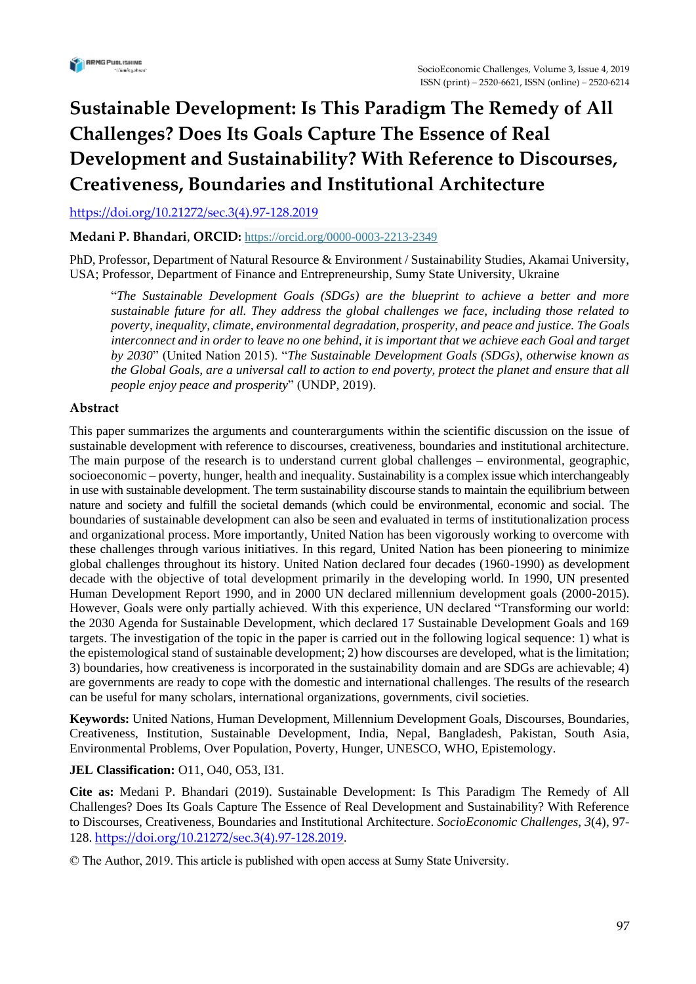

# **Sustainable Development: Is This Paradigm The Remedy of All Challenges? Does Its Goals Capture The Essence of Real Development and Sustainability? With Reference to Discourses, Creativeness, Boundaries and Institutional Architecture**

[https://doi.org/10.21272/sec.3\(4\).97-128.2019](https://doi.org/10.21272/sec.3(4).97-128.2019)

**Medani P. Bhandari**, **ORCID:** <https://orcid.org/0000-0003-2213-2349>

PhD, Professor, Department of Natural Resource & Environment / Sustainability Studies, Akamai University, USA; Professor, Department of Finance and Entrepreneurship, Sumy State University, Ukraine

"*The Sustainable Development Goals (SDGs) are the blueprint to achieve a better and more sustainable future for all. They address the global challenges we face, including those related to poverty, inequality, climate, environmental degradation, prosperity, and peace and justice. The Goals interconnect and in order to leave no one behind, it is important that we achieve each Goal and target by 2030*" (United Nation 2015). "*The Sustainable Development Goals (SDGs), otherwise known as the Global Goals, are a universal call to action to end poverty, protect the planet and ensure that all people enjoy peace and prosperity*" (UNDP, 2019).

## **Abstract**

This paper summarizes the arguments and counterarguments within the scientific discussion on the issue of sustainable development with reference to discourses, creativeness, boundaries and institutional architecture. The main purpose of the research is to understand current global challenges – environmental, geographic, socioeconomic – poverty, hunger, health and inequality. Sustainability is a complex issue which interchangeably in use with sustainable development. The term sustainability discourse stands to maintain the equilibrium between nature and society and fulfill the societal demands (which could be environmental, economic and social. The boundaries of sustainable development can also be seen and evaluated in terms of institutionalization process and organizational process. More importantly, United Nation has been vigorously working to overcome with these challenges through various initiatives. In this regard, United Nation has been pioneering to minimize global challenges throughout its history. United Nation declared four decades (1960-1990) as development decade with the objective of total development primarily in the developing world. In 1990, UN presented Human Development Report 1990, and in 2000 UN declared millennium development goals (2000-2015). However, Goals were only partially achieved. With this experience, UN declared "Transforming our world: the 2030 Agenda for Sustainable Development, which declared 17 Sustainable Development Goals and 169 targets. The investigation of the topic in the paper is carried out in the following logical sequence: 1) what is the epistemological stand of sustainable development; 2) how discourses are developed, what is the limitation; 3) boundaries, how creativeness is incorporated in the sustainability domain and are SDGs are achievable; 4) are governments are ready to cope with the domestic and international challenges. The results of the research can be useful for many scholars, international organizations, governments, civil societies.

**Keywords:** United Nations, Human Development, Millennium Development Goals, Discourses, Boundaries, Creativeness, Institution, Sustainable Development, India, Nepal, Bangladesh, Pakistan, South Asia, Environmental Problems, Over Population, Poverty, Hunger, UNESCO, WHO, Epistemology.

## **JEL Classification:** O11, O40, O53, I31.

**Cite as:** Medani P. Bhandari (2019). Sustainable Development: Is This Paradigm The Remedy of All Challenges? Does Its Goals Capture The Essence of Real Development and Sustainability? With Reference to Discourses, Creativeness, Boundaries and Institutional Architecture. *SocioEconomic Challenges*, *3*(4), 97- 128. [https://doi.org/10.21272/sec.3\(4\).97-128.2019.](https://doi.org/10.21272/sec.3(4).97-128.2019)

© The Author, 2019. This article is published with open access at Sumy State University.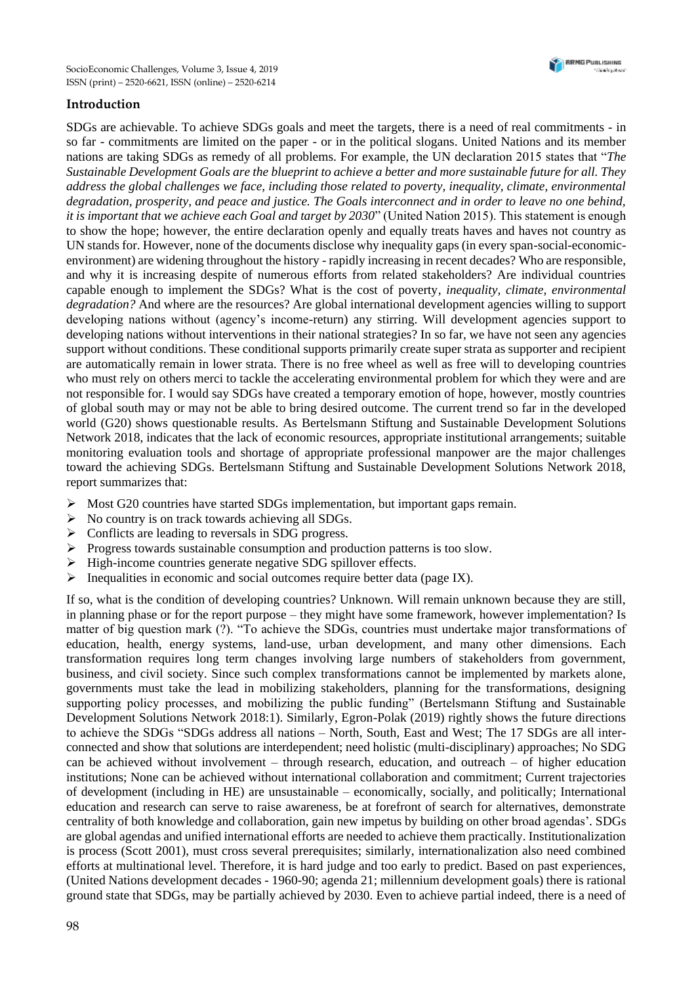## **Introduction**

SDGs are achievable. To achieve SDGs goals and meet the targets, there is a need of real commitments - in so far - commitments are limited on the paper - or in the political slogans. United Nations and its member nations are taking SDGs as remedy of all problems. For example, the UN declaration 2015 states that "*The Sustainable Development Goals are the blueprint to achieve a better and more sustainable future for all. They address the global challenges we face, including those related to poverty, inequality, climate, environmental degradation, prosperity, and peace and justice. The Goals interconnect and in order to leave no one behind, it is important that we achieve each Goal and target by 2030*" (United Nation 2015). This statement is enough to show the hope; however, the entire declaration openly and equally treats haves and haves not country as UN stands for. However, none of the documents disclose why inequality gaps (in every span-social-economicenvironment) are widening throughout the history - rapidly increasing in recent decades? Who are responsible, and why it is increasing despite of numerous efforts from related stakeholders? Are individual countries capable enough to implement the SDGs? What is the cost of poverty*, inequality, climate, environmental degradation?* And where are the resources? Are global international development agencies willing to support developing nations without (agency's income-return) any stirring. Will development agencies support to developing nations without interventions in their national strategies? In so far, we have not seen any agencies support without conditions. These conditional supports primarily create super strata as supporter and recipient are automatically remain in lower strata. There is no free wheel as well as free will to developing countries who must rely on others merci to tackle the accelerating environmental problem for which they were and are not responsible for. I would say SDGs have created a temporary emotion of hope, however, mostly countries of global south may or may not be able to bring desired outcome. The current trend so far in the developed world (G20) shows questionable results. As Bertelsmann Stiftung and Sustainable Development Solutions Network 2018, indicates that the lack of economic resources, appropriate institutional arrangements; suitable monitoring evaluation tools and shortage of appropriate professional manpower are the major challenges toward the achieving SDGs. Bertelsmann Stiftung and Sustainable Development Solutions Network 2018, report summarizes that:

- $\triangleright$  Most G20 countries have started SDGs implementation, but important gaps remain.
- $\triangleright$  No country is on track towards achieving all SDGs.
- ➢ Conflicts are leading to reversals in SDG progress.
- $\triangleright$  Progress towards sustainable consumption and production patterns is too slow.
- ➢ High-income countries generate negative SDG spillover effects.
- ➢ Inequalities in economic and social outcomes require better data (page IX).

If so, what is the condition of developing countries? Unknown. Will remain unknown because they are still, in planning phase or for the report purpose – they might have some framework, however implementation? Is matter of big question mark (?). "To achieve the SDGs, countries must undertake major transformations of education, health, energy systems, land-use, urban development, and many other dimensions. Each transformation requires long term changes involving large numbers of stakeholders from government, business, and civil society. Since such complex transformations cannot be implemented by markets alone, governments must take the lead in mobilizing stakeholders, planning for the transformations, designing supporting policy processes, and mobilizing the public funding" (Bertelsmann Stiftung and Sustainable Development Solutions Network 2018:1). Similarly, Egron-Polak (2019) rightly shows the future directions to achieve the SDGs "SDGs address all nations – North, South, East and West; The 17 SDGs are all interconnected and show that solutions are interdependent; need holistic (multi-disciplinary) approaches; No SDG can be achieved without involvement – through research, education, and outreach – of higher education institutions; None can be achieved without international collaboration and commitment; Current trajectories of development (including in HE) are unsustainable – economically, socially, and politically; International education and research can serve to raise awareness, be at forefront of search for alternatives, demonstrate centrality of both knowledge and collaboration, gain new impetus by building on other broad agendas'*.* SDGs are global agendas and unified international efforts are needed to achieve them practically. Institutionalization is process (Scott 2001), must cross several prerequisites; similarly, internationalization also need combined efforts at multinational level. Therefore, it is hard judge and too early to predict. Based on past experiences, (United Nations development decades - 1960-90; agenda 21; millennium development goals) there is rational ground state that SDGs, may be partially achieved by 2030. Even to achieve partial indeed, there is a need of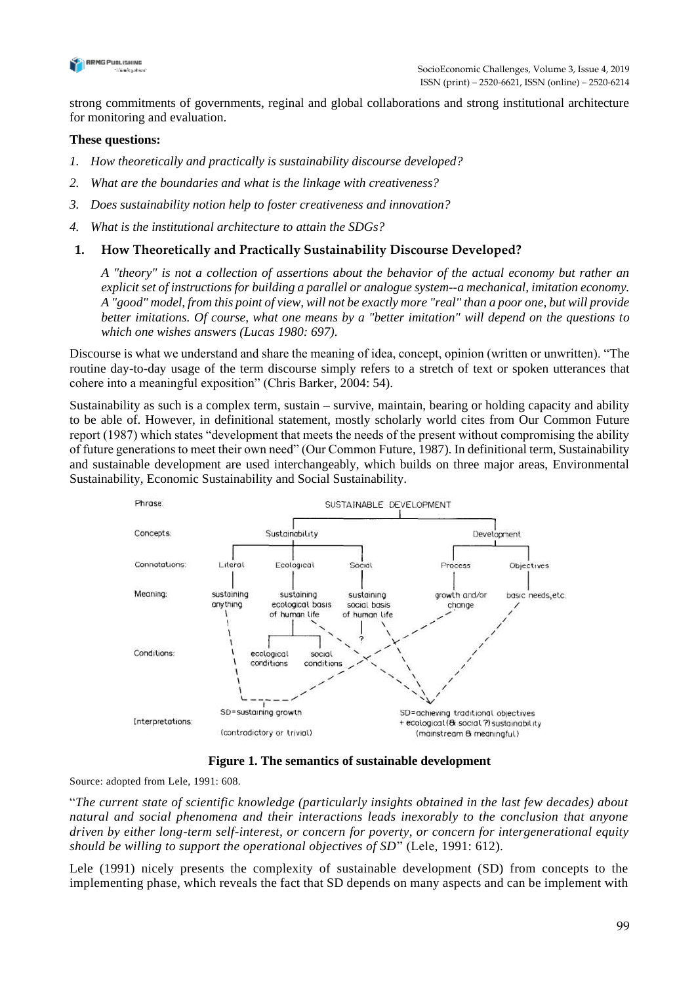

strong commitments of governments, reginal and global collaborations and strong institutional architecture for monitoring and evaluation.

#### **These questions:**

- *1. How theoretically and practically is sustainability discourse developed?*
- *2. What are the boundaries and what is the linkage with creativeness?*
- *3. Does sustainability notion help to foster creativeness and innovation?*
- *4. What is the institutional architecture to attain the SDGs?*

### **1. How Theoretically and Practically Sustainability Discourse Developed?**

*A "theory" is not a collection of assertions about the behavior of the actual economy but rather an explicit set of instructions for building a parallel or analogue system--a mechanical, imitation economy. A "good" model, from this point of view, will not be exactly more "real" than a poor one, but will provide better imitations. Of course, what one means by a "better imitation" will depend on the questions to which one wishes answers (Lucas 1980: 697).*

Discourse is what we understand and share the meaning of idea, concept, opinion (written or unwritten). "The routine day-to-day usage of the term discourse simply refers to a stretch of text or spoken utterances that cohere into a meaningful exposition" (Chris Barker, 2004: 54).

Sustainability as such is a complex term, sustain – survive, maintain, bearing or holding capacity and ability to be able of. However, in definitional statement, mostly scholarly world cites from Our Common Future report (1987) which states "development that meets the needs of the present without compromising the ability of future generations to meet their own need" (Our Common Future, 1987). In definitional term, Sustainability and sustainable development are used interchangeably, which builds on three major areas, Environmental Sustainability, Economic Sustainability and Social Sustainability.



**Figure 1. The semantics of sustainable development**

Source: adopted from Lele, 1991: 608.

"*The current state of scientific knowledge (particularly insights obtained in the last few decades) about natural and social phenomena and their interactions leads inexorably to the conclusion that anyone driven by either long-term self-interest, or concern for poverty, or concern for intergenerational equity should be willing to support the operational objectives of SD*" (Lele, 1991: 612).

Lele (1991) nicely presents the complexity of sustainable development (SD) from concepts to the implementing phase, which reveals the fact that SD depends on many aspects and can be implement with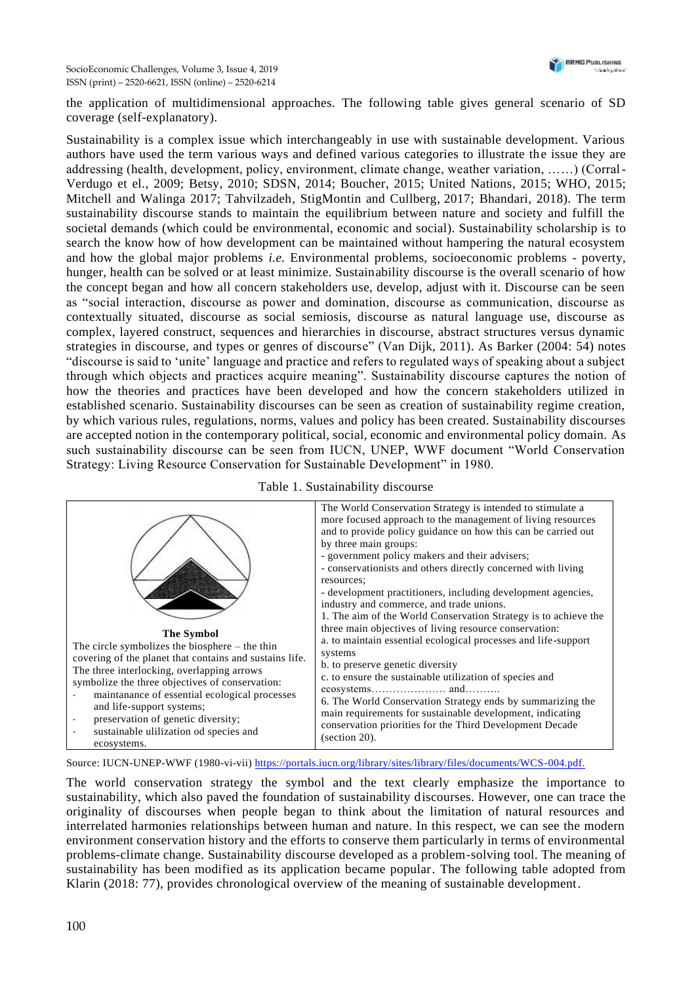the application of multidimensional approaches. The following table gives general scenario of SD coverage (self-explanatory).

Sustainability is a complex issue which interchangeably in use with sustainable development. Various authors have used the term various ways and defined various categories to illustrate the issue they are addressing (health, development, policy, environment, climate change, weather variation, ……) (Corral-Verdugo et el., 2009; Betsy, 2010; SDSN, 2014; Boucher, 2015; United Nations, 2015; WHO, 2015; Mitchell and Walinga 2017; Tahvilzadeh, StigMontin and Cullberg, 2017; Bhandari, 2018). The term sustainability discourse stands to maintain the equilibrium between nature and society and fulfill the societal demands (which could be environmental, economic and social). Sustainability scholarship is to search the know how of how development can be maintained without hampering the natural ecosystem and how the global major problems *i.e.* Environmental problems, socioeconomic problems - poverty, hunger, health can be solved or at least minimize. Sustainability discourse is the overall scenario of how the concept began and how all concern stakeholders use, develop, adjust with it. Discourse can be seen as "social interaction, discourse as power and domination, discourse as communication, discourse as contextually situated, discourse as social semiosis, discourse as natural language use, discourse as complex, layered construct, sequences and hierarchies in discourse, abstract structures versus dynamic strategies in discourse, and types or genres of discourse" (Van Dijk, 2011). As Barker (2004: 54) notes "discourse is said to 'unite' language and practice and refers to regulated ways of speaking about a subject through which objects and practices acquire meaning". Sustainability discourse captures the notion of how the theories and practices have been developed and how the concern stakeholders utilized in established scenario. Sustainability discourses can be seen as creation of sustainability regime creation, by which various rules, regulations, norms, values and policy has been created. Sustainability discourses are accepted notion in the contemporary political, social, economic and environmental policy domain. As such sustainability discourse can be seen from IUCN, UNEP, WWF document "World Conservation Strategy: Living Resource Conservation for Sustainable Development" in 1980.

|                                                                                                                                                                                                                                                                                                                                                                                                 | The World Conservation Strategy is intended to stimulate a<br>more focused approach to the management of living resources<br>and to provide policy guidance on how this can be carried out                                                                                                                                                                                                                                                    |
|-------------------------------------------------------------------------------------------------------------------------------------------------------------------------------------------------------------------------------------------------------------------------------------------------------------------------------------------------------------------------------------------------|-----------------------------------------------------------------------------------------------------------------------------------------------------------------------------------------------------------------------------------------------------------------------------------------------------------------------------------------------------------------------------------------------------------------------------------------------|
|                                                                                                                                                                                                                                                                                                                                                                                                 | by three main groups:<br>- government policy makers and their advisers;<br>- conservationists and others directly concerned with living<br>resources;<br>- development practitioners, including development agencies,<br>industry and commerce, and trade unions.<br>1. The aim of the World Conservation Strategy is to achieve the                                                                                                          |
| <b>The Symbol</b><br>The circle symbolizes the biosphere $-$ the thin<br>covering of the planet that contains and sustains life.<br>The three interlocking, overlapping arrows<br>symbolize the three objectives of conservation:<br>maintanance of essential ecological processes<br>and life-support systems;<br>preservation of genetic diversity;<br>sustainable ulilization od species and | three main objectives of living resource conservation:<br>a. to maintain essential ecological processes and life-support<br>systems<br>b. to preserve genetic diversity<br>c. to ensure the sustainable utilization of species and<br>6. The World Conservation Strategy ends by summarizing the<br>main requirements for sustainable development, indicating<br>conservation priorities for the Third Development Decade<br>$(section 20)$ . |

Table 1. Sustainability discourse

Source: IUCN-UNEP-WWF (1980-vi-vii) [https://portals.iucn.org/library/sites/library/files/documents/WCS-004.pdf.](https://portals.iucn.org/library/sites/library/files/documents/WCS-004.pdf)

The world conservation strategy the symbol and the text clearly emphasize the importance to sustainability, which also paved the foundation of sustainability discourses. However, one can trace the originality of discourses when people began to think about the limitation of natural resources and interrelated harmonies relationships between human and nature. In this respect, we can see the modern environment conservation history and the efforts to conserve them particularly in terms of environmental problems-climate change. Sustainability discourse developed as a problem-solving tool. The meaning of sustainability has been modified as its application became popular. The following table adopted from Klarin (2018: 77), provides chronological overview of the meaning of sustainable development.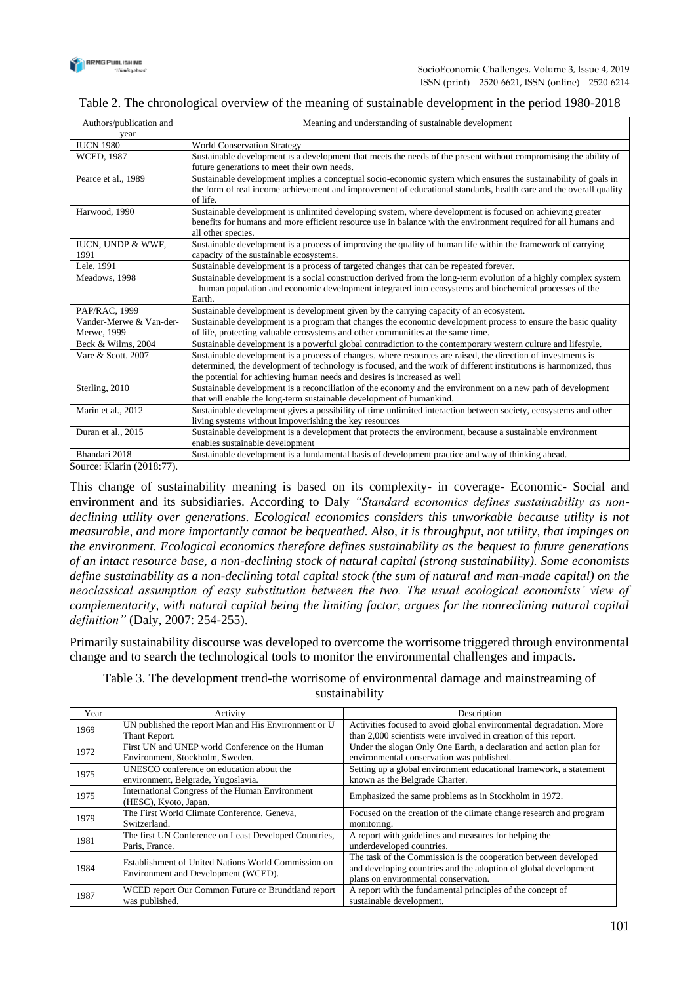

#### Table 2. The chronological overview of the meaning of sustainable development in the period 1980-2018

| Authors/publication and | Meaning and understanding of sustainable development                                                                                                                                                                                 |
|-------------------------|--------------------------------------------------------------------------------------------------------------------------------------------------------------------------------------------------------------------------------------|
| vear                    |                                                                                                                                                                                                                                      |
| <b>IUCN 1980</b>        | <b>World Conservation Strategy</b>                                                                                                                                                                                                   |
| <b>WCED, 1987</b>       | Sustainable development is a development that meets the needs of the present without compromising the ability of                                                                                                                     |
|                         | future generations to meet their own needs.                                                                                                                                                                                          |
| Pearce et al., 1989     | Sustainable development implies a conceptual socio-economic system which ensures the sustainability of goals in<br>the form of real income achievement and improvement of educational standards, health care and the overall quality |
|                         | of life.                                                                                                                                                                                                                             |
| Harwood, 1990           | Sustainable development is unlimited developing system, where development is focused on achieving greater                                                                                                                            |
|                         | benefits for humans and more efficient resource use in balance with the environment required for all humans and                                                                                                                      |
|                         | all other species.                                                                                                                                                                                                                   |
| IUCN, UNDP & WWF,       | Sustainable development is a process of improving the quality of human life within the framework of carrying                                                                                                                         |
| 1991                    | capacity of the sustainable ecosystems.                                                                                                                                                                                              |
| Lele, 1991              | Sustainable development is a process of targeted changes that can be repeated forever.                                                                                                                                               |
| Meadows, 1998           | Sustainable development is a social construction derived from the long-term evolution of a highly complex system                                                                                                                     |
|                         | - human population and economic development integrated into ecosystems and biochemical processes of the                                                                                                                              |
|                         | Earth.                                                                                                                                                                                                                               |
| PAP/RAC, 1999           | Sustainable development is development given by the carrying capacity of an ecosystem.                                                                                                                                               |
| Vander-Merwe & Van-der- | Sustainable development is a program that changes the economic development process to ensure the basic quality                                                                                                                       |
| Merwe, 1999             | of life, protecting valuable ecosystems and other communities at the same time.                                                                                                                                                      |
| Beck & Wilms, 2004      | Sustainable development is a powerful global contradiction to the contemporary western culture and lifestyle.                                                                                                                        |
| Vare & Scott, 2007      | Sustainable development is a process of changes, where resources are raised, the direction of investments is                                                                                                                         |
|                         | determined, the development of technology is focused, and the work of different institutions is harmonized, thus                                                                                                                     |
|                         | the potential for achieving human needs and desires is increased as well                                                                                                                                                             |
| Sterling, 2010          | Sustainable development is a reconciliation of the economy and the environment on a new path of development                                                                                                                          |
|                         | that will enable the long-term sustainable development of humankind.                                                                                                                                                                 |
| Marin et al., 2012      | Sustainable development gives a possibility of time unlimited interaction between society, ecosystems and other                                                                                                                      |
|                         | living systems without impoverishing the key resources                                                                                                                                                                               |
| Duran et al., 2015      | Sustainable development is a development that protects the environment, because a sustainable environment                                                                                                                            |
|                         | enables sustainable development                                                                                                                                                                                                      |
| Bhandari 2018           | Sustainable development is a fundamental basis of development practice and way of thinking ahead.                                                                                                                                    |

Source: Klarin (2018:77).

This change of sustainability meaning is based on its complexity- in coverage- Economic- Social and environment and its subsidiaries. According to Daly *"Standard economics defines sustainability as nondeclining utility over generations. Ecological economics considers this unworkable because utility is not measurable, and more importantly cannot be bequeathed. Also, it is throughput, not utility, that impinges on the environment. Ecological economics therefore defines sustainability as the bequest to future generations of an intact resource base, a non-declining stock of natural capital (strong sustainability). Some economists define sustainability as a non-declining total capital stock (the sum of natural and man-made capital) on the neoclassical assumption of easy substitution between the two. The usual ecological economists' view of complementarity, with natural capital being the limiting factor, argues for the nonreclining natural capital definition"* (Daly, 2007: 254-255).

Primarily sustainability discourse was developed to overcome the worrisome triggered through environmental change and to search the technological tools to monitor the environmental challenges and impacts.

| Year | Activity                                                                                   | Description                                                                                                                                                                |
|------|--------------------------------------------------------------------------------------------|----------------------------------------------------------------------------------------------------------------------------------------------------------------------------|
| 1969 | UN published the report Man and His Environment or U<br>Thant Report.                      | Activities focused to avoid global environmental degradation. More<br>than 2,000 scientists were involved in creation of this report.                                      |
| 1972 | First UN and UNEP world Conference on the Human<br>Environment, Stockholm, Sweden.         | Under the slogan Only One Earth, a declaration and action plan for<br>environmental conservation was published.                                                            |
| 1975 | UNESCO conference on education about the<br>environment, Belgrade, Yugoslavia.             | Setting up a global environment educational framework, a statement<br>known as the Belgrade Charter.                                                                       |
| 1975 | International Congress of the Human Environment<br>(HESC), Kyoto, Japan.                   | Emphasized the same problems as in Stockholm in 1972.                                                                                                                      |
| 1979 | The First World Climate Conference, Geneva,<br>Switzerland.                                | Focused on the creation of the climate change research and program<br>monitoring.                                                                                          |
| 1981 | The first UN Conference on Least Developed Countries.<br>Paris, France.                    | A report with guidelines and measures for helping the<br>underdeveloped countries.                                                                                         |
| 1984 | Establishment of United Nations World Commission on<br>Environment and Development (WCED). | The task of the Commission is the cooperation between developed<br>and developing countries and the adoption of global development<br>plans on environmental conservation. |
| 1987 | WCED report Our Common Future or Brundtland report<br>was published.                       | A report with the fundamental principles of the concept of<br>sustainable development.                                                                                     |

#### Table 3. The development trend-the worrisome of environmental damage and mainstreaming of sustainability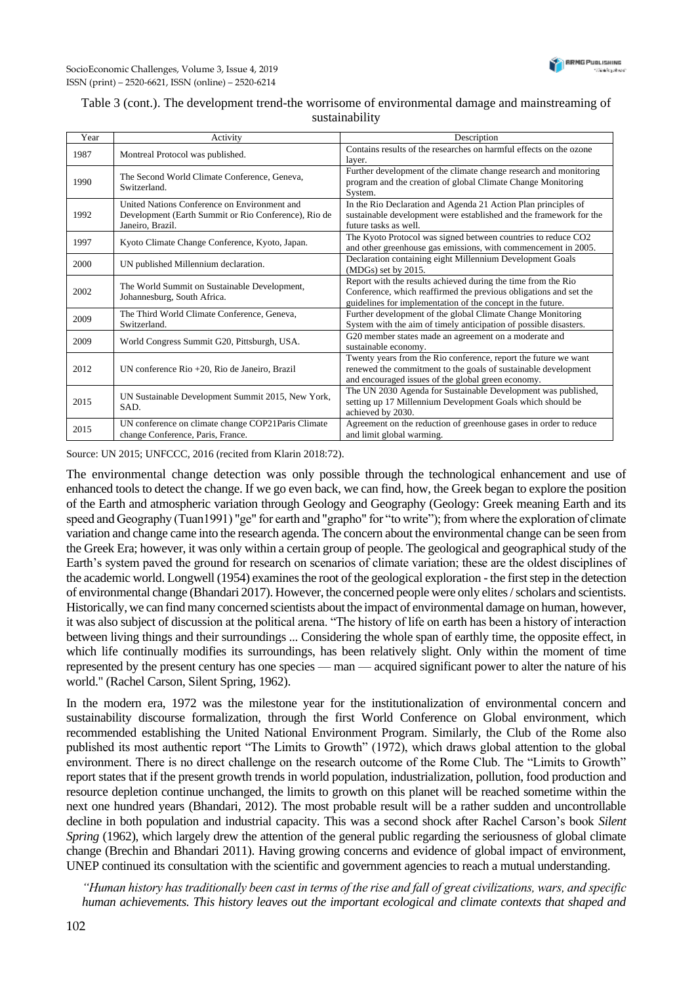## Table 3 (cont.). The development trend-the worrisome of environmental damage and mainstreaming of sustainability

| Year | Activity                                                                                                                 | Description                                                                                                                                                                                       |
|------|--------------------------------------------------------------------------------------------------------------------------|---------------------------------------------------------------------------------------------------------------------------------------------------------------------------------------------------|
| 1987 | Montreal Protocol was published.                                                                                         | Contains results of the researches on harmful effects on the ozone<br>layer.                                                                                                                      |
| 1990 | The Second World Climate Conference, Geneva,<br>Switzerland.                                                             | Further development of the climate change research and monitoring<br>program and the creation of global Climate Change Monitoring<br>System.                                                      |
| 1992 | United Nations Conference on Environment and<br>Development (Earth Summit or Rio Conference), Rio de<br>Janeiro, Brazil. | In the Rio Declaration and Agenda 21 Action Plan principles of<br>sustainable development were established and the framework for the<br>future tasks as well.                                     |
| 1997 | Kyoto Climate Change Conference, Kyoto, Japan.                                                                           | The Kyoto Protocol was signed between countries to reduce CO2<br>and other greenhouse gas emissions, with commencement in 2005.                                                                   |
| 2000 | UN published Millennium declaration.                                                                                     | Declaration containing eight Millennium Development Goals<br>$(MDGs)$ set by 2015.                                                                                                                |
| 2002 | The World Summit on Sustainable Development,<br>Johannesburg, South Africa.                                              | Report with the results achieved during the time from the Rio<br>Conference, which reaffirmed the previous obligations and set the<br>guidelines for implementation of the concept in the future. |
| 2009 | The Third World Climate Conference, Geneva,<br>Switzerland.                                                              | Further development of the global Climate Change Monitoring<br>System with the aim of timely anticipation of possible disasters.                                                                  |
| 2009 | World Congress Summit G20, Pittsburgh, USA.                                                                              | G20 member states made an agreement on a moderate and<br>sustainable economy.                                                                                                                     |
| 2012 | UN conference Rio +20, Rio de Janeiro, Brazil                                                                            | Twenty years from the Rio conference, report the future we want<br>renewed the commitment to the goals of sustainable development<br>and encouraged issues of the global green economy.           |
| 2015 | UN Sustainable Development Summit 2015, New York,<br>SAD.                                                                | The UN 2030 Agenda for Sustainable Development was published,<br>setting up 17 Millennium Development Goals which should be<br>achieved by 2030.                                                  |
| 2015 | UN conference on climate change COP21Paris Climate<br>change Conference, Paris, France.                                  | Agreement on the reduction of greenhouse gases in order to reduce<br>and limit global warming.                                                                                                    |

Source: UN 2015; UNFCCC, 2016 (recited from Klarin 2018:72).

The environmental change detection was only possible through the technological enhancement and use of enhanced tools to detect the change. If we go even back, we can find, how, the Greek began to explore the position of the Earth and atmospheric variation through Geology and Geography (Geology: Greek meaning Earth and its speed and Geography (Tuan1991) "ge" for earth and "grapho" for "to write"); from where the exploration of climate variation and change came into the research agenda. The concern about the environmental change can be seen from the Greek Era; however, it was only within a certain group of people. The geological and geographical study of the Earth's system paved the ground for research on scenarios of climate variation; these are the oldest disciplines of the academic world. Longwell (1954) examines the root of the geological exploration - the first step in the detection of environmental change (Bhandari 2017). However, the concerned people were only elites / scholars and scientists. Historically, we can find many concerned scientists about the impact of environmental damage on human, however, it was also subject of discussion at the political arena. "The history of life on earth has been a history of interaction between living things and their surroundings ... Considering the whole span of earthly time, the opposite effect, in which life continually modifies its surroundings, has been relatively slight. Only within the moment of time represented by the present century has one species — man — acquired significant power to alter the nature of his world." (Rachel Carson, Silent Spring, 1962).

In the modern era, 1972 was the milestone year for the institutionalization of environmental concern and sustainability discourse formalization, through the first World Conference on Global environment, which recommended establishing the United National Environment Program. Similarly, the Club of the Rome also published its most authentic report "The Limits to Growth" (1972), which draws global attention to the global environment. There is no direct challenge on the research outcome of the Rome Club. The "Limits to Growth" report states that if the present growth trends in world population, industrialization, pollution, food production and resource depletion continue unchanged, the limits to growth on this planet will be reached sometime within the next one hundred years (Bhandari, 2012). The most probable result will be a rather sudden and uncontrollable decline in both population and industrial capacity. This was a second shock after Rachel Carson's book *Silent Spring* (1962), which largely drew the attention of the general public regarding the seriousness of global climate change (Brechin and Bhandari 2011). Having growing concerns and evidence of global impact of environment, UNEP continued its consultation with the scientific and government agencies to reach a mutual understanding.

*"Human history has traditionally been cast in terms of the rise and fall of great civilizations, wars, and specific human achievements. This history leaves out the important ecological and climate contexts that shaped and*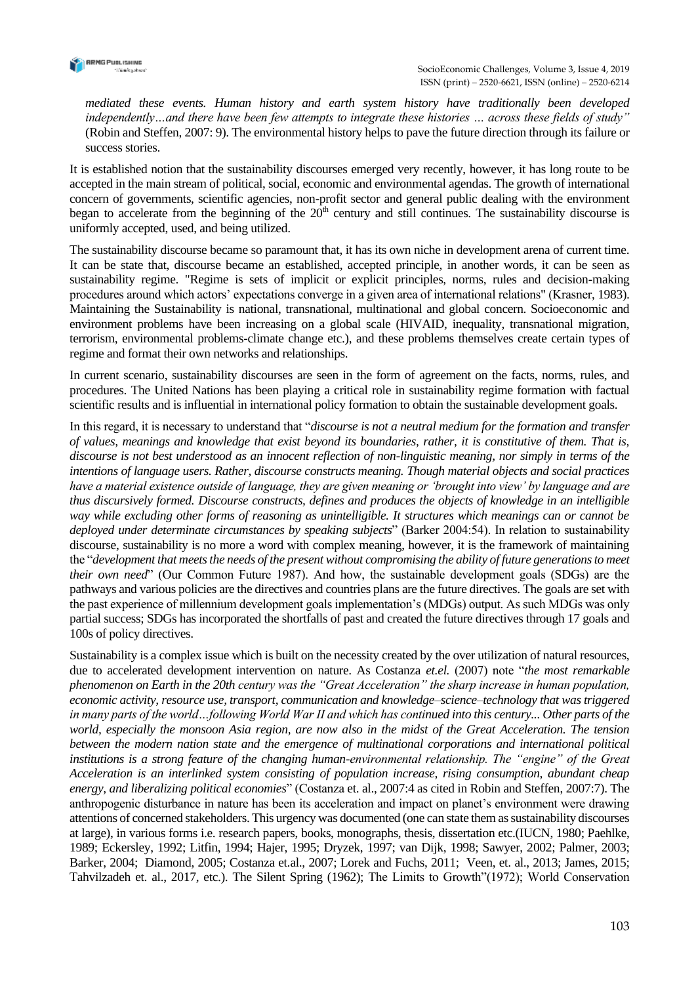

*mediated these events. Human history and earth system history have traditionally been developed independently…and there have been few attempts to integrate these histories … across these fields of study"*  (Robin and Steffen, 2007: 9). The environmental history helps to pave the future direction through its failure or success stories.

It is established notion that the sustainability discourses emerged very recently, however, it has long route to be accepted in the main stream of political, social, economic and environmental agendas. The growth of international concern of governments, scientific agencies, non-profit sector and general public dealing with the environment began to accelerate from the beginning of the  $20<sup>th</sup>$  century and still continues. The sustainability discourse is uniformly accepted, used, and being utilized.

The sustainability discourse became so paramount that, it has its own niche in development arena of current time. It can be state that, discourse became an established, accepted principle, in another words, it can be seen as sustainability regime. "Regime is sets of implicit or explicit principles, norms, rules and decision-making procedures around which actors' expectations converge in a given area of international relations" (Krasner, 1983). Maintaining the Sustainability is national, transnational, multinational and global concern. Socioeconomic and environment problems have been increasing on a global scale (HIVAID, inequality, transnational migration, terrorism, environmental problems-climate change etc.), and these problems themselves create certain types of regime and format their own networks and relationships.

In current scenario, sustainability discourses are seen in the form of agreement on the facts, norms, rules, and procedures. The United Nations has been playing a critical role in sustainability regime formation with factual scientific results and is influential in international policy formation to obtain the sustainable development goals.

In this regard, it is necessary to understand that "*discourse is not a neutral medium for the formation and transfer of values, meanings and knowledge that exist beyond its boundaries, rather, it is constitutive of them. That is, discourse is not best understood as an innocent reflection of non-linguistic meaning, nor simply in terms of the intentions of language users. Rather, discourse constructs meaning. Though material objects and social practices have a material existence outside of language, they are given meaning or 'brought into view' by language and are thus discursively formed. Discourse constructs, defines and produces the objects of knowledge in an intelligible way while excluding other forms of reasoning as unintelligible. It structures which meanings can or cannot be deployed under determinate circumstances by speaking subjects*" (Barker 2004:54). In relation to sustainability discourse, sustainability is no more a word with complex meaning, however, it is the framework of maintaining the "*development that meets the needs of the present without compromising the ability of future generations to meet their own need*" (Our Common Future 1987). And how, the sustainable development goals (SDGs) are the pathways and various policies are the directives and countries plans are the future directives. The goals are set with the past experience of millennium development goals implementation's (MDGs) output. As such MDGs was only partial success; SDGs has incorporated the shortfalls of past and created the future directives through 17 goals and 100s of policy directives.

Sustainability is a complex issue which is built on the necessity created by the over utilization of natural resources, due to accelerated development intervention on nature. As Costanza *et.el.* (2007) note "*the most remarkable phenomenon on Earth in the 20th century was the "Great Acceleration" the sharp increase in human population, economic activity, resource use, transport, communication and knowledge–science–technology that was triggered in many parts of the world…following World War II and which has continued into this century... Other parts of the world, especially the monsoon Asia region, are now also in the midst of the Great Acceleration. The tension between the modern nation state and the emergence of multinational corporations and international political institutions is a strong feature of the changing human-environmental relationship. The "engine" of the Great Acceleration is an interlinked system consisting of population increase, rising consumption, abundant cheap energy, and liberalizing political economies*" (Costanza et. al., 2007:4 as cited in Robin and Steffen, 2007:7). The anthropogenic disturbance in nature has been its acceleration and impact on planet's environment were drawing attentions of concerned stakeholders. This urgency was documented (one can state them as sustainability discourses at large), in various forms i.e. research papers, books, monographs, thesis, dissertation etc.(IUCN, 1980; Paehlke, 1989; Eckersley, 1992; Litfin, 1994; Hajer, 1995; Dryzek, 1997; van Dijk, 1998; Sawyer, 2002; Palmer, 2003; Barker, 2004; Diamond, 2005; Costanza et.al., 2007; Lorek and Fuchs, 2011; Veen, et. al., 2013; James, 2015; Tahvilzadeh et. al., 2017, etc.). The Silent Spring (1962); The Limits to Growth"(1972); World Conservation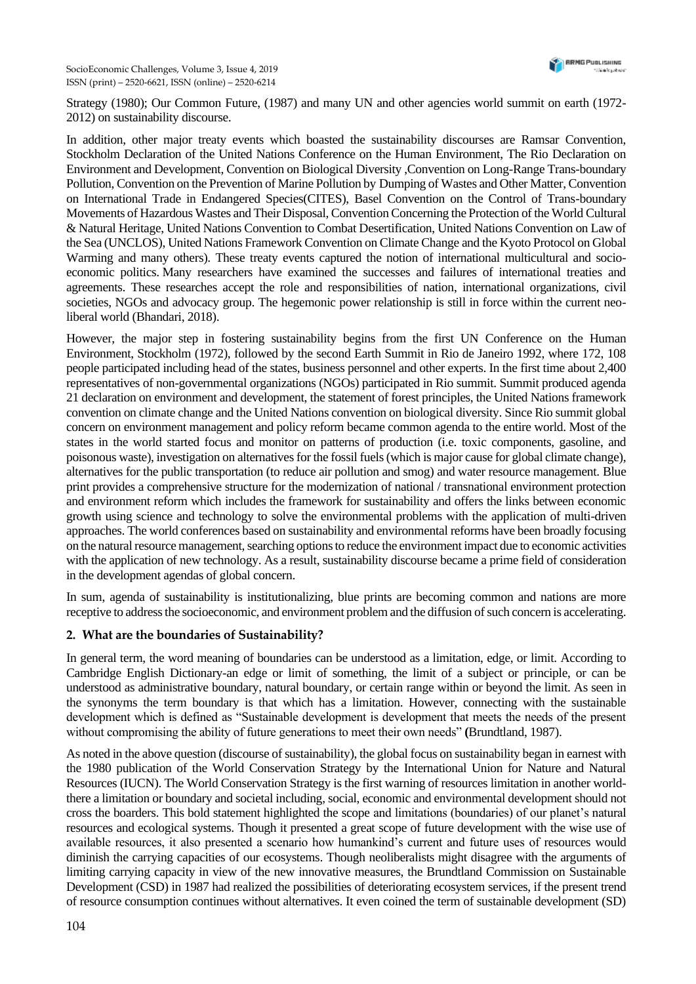Strategy (1980); Our Common Future, (1987) and many UN and other agencies world summit on earth (1972- 2012) on sustainability discourse.

In addition, other major treaty events which boasted the sustainability discourses are Ramsar Convention, Stockholm Declaration of the United Nations Conference on the Human Environment, The Rio Declaration on Environment and Development, Convention on Biological Diversity ,Convention on Long-Range Trans-boundary Pollution, Convention on the Prevention of Marine Pollution by Dumping of Wastes and Other Matter, Convention on International Trade in Endangered Species(CITES), Basel Convention on the Control of Trans-boundary Movements of Hazardous Wastes and Their Disposal, Convention Concerning the Protection of the World Cultural & Natural Heritage, United Nations Convention to Combat Desertification, United Nations Convention on Law of the Sea (UNCLOS), United Nations Framework Convention on Climate Change and the Kyoto Protocol on Global Warming and many others). These treaty events captured the notion of international multicultural and socioeconomic politics. Many researchers have examined the successes and failures of international treaties and agreements. These researches accept the role and responsibilities of nation, international organizations, civil societies, NGOs and advocacy group. The hegemonic power relationship is still in force within the current neoliberal world (Bhandari, 2018).

However, the major step in fostering sustainability begins from the first UN Conference on the Human Environment, Stockholm (1972), followed by the second Earth Summit in Rio de Janeiro 1992, where 172, 108 people participated including head of the states, business personnel and other experts. In the first time about 2,400 representatives of non-governmental organizations (NGOs) participated in Rio summit. Summit produced agenda 21 declaration on environment and development, the statement of forest principles, the United Nations framework convention on climate change and the United Nations convention on biological diversity. Since Rio summit global concern on environment management and policy reform became common agenda to the entire world. Most of the states in the world started focus and monitor on patterns of production (i.e. toxic components, gasoline, and poisonous waste), investigation on alternatives for the fossil fuels (which is major cause for global climate change), alternatives for the public transportation (to reduce air pollution and smog) and water resource management. Blue print provides a comprehensive structure for the modernization of national / transnational environment protection and environment reform which includes the framework for sustainability and offers the links between economic growth using science and technology to solve the environmental problems with the application of multi-driven approaches. The world conferences based on sustainability and environmental reforms have been broadly focusing on the natural resource management, searching options to reduce the environment impact due to economic activities with the application of new technology. As a result, sustainability discourse became a prime field of consideration in the development agendas of global concern.

In sum, agenda of sustainability is institutionalizing, blue prints are becoming common and nations are more receptive to address the socioeconomic, and environment problem and the diffusion of such concern is accelerating.

#### **2. What are the boundaries of Sustainability?**

In general term, the word meaning of boundaries can be understood as a limitation, edge, or limit. According to Cambridge English Dictionary-an edge or limit of something, the limit of a subject or principle, or can be understood as administrative boundary, natural boundary, or certain range within or beyond the limit. As seen in the synonyms the term boundary is that which has a limitation. However, connecting with the sustainable development which is defined as "Sustainable development is development that meets the needs of the present without compromising the ability of future generations to meet their own needs" **(**Brundtland, 1987).

As noted in the above question (discourse of sustainability), the global focus on sustainability began in earnest with the 1980 publication of the World Conservation Strategy by the International Union for Nature and Natural Resources (IUCN). The World Conservation Strategy is the first warning of resources limitation in another worldthere a limitation or boundary and societal including, social, economic and environmental development should not cross the boarders. This bold statement highlighted the scope and limitations (boundaries) of our planet's natural resources and ecological systems. Though it presented a great scope of future development with the wise use of available resources, it also presented a scenario how humankind's current and future uses of resources would diminish the carrying capacities of our ecosystems. Though neoliberalists might disagree with the arguments of limiting carrying capacity in view of the new innovative measures, the Brundtland Commission on Sustainable Development (CSD) in 1987 had realized the possibilities of deteriorating ecosystem services, if the present trend of resource consumption continues without alternatives. It even coined the term of sustainable development (SD)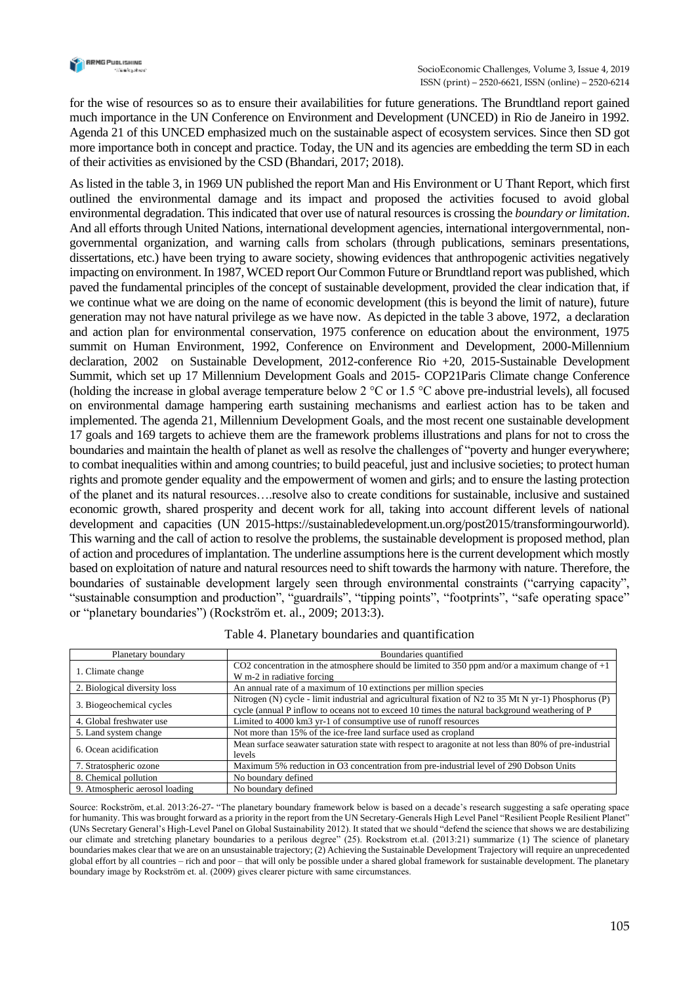

for the wise of resources so as to ensure their availabilities for future generations. The Brundtland report gained much importance in the UN Conference on Environment and Development (UNCED) in Rio de Janeiro in 1992. Agenda 21 of this UNCED emphasized much on the sustainable aspect of ecosystem services. Since then SD got more importance both in concept and practice. Today, the UN and its agencies are embedding the term SD in each of their activities as envisioned by the CSD (Bhandari, 2017; 2018).

As listed in the table 3, in 1969 UN published the report Man and His Environment or U Thant Report, which first outlined the environmental damage and its impact and proposed the activities focused to avoid global environmental degradation. This indicated that over use of natural resources is crossing the *boundary or limitation*. And all efforts through United Nations, international development agencies, international intergovernmental, nongovernmental organization, and warning calls from scholars (through publications, seminars presentations, dissertations, etc.) have been trying to aware society, showing evidences that anthropogenic activities negatively impacting on environment. In 1987, WCED report Our Common Future or Brundtland report was published, which paved the fundamental principles of the concept of sustainable development, provided the clear indication that, if we continue what we are doing on the name of economic development (this is beyond the limit of nature), future generation may not have natural privilege as we have now. As depicted in the table 3 above, 1972, a declaration and action plan for environmental conservation, 1975 conference on education about the environment, 1975 summit on Human Environment, 1992, Conference on Environment and Development, 2000-Millennium declaration, 2002 on Sustainable Development, 2012-conference Rio +20, 2015-Sustainable Development Summit, which set up 17 Millennium Development Goals and 2015- COP21Paris Climate change Conference (holding the increase in global average temperature below 2  $^{\circ}$ C or 1.5  $^{\circ}$ C above pre-industrial levels), all focused on environmental damage hampering earth sustaining mechanisms and earliest action has to be taken and implemented. The agenda 21, Millennium Development Goals, and the most recent one sustainable development 17 goals and 169 targets to achieve them are the framework problems illustrations and plans for not to cross the boundaries and maintain the health of planet as well as resolve the challenges of "poverty and hunger everywhere; to combat inequalities within and among countries; to build peaceful, just and inclusive societies; to protect human rights and promote gender equality and the empowerment of women and girls; and to ensure the lasting protection of the planet and its natural resources….resolve also to create conditions for sustainable, inclusive and sustained economic growth, shared prosperity and decent work for all, taking into account different levels of national development and capacities (UN 2015-https://sustainabledevelopment.un.org/post2015/transformingourworld). This warning and the call of action to resolve the problems, the sustainable development is proposed method, plan of action and procedures of implantation. The underline assumptions here is the current development which mostly based on exploitation of nature and natural resources need to shift towards the harmony with nature. Therefore, the boundaries of sustainable development largely seen through environmental constraints ("carrying capacity", "sustainable consumption and production", "guardrails", "tipping points", "footprints", "safe operating space" or "planetary boundaries") (Rockström et. al., 2009; 2013:3).

| Planetary boundary             | Boundaries quantified                                                                                                                                                                                   |
|--------------------------------|---------------------------------------------------------------------------------------------------------------------------------------------------------------------------------------------------------|
| 1. Climate change              | CO2 concentration in the atmosphere should be limited to 350 ppm and/or a maximum change of $+1$<br>W m-2 in radiative forcing                                                                          |
| 2. Biological diversity loss   | An annual rate of a maximum of 10 extinctions per million species                                                                                                                                       |
| 3. Biogeochemical cycles       | Nitrogen (N) cycle - limit industrial and agricultural fixation of N2 to 35 Mt N yr-1) Phosphorus (P)<br>cycle (annual P inflow to oceans not to exceed 10 times the natural background weathering of P |
| 4. Global freshwater use       | Limited to 4000 km3 yr-1 of consumptive use of runoff resources                                                                                                                                         |
| 5. Land system change          | Not more than 15% of the ice-free land surface used as cropland                                                                                                                                         |
| 6. Ocean acidification         | Mean surface seawater saturation state with respect to aragonite at not less than 80% of pre-industrial<br>levels                                                                                       |
| 7. Stratospheric ozone         | Maximum 5% reduction in O3 concentration from pre-industrial level of 290 Dobson Units                                                                                                                  |
| 8. Chemical pollution          | No boundary defined                                                                                                                                                                                     |
| 9. Atmospheric aerosol loading | No boundary defined                                                                                                                                                                                     |

|  |  |  |  | Table 4. Planetary boundaries and quantification |
|--|--|--|--|--------------------------------------------------|
|--|--|--|--|--------------------------------------------------|

Source: Rockström, et.al. 2013:26-27- "The planetary boundary framework below is based on a decade's research suggesting a safe operating space for humanity. This was brought forward as a priority in the report from the UN Secretary-Generals High Level Panel "Resilient People Resilient Planet" (UNs Secretary General's High-Level Panel on Global Sustainability 2012). It stated that we should "defend the science that shows we are destabilizing our climate and stretching planetary boundaries to a perilous degree" (25). Rockstrom et.al. (2013:21) summarize (1) The science of planetary boundaries makes clear that we are on an unsustainable trajectory; (2) Achieving the Sustainable Development Trajectory will require an unprecedented global effort by all countries – rich and poor – that will only be possible under a shared global framework for sustainable development. The planetary boundary image by Rockström et. al. (2009) gives clearer picture with same circumstances.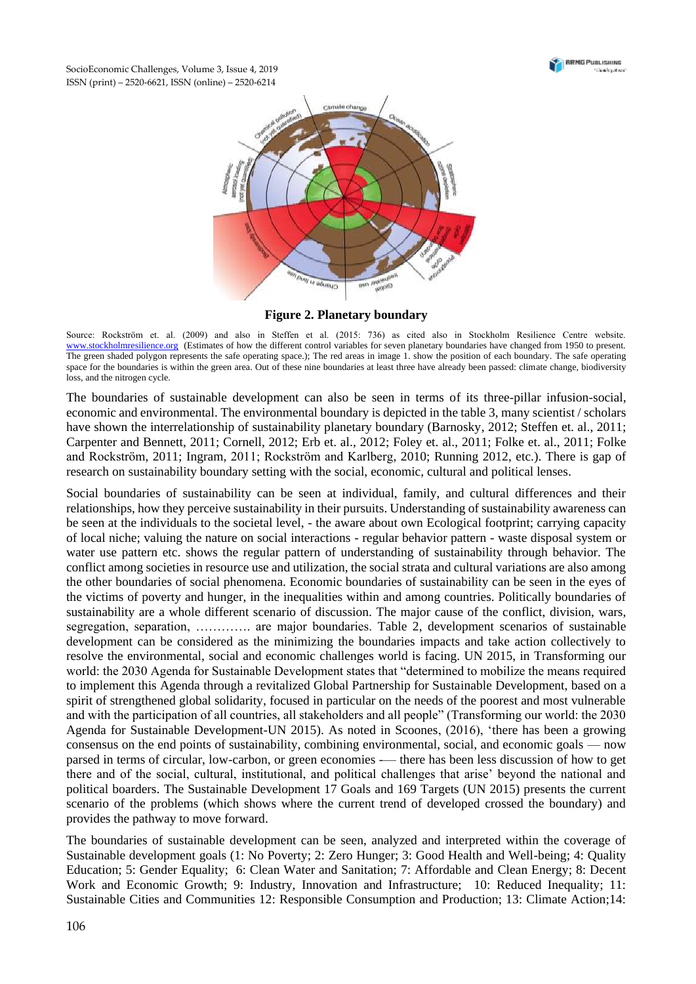

SocioEconomic Challenges, Volume 3, Issue 4, 2019 ISSN (print) – 2520-6621, ISSN (online) – 2520-6214



**Figure 2. Planetary boundary**

Source: Rockström et. al. (2009) and also in Steffen et al. (2015: 736) as cited also in Stockholm Resilience Centre website. [www.stockholmresilience.org](http://www.stockholmresilience.org/) (Estimates of how the different control variables for seven planetary boundaries have changed from 1950 to present. The green shaded polygon represents the safe operating space.); The red areas in image 1. show the position of each boundary. The safe operating space for the boundaries is within the green area. Out of these nine boundaries at least three have already been passed: climate change, biodiversity loss, and the nitrogen cycle.

The boundaries of sustainable development can also be seen in terms of its three-pillar infusion-social, economic and environmental. The environmental boundary is depicted in the table 3, many scientist / scholars have shown the interrelationship of sustainability planetary boundary (Barnosky, 2012; Steffen et. al., 2011; Carpenter and Bennett, 2011; Cornell, 2012; Erb et. al., 2012; Foley et. al., 2011; Folke et. al., 2011; Folke and Rockström, 2011; Ingram, 2011; Rockström and Karlberg, 2010; Running 2012, etc.). There is gap of research on sustainability boundary setting with the social, economic, cultural and political lenses.

Social boundaries of sustainability can be seen at individual, family, and cultural differences and their relationships, how they perceive sustainability in their pursuits. Understanding of sustainability awareness can be seen at the individuals to the societal level, - the aware about own Ecological footprint; carrying capacity of local niche; valuing the nature on social interactions - regular behavior pattern - waste disposal system or water use pattern etc. shows the regular pattern of understanding of sustainability through behavior. The conflict among societies in resource use and utilization, the social strata and cultural variations are also among the other boundaries of social phenomena. Economic boundaries of sustainability can be seen in the eyes of the victims of poverty and hunger, in the inequalities within and among countries. Politically boundaries of sustainability are a whole different scenario of discussion. The major cause of the conflict, division, wars, segregation, separation, ………….. are major boundaries. Table 2, development scenarios of sustainable development can be considered as the minimizing the boundaries impacts and take action collectively to resolve the environmental, social and economic challenges world is facing. UN 2015, in Transforming our world: the 2030 Agenda for Sustainable Development states that "determined to mobilize the means required to implement this Agenda through a revitalized Global Partnership for Sustainable Development, based on a spirit of strengthened global solidarity, focused in particular on the needs of the poorest and most vulnerable and with the participation of all countries, all stakeholders and all people" (Transforming our world: the 2030 Agenda for Sustainable Development-UN 2015). As noted in Scoones, (2016), 'there has been a growing consensus on the end points of sustainability, combining environmental, social, and economic goals — now parsed in terms of circular, low-carbon, or green economies -— there has been less discussion of how to get there and of the social, cultural, institutional, and political challenges that arise' beyond the national and political boarders. The Sustainable Development 17 Goals and 169 Targets (UN 2015) presents the current scenario of the problems (which shows where the current trend of developed crossed the boundary) and provides the pathway to move forward.

The boundaries of sustainable development can be seen, analyzed and interpreted within the coverage of Sustainable development goals (1: No Poverty; 2: Zero Hunger; 3: Good Health and Well-being; 4: Quality Education; 5: Gender Equality; 6: Clean Water and Sanitation; 7: Affordable and Clean Energy; 8: Decent Work and Economic Growth; 9: Industry, Innovation and Infrastructure; 10: Reduced Inequality; 11: Sustainable Cities and Communities 12: Responsible Consumption and Production; 13: Climate Action;14: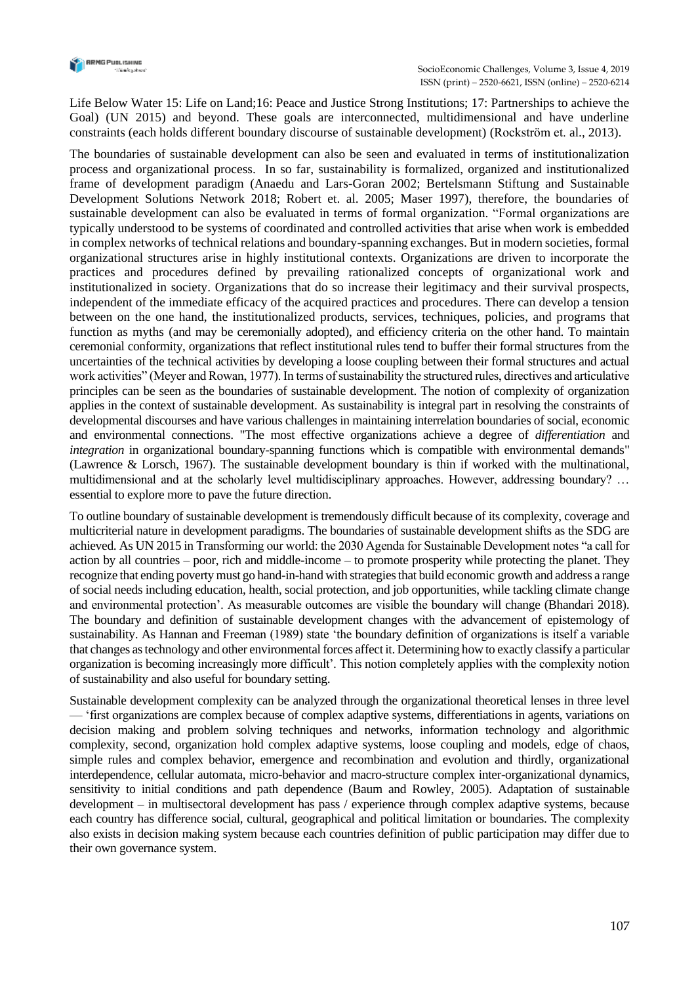

Life Below Water 15: Life on Land;16: Peace and Justice Strong Institutions; 17: Partnerships to achieve the Goal) (UN 2015) and beyond. These goals are interconnected, multidimensional and have underline constraints (each holds different boundary discourse of sustainable development) (Rockström et. al., 2013).

The boundaries of sustainable development can also be seen and evaluated in terms of institutionalization process and organizational process. In so far, sustainability is formalized, organized and institutionalized frame of development paradigm (Anaedu and Lars-Goran 2002; Bertelsmann Stiftung and Sustainable Development Solutions Network 2018; Robert et. al. 2005; Maser 1997), therefore, the boundaries of sustainable development can also be evaluated in terms of formal organization. "Formal organizations are typically understood to be systems of coordinated and controlled activities that arise when work is embedded in complex networks of technical relations and boundary-spanning exchanges. But in modern societies, formal organizational structures arise in highly institutional contexts. Organizations are driven to incorporate the practices and procedures defined by prevailing rationalized concepts of organizational work and institutionalized in society. Organizations that do so increase their legitimacy and their survival prospects, independent of the immediate efficacy of the acquired practices and procedures. There can develop a tension between on the one hand, the institutionalized products, services, techniques, policies, and programs that function as myths (and may be ceremonially adopted), and efficiency criteria on the other hand. To maintain ceremonial conformity, organizations that reflect institutional rules tend to buffer their formal structures from the uncertainties of the technical activities by developing a loose coupling between their formal structures and actual work activities" (Meyer and Rowan, 1977). In terms of sustainability the structured rules, directives and articulative principles can be seen as the boundaries of sustainable development. The notion of complexity of organization applies in the context of sustainable development. As sustainability is integral part in resolving the constraints of developmental discourses and have various challenges in maintaining interrelation boundaries of social, economic and environmental connections. "The most effective organizations achieve a degree of *differentiation* and *integration* in organizational boundary-spanning functions which is compatible with environmental demands" (Lawrence & Lorsch, 1967). The sustainable development boundary is thin if worked with the multinational, multidimensional and at the scholarly level multidisciplinary approaches. However, addressing boundary? … essential to explore more to pave the future direction.

To outline boundary of sustainable development is tremendously difficult because of its complexity, coverage and multicriterial nature in development paradigms. The boundaries of sustainable development shifts as the SDG are achieved. As UN 2015 in Transforming our world: the 2030 Agenda for Sustainable Development notes "a call for action by all countries – poor, rich and middle-income – to promote prosperity while protecting the planet. They recognize that ending poverty must go hand-in-hand with strategies that build economic growth and address a range of social needs including education, health, social protection, and job opportunities, while tackling climate change and environmental protection'. As measurable outcomes are visible the boundary will change (Bhandari 2018). The boundary and definition of sustainable development changes with the advancement of epistemology of sustainability. As Hannan and Freeman (1989) state 'the boundary definition of organizations is itself a variable that changes as technology and other environmental forces affect it. Determining how to exactly classify a particular organization is becoming increasingly more difficult'. This notion completely applies with the complexity notion of sustainability and also useful for boundary setting.

Sustainable development complexity can be analyzed through the organizational theoretical lenses in three level — 'first organizations are complex because of complex adaptive systems, differentiations in agents, variations on decision making and problem solving techniques and networks, information technology and algorithmic complexity, second, organization hold complex adaptive systems, loose coupling and models, edge of chaos, simple rules and complex behavior, emergence and recombination and evolution and thirdly, organizational interdependence, cellular automata, micro-behavior and macro-structure complex inter-organizational dynamics, sensitivity to initial conditions and path dependence (Baum and Rowley, 2005). Adaptation of sustainable development – in multisectoral development has pass / experience through complex adaptive systems, because each country has difference social, cultural, geographical and political limitation or boundaries. The complexity also exists in decision making system because each countries definition of public participation may differ due to their own governance system.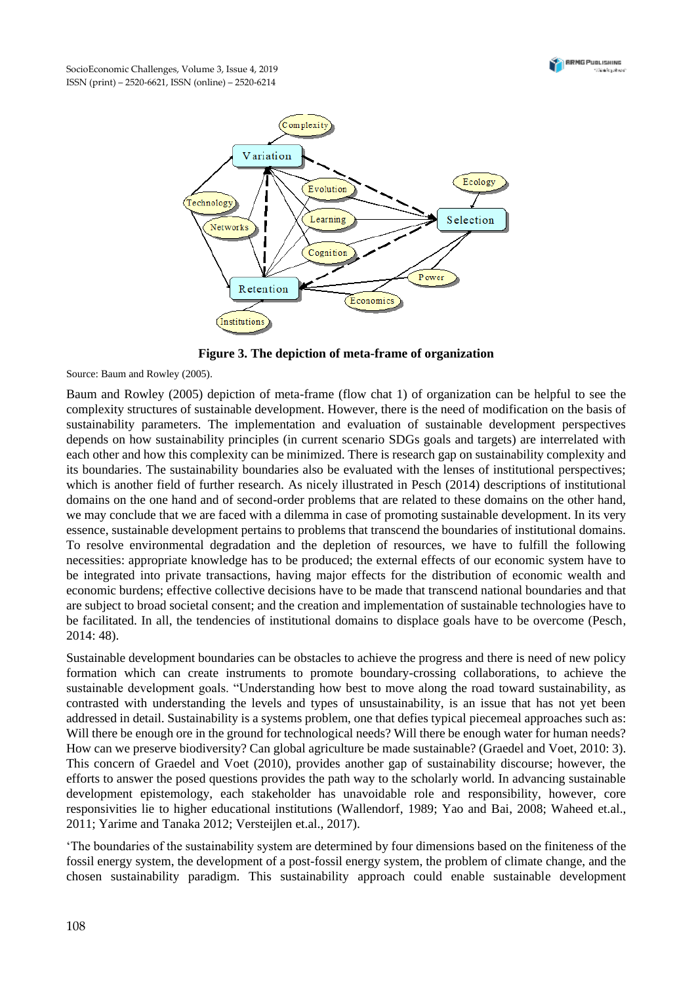



**Figure 3. The depiction of meta-frame of organization**

Source: Baum and Rowley (2005).

Baum and Rowley (2005) depiction of meta-frame (flow chat 1) of organization can be helpful to see the complexity structures of sustainable development. However, there is the need of modification on the basis of sustainability parameters. The implementation and evaluation of sustainable development perspectives depends on how sustainability principles (in current scenario SDGs goals and targets) are interrelated with each other and how this complexity can be minimized. There is research gap on sustainability complexity and its boundaries. The sustainability boundaries also be evaluated with the lenses of institutional perspectives; which is another field of further research. As nicely illustrated in Pesch (2014) descriptions of institutional domains on the one hand and of second-order problems that are related to these domains on the other hand, we may conclude that we are faced with a dilemma in case of promoting sustainable development. In its very essence, sustainable development pertains to problems that transcend the boundaries of institutional domains. To resolve environmental degradation and the depletion of resources, we have to fulfill the following necessities: appropriate knowledge has to be produced; the external effects of our economic system have to be integrated into private transactions, having major effects for the distribution of economic wealth and economic burdens; effective collective decisions have to be made that transcend national boundaries and that are subject to broad societal consent; and the creation and implementation of sustainable technologies have to be facilitated. In all, the tendencies of institutional domains to displace goals have to be overcome (Pesch, 2014: 48).

Sustainable development boundaries can be obstacles to achieve the progress and there is need of new policy formation which can create instruments to promote boundary-crossing collaborations, to achieve the sustainable development goals. "Understanding how best to move along the road toward sustainability, as contrasted with understanding the levels and types of unsustainability, is an issue that has not yet been addressed in detail. Sustainability is a systems problem, one that defies typical piecemeal approaches such as: Will there be enough ore in the ground for technological needs? Will there be enough water for human needs? How can we preserve biodiversity? Can global agriculture be made sustainable? (Graedel and Voet, 2010: 3). This concern of Graedel and Voet (2010), provides another gap of sustainability discourse; however, the efforts to answer the posed questions provides the path way to the scholarly world. In advancing sustainable development epistemology, each stakeholder has unavoidable role and responsibility, however, core responsivities lie to higher educational institutions (Wallendorf, 1989; Yao and Bai, 2008; Waheed et.al., 2011; Yarime and Tanaka 2012; Versteijlen et.al., 2017).

'The boundaries of the sustainability system are determined by four dimensions based on the finiteness of the fossil energy system, the development of a post-fossil energy system, the problem of climate change, and the chosen sustainability paradigm. This sustainability approach could enable sustainable development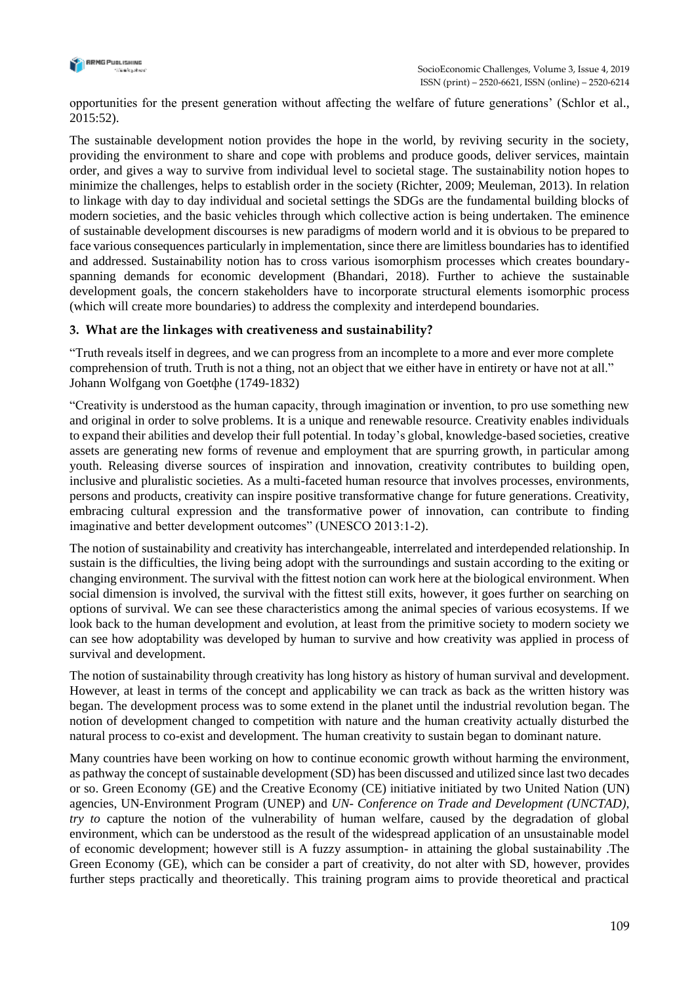

opportunities for the present generation without affecting the welfare of future generations' (Schlor et al., 2015:52).

The sustainable development notion provides the hope in the world, by reviving security in the society, providing the environment to share and cope with problems and produce goods, deliver services, maintain order, and gives a way to survive from individual level to societal stage. The sustainability notion hopes to minimize the challenges, helps to establish order in the society (Richter, 2009; Meuleman, 2013). In relation to linkage with day to day individual and societal settings the SDGs are the fundamental building blocks of modern societies, and the basic vehicles through which collective action is being undertaken. The eminence of sustainable development discourses is new paradigms of modern world and it is obvious to be prepared to face various consequences particularly in implementation, since there are limitless boundaries has to identified and addressed. Sustainability notion has to cross various isomorphism processes which creates boundaryspanning demands for economic development (Bhandari, 2018). Further to achieve the sustainable development goals, the concern stakeholders have to incorporate structural elements isomorphic process (which will create more boundaries) to address the complexity and interdepend boundaries.

## **3. What are the linkages with creativeness and sustainability?**

"Truth reveals itself in degrees, and we can progress from an incomplete to a more and ever more complete comprehension of truth. Truth is not a thing, not an object that we either have in entirety or have not at all." Johann Wolfgang von Goetфhe (1749-1832)

"Creativity is understood as the human capacity, through imagination or invention, to pro use something new and original in order to solve problems. It is a unique and renewable resource. Creativity enables individuals to expand their abilities and develop their full potential. In today's global, knowledge-based societies, creative assets are generating new forms of revenue and employment that are spurring growth, in particular among youth. Releasing diverse sources of inspiration and innovation, creativity contributes to building open, inclusive and pluralistic societies. As a multi-faceted human resource that involves processes, environments, persons and products, creativity can inspire positive transformative change for future generations. Creativity, embracing cultural expression and the transformative power of innovation, can contribute to finding imaginative and better development outcomes" (UNESCO 2013:1-2).

The notion of sustainability and creativity has interchangeable, interrelated and interdepended relationship. In sustain is the difficulties, the living being adopt with the surroundings and sustain according to the exiting or changing environment. The survival with the fittest notion can work here at the biological environment. When social dimension is involved, the survival with the fittest still exits, however, it goes further on searching on options of survival. We can see these characteristics among the animal species of various ecosystems. If we look back to the human development and evolution, at least from the primitive society to modern society we can see how adoptability was developed by human to survive and how creativity was applied in process of survival and development.

The notion of sustainability through creativity has long history as history of human survival and development. However, at least in terms of the concept and applicability we can track as back as the written history was began. The development process was to some extend in the planet until the industrial revolution began. The notion of development changed to competition with nature and the human creativity actually disturbed the natural process to co-exist and development. The human creativity to sustain began to dominant nature.

Many countries have been working on how to continue economic growth without harming the environment, as pathway the concept of sustainable development (SD) has been discussed and utilized since last two decades or so. Green Economy (GE) and the Creative Economy (CE) initiative initiated by two United Nation (UN) agencies, UN-Environment Program (UNEP) and *UN- Conference on Trade and Development (UNCTAD), try to* capture the notion of the vulnerability of human welfare, caused by the degradation of global environment, which can be understood as the result of the widespread application of an unsustainable model of economic development; however still is A fuzzy assumption- in attaining the global sustainability .The Green Economy (GE), which can be consider a part of creativity, do not alter with SD, however, provides further steps practically and theoretically. This training program aims to provide theoretical and practical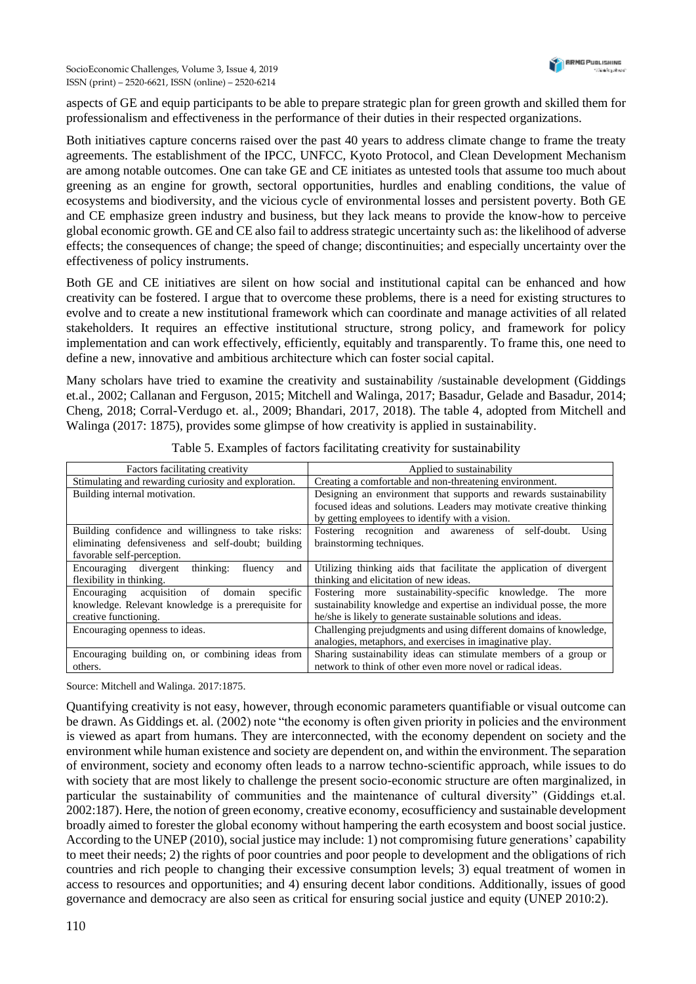aspects of GE and equip participants to be able to prepare strategic plan for green growth and skilled them for professionalism and effectiveness in the performance of their duties in their respected organizations.

Both initiatives capture concerns raised over the past 40 years to address climate change to frame the treaty agreements. The establishment of the IPCC, UNFCC, Kyoto Protocol, and Clean Development Mechanism are among notable outcomes. One can take GE and CE initiates as untested tools that assume too much about greening as an engine for growth, sectoral opportunities, hurdles and enabling conditions, the value of ecosystems and biodiversity, and the vicious cycle of environmental losses and persistent poverty. Both GE and CE emphasize green industry and business, but they lack means to provide the know-how to perceive global economic growth. GE and CE also fail to address strategic uncertainty such as: the likelihood of adverse effects; the consequences of change; the speed of change; discontinuities; and especially uncertainty over the effectiveness of policy instruments.

Both GE and CE initiatives are silent on how social and institutional capital can be enhanced and how creativity can be fostered. I argue that to overcome these problems, there is a need for existing structures to evolve and to create a new institutional framework which can coordinate and manage activities of all related stakeholders. It requires an effective institutional structure, strong policy, and framework for policy implementation and can work effectively, efficiently, equitably and transparently. To frame this, one need to define a new, innovative and ambitious architecture which can foster social capital.

Many scholars have tried to examine the creativity and sustainability /sustainable development (Giddings et.al., 2002; Callanan and Ferguson, 2015; Mitchell and Walinga, 2017; Basadur*,* Gelade and Basadur, 2014; Cheng, 2018; Corral-Verdugo et. al., 2009; Bhandari, 2017, 2018). The table 4, adopted from Mitchell and Walinga (2017: 1875), provides some glimpse of how creativity is applied in sustainability.

| Factors facilitating creativity                         | Applied to sustainability                                            |
|---------------------------------------------------------|----------------------------------------------------------------------|
| Stimulating and rewarding curiosity and exploration.    | Creating a comfortable and non-threatening environment.              |
| Building internal motivation.                           | Designing an environment that supports and rewards sustainability    |
|                                                         | focused ideas and solutions. Leaders may motivate creative thinking  |
|                                                         | by getting employees to identify with a vision.                      |
| Building confidence and willingness to take risks:      | Fostering recognition and awareness of<br>Using<br>self-doubt.       |
| eliminating defensiveness and self-doubt; building      | brainstorming techniques.                                            |
| favorable self-perception.                              |                                                                      |
| Encouraging<br>divergent<br>thinking:<br>fluency<br>and | Utilizing thinking aids that facilitate the application of divergent |
| flexibility in thinking.                                | thinking and elicitation of new ideas.                               |
| Encouraging acquisition<br>specific<br>domain<br>of     | Fostering more sustainability-specific knowledge. The<br>more        |
| knowledge. Relevant knowledge is a prerequisite for     | sustainability knowledge and expertise an individual posse, the more |
| creative functioning.                                   | he/she is likely to generate sustainable solutions and ideas.        |
| Encouraging openness to ideas.                          | Challenging prejudgments and using different domains of knowledge,   |
|                                                         | analogies, metaphors, and exercises in imaginative play.             |
| Encouraging building on, or combining ideas from        | Sharing sustainability ideas can stimulate members of a group or     |
| others.                                                 | network to think of other even more novel or radical ideas.          |

Table 5. Examples of factors facilitating creativity for sustainability

Source: Mitchell and Walinga. 2017:1875.

Quantifying creativity is not easy, however, through economic parameters quantifiable or visual outcome can be drawn. As Giddings et. al*.* (2002) note "the economy is often given priority in policies and the environment is viewed as apart from humans. They are interconnected, with the economy dependent on society and the environment while human existence and society are dependent on, and within the environment. The separation of environment, society and economy often leads to a narrow techno-scientific approach, while issues to do with society that are most likely to challenge the present socio-economic structure are often marginalized, in particular the sustainability of communities and the maintenance of cultural diversity" (Giddings et.al. 2002:187). Here, the notion of green economy, creative economy, ecosufficiency and sustainable development broadly aimed to forester the global economy without hampering the earth ecosystem and boost social justice. According to the UNEP (2010), social justice may include: 1) not compromising future generations' capability to meet their needs; 2) the rights of poor countries and poor people to development and the obligations of rich countries and rich people to changing their excessive consumption levels; 3) equal treatment of women in access to resources and opportunities; and 4) ensuring decent labor conditions. Additionally, issues of good governance and democracy are also seen as critical for ensuring social justice and equity (UNEP 2010:2).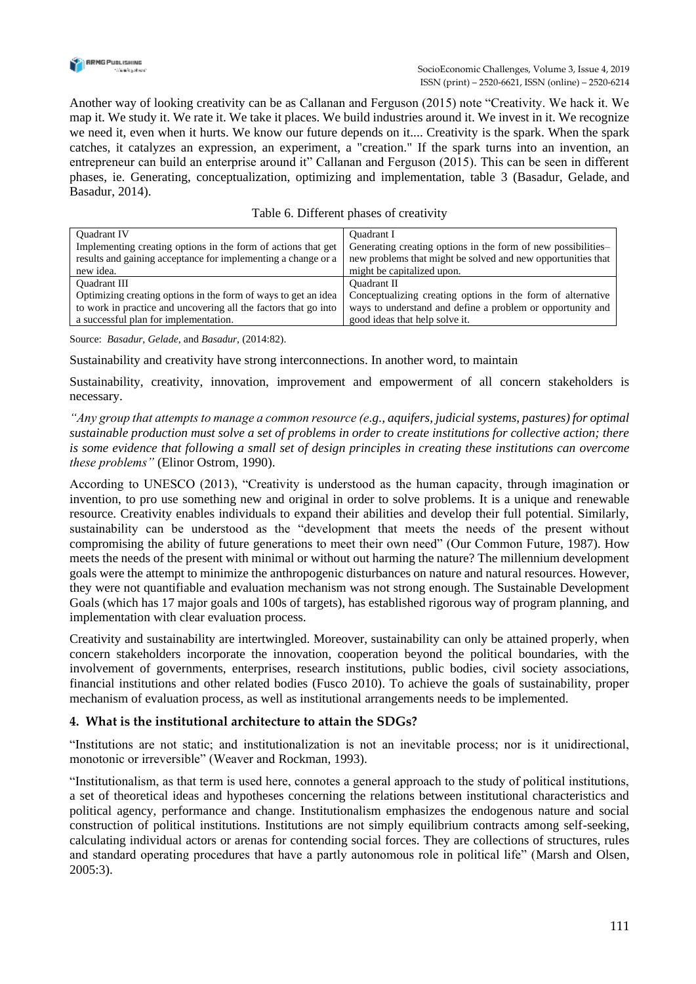

Another way of looking creativity can be as Callanan and Ferguson (2015) note "Creativity. We hack it. We map it. We study it. We rate it. We take it places. We build industries around it. We invest in it. We recognize we need it, even when it hurts. We know our future depends on it.... Creativity is the spark. When the spark catches, it catalyzes an expression, an experiment, a "creation." If the spark turns into an invention, an entrepreneur can build an enterprise around it" Callanan and Ferguson (2015). This can be seen in different phases, ie. Generating, conceptualization, optimizing and implementation, table 3 (Basadur*,* Gelade, and Basadur, 2014).

| Table 6. Different phases of creativity |  |  |
|-----------------------------------------|--|--|
|                                         |  |  |

| <b>Ouadrant IV</b>                                              | <b>Ouadrant I</b>                                             |
|-----------------------------------------------------------------|---------------------------------------------------------------|
| Implementing creating options in the form of actions that get   | Generating creating options in the form of new possibilities- |
| results and gaining acceptance for implementing a change or a   | new problems that might be solved and new opportunities that  |
| new idea.                                                       | might be capitalized upon.                                    |
| <b>Ouadrant III</b>                                             | <b>Ouadrant II</b>                                            |
| Optimizing creating options in the form of ways to get an idea  | Conceptualizing creating options in the form of alternative   |
| to work in practice and uncovering all the factors that go into | ways to understand and define a problem or opportunity and    |
| a successful plan for implementation.                           | good ideas that help solve it.                                |

Source: *Basadur*, *Gelade*, and *Basadur*, (2014:82).

Sustainability and creativity have strong interconnections. In another word, to maintain

Sustainability, creativity, innovation, improvement and empowerment of all concern stakeholders is necessary.

*"Any group that attempts to manage a common resource (e.g., aquifers, judicial systems, pastures) for optimal sustainable production must solve a set of problems in order to create institutions for collective action; there is some evidence that following a small set of design principles in creating these institutions can overcome these problems"* (Elinor Ostrom, 1990).

According to UNESCO (2013), "Creativity is understood as the human capacity, through imagination or invention, to pro use something new and original in order to solve problems. It is a unique and renewable resource. Creativity enables individuals to expand their abilities and develop their full potential. Similarly, sustainability can be understood as the "development that meets the needs of the present without compromising the ability of future generations to meet their own need" (Our Common Future, 1987). How meets the needs of the present with minimal or without out harming the nature? The millennium development goals were the attempt to minimize the anthropogenic disturbances on nature and natural resources. However, they were not quantifiable and evaluation mechanism was not strong enough. The Sustainable Development Goals (which has 17 major goals and 100s of targets), has established rigorous way of program planning, and implementation with clear evaluation process.

Creativity and sustainability are intertwingled. Moreover, sustainability can only be attained properly, when concern stakeholders incorporate the innovation, cooperation beyond the political boundaries, with the involvement of governments, enterprises, research institutions, public bodies, civil society associations, financial institutions and other related bodies (Fusco 2010). To achieve the goals of sustainability, proper mechanism of evaluation process, as well as institutional arrangements needs to be implemented.

## **4. What is the institutional architecture to attain the SDGs?**

"Institutions are not static; and institutionalization is not an inevitable process; nor is it unidirectional, monotonic or irreversible" (Weaver and Rockman, 1993).

"Institutionalism, as that term is used here, connotes a general approach to the study of political institutions, a set of theoretical ideas and hypotheses concerning the relations between institutional characteristics and political agency, performance and change. Institutionalism emphasizes the endogenous nature and social construction of political institutions. Institutions are not simply equilibrium contracts among self-seeking, calculating individual actors or arenas for contending social forces. They are collections of structures, rules and standard operating procedures that have a partly autonomous role in political life" (Marsh and Olsen, 2005:3).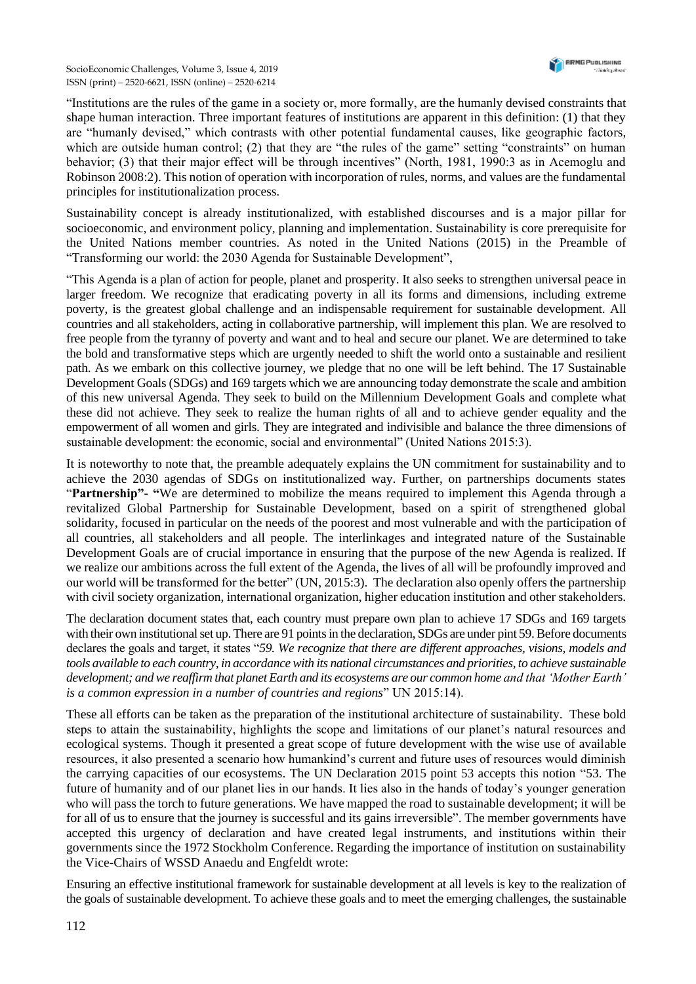"Institutions are the rules of the game in a society or, more formally, are the humanly devised constraints that shape human interaction. Three important features of institutions are apparent in this definition: (1) that they are "humanly devised," which contrasts with other potential fundamental causes, like geographic factors, which are outside human control; (2) that they are "the rules of the game" setting "constraints" on human behavior; (3) that their major effect will be through incentives" (North, 1981, 1990:3 as in Acemoglu and Robinson 2008:2). This notion of operation with incorporation of rules, norms, and values are the fundamental principles for institutionalization process.

Sustainability concept is already institutionalized, with established discourses and is a major pillar for socioeconomic, and environment policy, planning and implementation. Sustainability is core prerequisite for the United Nations member countries. As noted in the United Nations (2015) in the Preamble of "Transforming our world: the 2030 Agenda for Sustainable Development",

"This Agenda is a plan of action for people, planet and prosperity. It also seeks to strengthen universal peace in larger freedom. We recognize that eradicating poverty in all its forms and dimensions, including extreme poverty, is the greatest global challenge and an indispensable requirement for sustainable development. All countries and all stakeholders, acting in collaborative partnership, will implement this plan. We are resolved to free people from the tyranny of poverty and want and to heal and secure our planet. We are determined to take the bold and transformative steps which are urgently needed to shift the world onto a sustainable and resilient path. As we embark on this collective journey, we pledge that no one will be left behind. The 17 Sustainable Development Goals (SDGs) and 169 targets which we are announcing today demonstrate the scale and ambition of this new universal Agenda. They seek to build on the Millennium Development Goals and complete what these did not achieve. They seek to realize the human rights of all and to achieve gender equality and the empowerment of all women and girls. They are integrated and indivisible and balance the three dimensions of sustainable development: the economic, social and environmental" (United Nations 2015:3).

It is noteworthy to note that, the preamble adequately explains the UN commitment for sustainability and to achieve the 2030 agendas of SDGs on institutionalized way. Further, on partnerships documents states "**Partnership"- "**We are determined to mobilize the means required to implement this Agenda through a revitalized Global Partnership for Sustainable Development, based on a spirit of strengthened global solidarity, focused in particular on the needs of the poorest and most vulnerable and with the participation of all countries, all stakeholders and all people. The interlinkages and integrated nature of the Sustainable Development Goals are of crucial importance in ensuring that the purpose of the new Agenda is realized. If we realize our ambitions across the full extent of the Agenda, the lives of all will be profoundly improved and our world will be transformed for the better" (UN, 2015:3). The declaration also openly offers the partnership with civil society organization, international organization, higher education institution and other stakeholders.

The declaration document states that, each country must prepare own plan to achieve 17 SDGs and 169 targets with their own institutional set up. There are 91 points in the declaration, SDGs are under pint 59. Before documents declares the goals and target, it states "*59. We recognize that there are different approaches, visions, models and tools available to each country, in accordance with its national circumstances and priorities, to achieve sustainable development; and we reaffirm that planet Earth and its ecosystems are our common home and that 'Mother Earth' is a common expression in a number of countries and regions*" UN 2015:14).

These all efforts can be taken as the preparation of the institutional architecture of sustainability. These bold steps to attain the sustainability, highlights the scope and limitations of our planet's natural resources and ecological systems. Though it presented a great scope of future development with the wise use of available resources, it also presented a scenario how humankind's current and future uses of resources would diminish the carrying capacities of our ecosystems. The UN Declaration 2015 point 53 accepts this notion "53. The future of humanity and of our planet lies in our hands. It lies also in the hands of today's younger generation who will pass the torch to future generations. We have mapped the road to sustainable development; it will be for all of us to ensure that the journey is successful and its gains irreversible". The member governments have accepted this urgency of declaration and have created legal instruments, and institutions within their governments since the 1972 Stockholm Conference. Regarding the importance of institution on sustainability the Vice-Chairs of WSSD Anaedu and Engfeldt wrote:

Ensuring an effective institutional framework for sustainable development at all levels is key to the realization of the goals of sustainable development. To achieve these goals and to meet the emerging challenges, the sustainable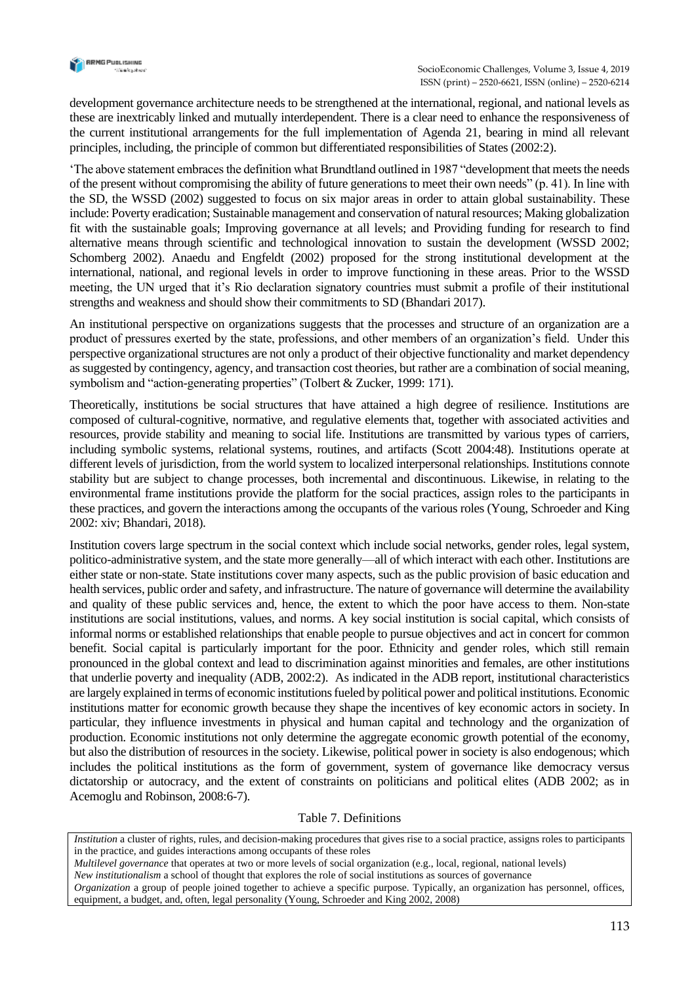

development governance architecture needs to be strengthened at the international, regional, and national levels as these are inextricably linked and mutually interdependent. There is a clear need to enhance the responsiveness of the current institutional arrangements for the full implementation of Agenda 21, bearing in mind all relevant principles, including, the principle of common but differentiated responsibilities of States (2002:2).

'The above statement embraces the definition what Brundtland outlined in 1987 "development that meets the needs of the present without compromising the ability of future generations to meet their own needs" (p. 41). In line with the SD, the WSSD (2002) suggested to focus on six major areas in order to attain global sustainability. These include: Poverty eradication; Sustainable management and conservation of natural resources; Making globalization fit with the sustainable goals; Improving governance at all levels; and Providing funding for research to find alternative means through scientific and technological innovation to sustain the development (WSSD 2002; Schomberg 2002). Anaedu and Engfeldt (2002) proposed for the strong institutional development at the international, national, and regional levels in order to improve functioning in these areas. Prior to the WSSD meeting, the UN urged that it's Rio declaration signatory countries must submit a profile of their institutional strengths and weakness and should show their commitments to SD (Bhandari 2017).

An institutional perspective on organizations suggests that the processes and structure of an organization are a product of pressures exerted by the state, professions, and other members of an organization's field. Under this perspective organizational structures are not only a product of their objective functionality and market dependency as suggested by contingency, agency, and transaction cost theories, but rather are a combination of social meaning, symbolism and "action-generating properties" (Tolbert & Zucker, 1999: 171).

Theoretically, institutions be social structures that have attained a high degree of resilience. Institutions are composed of cultural-cognitive, normative, and regulative elements that, together with associated activities and resources, provide stability and meaning to social life. Institutions are transmitted by various types of carriers, including symbolic systems, relational systems, routines, and artifacts (Scott 2004:48). Institutions operate at different levels of jurisdiction, from the world system to localized interpersonal relationships. Institutions connote stability but are subject to change processes, both incremental and discontinuous. Likewise, in relating to the environmental frame institutions provide the platform for the social practices, assign roles to the participants in these practices, and govern the interactions among the occupants of the various roles (Young, Schroeder and King 2002: xiv; Bhandari, 2018).

Institution covers large spectrum in the social context which include social networks, gender roles, legal system, politico-administrative system, and the state more generally—all of which interact with each other. Institutions are either state or non-state. State institutions cover many aspects, such as the public provision of basic education and health services, public order and safety, and infrastructure. The nature of governance will determine the availability and quality of these public services and, hence, the extent to which the poor have access to them. Non-state institutions are social institutions, values, and norms. A key social institution is social capital, which consists of informal norms or established relationships that enable people to pursue objectives and act in concert for common benefit. Social capital is particularly important for the poor. Ethnicity and gender roles, which still remain pronounced in the global context and lead to discrimination against minorities and females, are other institutions that underlie poverty and inequality (ADB, 2002:2). As indicated in the ADB report, institutional characteristics are largely explained in terms of economic institutions fueled by political power and political institutions. Economic institutions matter for economic growth because they shape the incentives of key economic actors in society. In particular, they influence investments in physical and human capital and technology and the organization of production. Economic institutions not only determine the aggregate economic growth potential of the economy, but also the distribution of resources in the society. Likewise, political power in society is also endogenous; which includes the political institutions as the form of government, system of governance like democracy versus dictatorship or autocracy, and the extent of constraints on politicians and political elites (ADB 2002; as in Acemoglu and Robinson, 2008:6-7).

#### Table 7. Definitions

*Institution* a cluster of rights, rules, and decision-making procedures that gives rise to a social practice, assigns roles to participants in the practice, and guides interactions among occupants of these roles

*Multilevel governance* that operates at two or more levels of social organization (e.g., local, regional, national levels)

*New institutionalism* a school of thought that explores the role of social institutions as sources of governance *Organization* a group of people joined together to achieve a specific purpose. Typically, an organization has personnel, offices,

equipment, a budget, and, often, legal personality (Young, Schroeder and King 2002, 2008)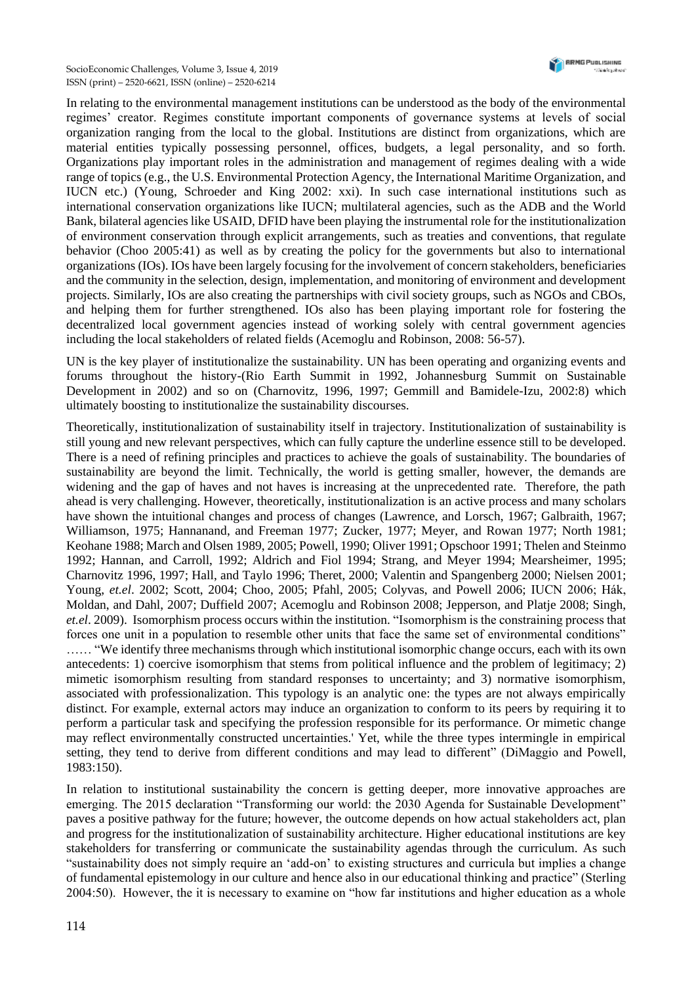In relating to the environmental management institutions can be understood as the body of the environmental regimes' creator. Regimes constitute important components of governance systems at levels of social organization ranging from the local to the global. Institutions are distinct from organizations, which are material entities typically possessing personnel, offices, budgets, a legal personality, and so forth. Organizations play important roles in the administration and management of regimes dealing with a wide range of topics (e.g., the U.S. Environmental Protection Agency, the International Maritime Organization, and IUCN etc.) (Young, Schroeder and King 2002: xxi). In such case international institutions such as international conservation organizations like IUCN; multilateral agencies, such as the ADB and the World Bank, bilateral agencies like USAID, DFID have been playing the instrumental role for the institutionalization of environment conservation through explicit arrangements, such as treaties and conventions, that regulate behavior (Choo 2005:41) as well as by creating the policy for the governments but also to international organizations (IOs). IOs have been largely focusing for the involvement of concern stakeholders, beneficiaries and the community in the selection, design, implementation, and monitoring of environment and development projects. Similarly, IOs are also creating the partnerships with civil society groups, such as NGOs and CBOs, and helping them for further strengthened. IOs also has been playing important role for fostering the decentralized local government agencies instead of working solely with central government agencies including the local stakeholders of related fields (Acemoglu and Robinson, 2008: 56-57).

UN is the key player of institutionalize the sustainability. UN has been operating and organizing events and forums throughout the history-(Rio Earth Summit in 1992, Johannesburg Summit on Sustainable Development in 2002) and so on (Charnovitz, 1996, 1997; Gemmill and Bamidele-Izu, 2002:8) which ultimately boosting to institutionalize the sustainability discourses.

Theoretically, institutionalization of sustainability itself in trajectory. Institutionalization of sustainability is still young and new relevant perspectives, which can fully capture the underline essence still to be developed. There is a need of refining principles and practices to achieve the goals of sustainability. The boundaries of sustainability are beyond the limit. Technically, the world is getting smaller, however, the demands are widening and the gap of haves and not haves is increasing at the unprecedented rate. Therefore, the path ahead is very challenging. However, theoretically, institutionalization is an active process and many scholars have shown the intuitional changes and process of changes (Lawrence, and Lorsch, 1967; Galbraith, 1967; Williamson, 1975; Hannanand, and Freeman 1977; Zucker, 1977; Meyer, and Rowan 1977; North 1981; Keohane 1988; March and Olsen 1989, 2005; Powell, 1990; Oliver 1991; Opschoor 1991; Thelen and Steinmo 1992; Hannan, and Carroll, 1992; Aldrich and Fiol 1994; Strang, and Meyer 1994; Mearsheimer, 1995; Charnovitz 1996, 1997; Hall, and Taylo 1996; Theret, 2000; Valentin and Spangenberg 2000; Nielsen 2001; Young, *et.el*. 2002; Scott, 2004; Choo, 2005; Pfahl, 2005; Colyvas, and Powell 2006; IUCN 2006; Hák, Moldan, and Dahl, 2007; Duffield 2007; Acemoglu and Robinson 2008; Jepperson, and Platje 2008; Singh, *et.el*. 2009). Isomorphism process occurs within the institution. "Isomorphism is the constraining process that forces one unit in a population to resemble other units that face the same set of environmental conditions" …… "We identify three mechanisms through which institutional isomorphic change occurs, each with its own antecedents: 1) coercive isomorphism that stems from political influence and the problem of legitimacy; 2) mimetic isomorphism resulting from standard responses to uncertainty; and 3) normative isomorphism, associated with professionalization. This typology is an analytic one: the types are not always empirically distinct. For example, external actors may induce an organization to conform to its peers by requiring it to perform a particular task and specifying the profession responsible for its performance. Or mimetic change may reflect environmentally constructed uncertainties.' Yet, while the three types intermingle in empirical setting, they tend to derive from different conditions and may lead to different" (DiMaggio and Powell, 1983:150).

In relation to institutional sustainability the concern is getting deeper, more innovative approaches are emerging. The 2015 declaration "Transforming our world: the 2030 Agenda for Sustainable Development" paves a positive pathway for the future; however, the outcome depends on how actual stakeholders act, plan and progress for the institutionalization of sustainability architecture. Higher educational institutions are key stakeholders for transferring or communicate the sustainability agendas through the curriculum. As such "sustainability does not simply require an 'add-on' to existing structures and curricula but implies a change of fundamental epistemology in our culture and hence also in our educational thinking and practice" (Sterling 2004:50). However, the it is necessary to examine on "how far institutions and higher education as a whole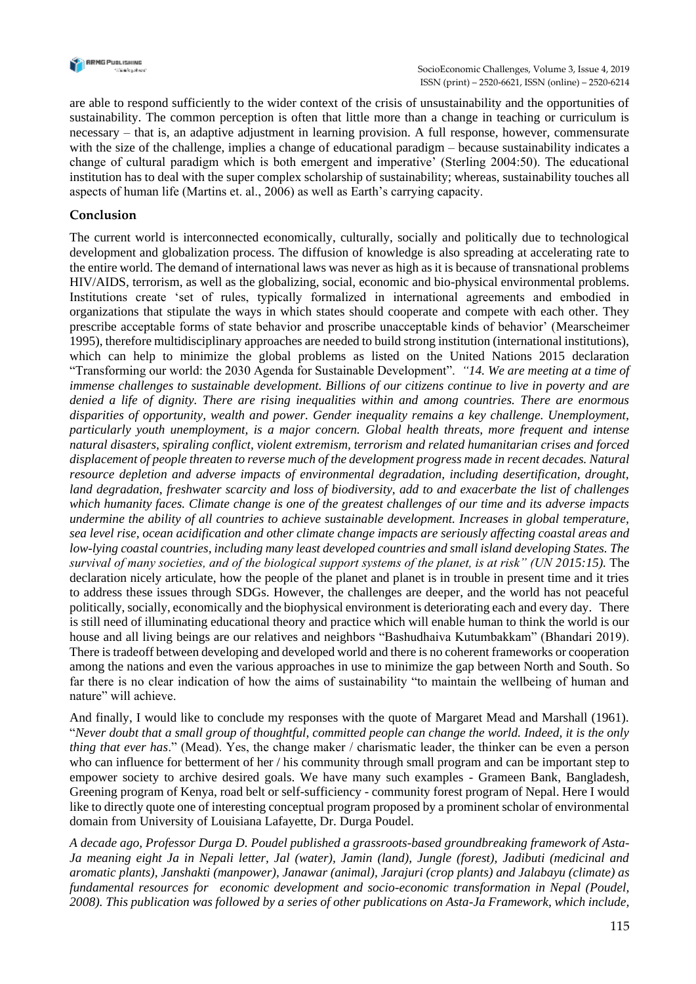

are able to respond sufficiently to the wider context of the crisis of unsustainability and the opportunities of sustainability. The common perception is often that little more than a change in teaching or curriculum is necessary – that is, an adaptive adjustment in learning provision. A full response, however, commensurate with the size of the challenge, implies a change of educational paradigm – because sustainability indicates a change of cultural paradigm which is both emergent and imperative' (Sterling 2004:50). The educational institution has to deal with the super complex scholarship of sustainability; whereas, sustainability touches all aspects of human life (Martins et. al., 2006) as well as Earth's carrying capacity.

## **Conclusion**

The current world is interconnected economically, culturally, socially and politically due to technological development and globalization process. The diffusion of knowledge is also spreading at accelerating rate to the entire world. The demand of international laws was never as high as it is because of transnational problems HIV/AIDS, terrorism, as well as the globalizing, social, economic and bio-physical environmental problems. Institutions create 'set of rules, typically formalized in international agreements and embodied in organizations that stipulate the ways in which states should cooperate and compete with each other. They prescribe acceptable forms of state behavior and proscribe unacceptable kinds of behavior' (Mearscheimer 1995), therefore multidisciplinary approaches are needed to build strong institution (international institutions), which can help to minimize the global problems as listed on the United Nations 2015 declaration "Transforming our world: the 2030 Agenda for Sustainable Development". *"14. We are meeting at a time of immense challenges to sustainable development. Billions of our citizens continue to live in poverty and are denied a life of dignity. There are rising inequalities within and among countries. There are enormous disparities of opportunity, wealth and power. Gender inequality remains a key challenge. Unemployment, particularly youth unemployment, is a major concern. Global health threats, more frequent and intense natural disasters, spiraling conflict, violent extremism, terrorism and related humanitarian crises and forced displacement of people threaten to reverse much of the development progress made in recent decades. Natural resource depletion and adverse impacts of environmental degradation, including desertification, drought, land degradation, freshwater scarcity and loss of biodiversity, add to and exacerbate the list of challenges which humanity faces. Climate change is one of the greatest challenges of our time and its adverse impacts undermine the ability of all countries to achieve sustainable development. Increases in global temperature, sea level rise, ocean acidification and other climate change impacts are seriously affecting coastal areas and low-lying coastal countries, including many least developed countries and small island developing States. The survival of many societies, and of the biological support systems of the planet, is at risk" (UN 2015:15).* The declaration nicely articulate, how the people of the planet and planet is in trouble in present time and it tries to address these issues through SDGs. However, the challenges are deeper, and the world has not peaceful politically, socially, economically and the biophysical environment is deteriorating each and every day. There is still need of illuminating educational theory and practice which will enable human to think the world is our house and all living beings are our relatives and neighbors "Bashudhaiva Kutumbakkam" (Bhandari 2019). There is tradeoff between developing and developed world and there is no coherent frameworks or cooperation among the nations and even the various approaches in use to minimize the gap between North and South. So far there is no clear indication of how the aims of sustainability "to maintain the wellbeing of human and nature" will achieve.

And finally, I would like to conclude my responses with the quote of Margaret Mead and Marshall (1961). "*Never doubt that a small group of thoughtful, committed people can change the world. Indeed, it is the only thing that ever has*." (Mead). Yes, the change maker / charismatic leader, the thinker can be even a person who can influence for betterment of her / his community through small program and can be important step to empower society to archive desired goals. We have many such examples - Grameen Bank, Bangladesh, Greening program of Kenya, road belt or self-sufficiency - community forest program of Nepal. Here I would like to directly quote one of interesting conceptual program proposed by a prominent scholar of environmental domain from University of Louisiana Lafayette, Dr. Durga Poudel.

*A decade ago, Professor Durga D. Poudel published a grassroots-based groundbreaking framework of Asta-Ja meaning eight Ja in Nepali letter, Jal (water), Jamin (land), Jungle (forest), Jadibuti (medicinal and aromatic plants), Janshakti (manpower), Janawar (animal), Jarajuri (crop plants) and Jalabayu (climate) as fundamental resources for economic development and socio-economic transformation in Nepal (Poudel, 2008). This publication was followed by a series of other publications on Asta-Ja Framework, which include,*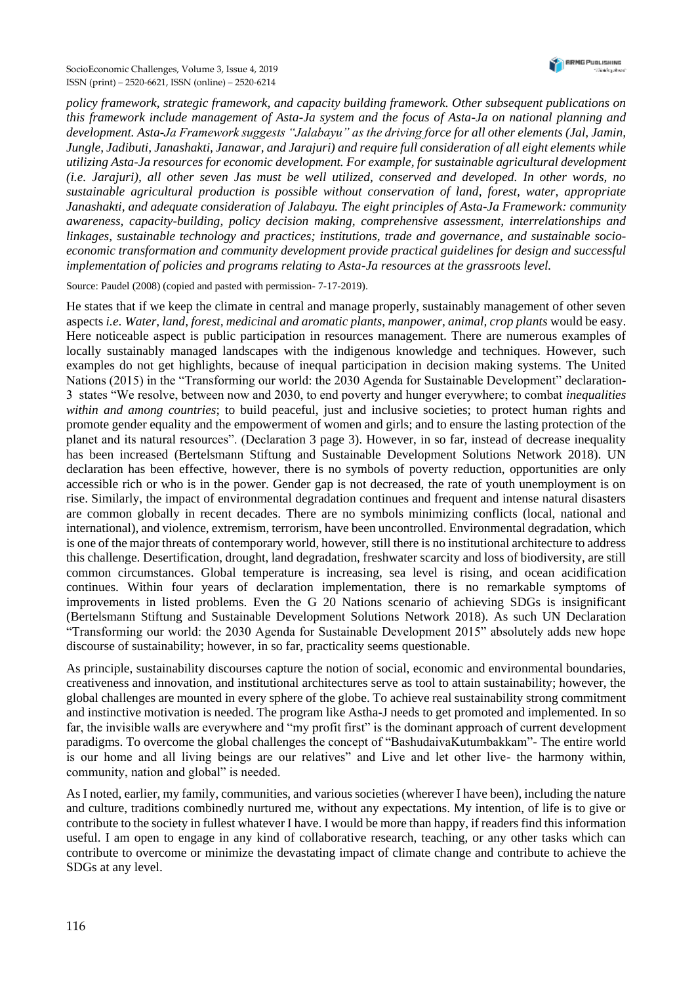*policy framework, strategic framework, and capacity building framework. Other subsequent publications on this framework include management of Asta-Ja system and the focus of Asta-Ja on national planning and development. Asta-Ja Framework suggests "Jalabayu" as the driving force for all other elements (Jal, Jamin, Jungle, Jadibuti, Janashakti, Janawar, and Jarajuri) and require full consideration of all eight elements while utilizing Asta-Ja resources for economic development. For example, for sustainable agricultural development (i.e. Jarajuri), all other seven Jas must be well utilized, conserved and developed. In other words, no sustainable agricultural production is possible without conservation of land, forest, water, appropriate Janashakti, and adequate consideration of Jalabayu. The eight principles of Asta-Ja Framework: community awareness, capacity-building, policy decision making, comprehensive assessment, interrelationships and linkages, sustainable technology and practices; institutions, trade and governance, and sustainable socioeconomic transformation and community development provide practical guidelines for design and successful implementation of policies and programs relating to Asta-Ja resources at the grassroots level.*

Source: Paudel (2008) (copied and pasted with permission- 7-17-2019).

He states that if we keep the climate in central and manage properly, sustainably management of other seven aspects *i.e*. *Water, land, forest, medicinal and aromatic plants, manpower, animal, crop plants* would be easy. Here noticeable aspect is public participation in resources management. There are numerous examples of locally sustainably managed landscapes with the indigenous knowledge and techniques. However, such examples do not get highlights, because of inequal participation in decision making systems. The United Nations (2015) in the "Transforming our world: the 2030 Agenda for Sustainable Development" declaration-3 states "We resolve, between now and 2030, to end poverty and hunger everywhere; to combat *inequalities within and among countries*; to build peaceful, just and inclusive societies; to protect human rights and promote gender equality and the empowerment of women and girls; and to ensure the lasting protection of the planet and its natural resources". (Declaration 3 page 3). However, in so far, instead of decrease inequality has been increased (Bertelsmann Stiftung and Sustainable Development Solutions Network 2018). UN declaration has been effective, however, there is no symbols of poverty reduction, opportunities are only accessible rich or who is in the power. Gender gap is not decreased, the rate of youth unemployment is on rise. Similarly, the impact of environmental degradation continues and frequent and intense natural disasters are common globally in recent decades. There are no symbols minimizing conflicts (local, national and international), and violence, extremism, terrorism, have been uncontrolled. Environmental degradation, which is one of the major threats of contemporary world, however, still there is no institutional architecture to address this challenge. Desertification, drought, land degradation, freshwater scarcity and loss of biodiversity, are still common circumstances. Global temperature is increasing, sea level is rising, and ocean acidification continues. Within four years of declaration implementation, there is no remarkable symptoms of improvements in listed problems. Even the G 20 Nations scenario of achieving SDGs is insignificant (Bertelsmann Stiftung and Sustainable Development Solutions Network 2018). As such UN Declaration "Transforming our world: the 2030 Agenda for Sustainable Development 2015" absolutely adds new hope discourse of sustainability; however, in so far, practicality seems questionable.

As principle, sustainability discourses capture the notion of social, economic and environmental boundaries, creativeness and innovation, and institutional architectures serve as tool to attain sustainability; however, the global challenges are mounted in every sphere of the globe. To achieve real sustainability strong commitment and instinctive motivation is needed. The program like Astha-J needs to get promoted and implemented. In so far, the invisible walls are everywhere and "my profit first" is the dominant approach of current development paradigms. To overcome the global challenges the concept of "BashudaivaKutumbakkam"- The entire world is our home and all living beings are our relatives" and Live and let other live- the harmony within, community, nation and global" is needed.

As I noted, earlier, my family, communities, and various societies (wherever I have been), including the nature and culture, traditions combinedly nurtured me, without any expectations. My intention, of life is to give or contribute to the society in fullest whatever I have. I would be more than happy, if readers find this information useful. I am open to engage in any kind of collaborative research, teaching, or any other tasks which can contribute to overcome or minimize the devastating impact of climate change and contribute to achieve the SDGs at any level.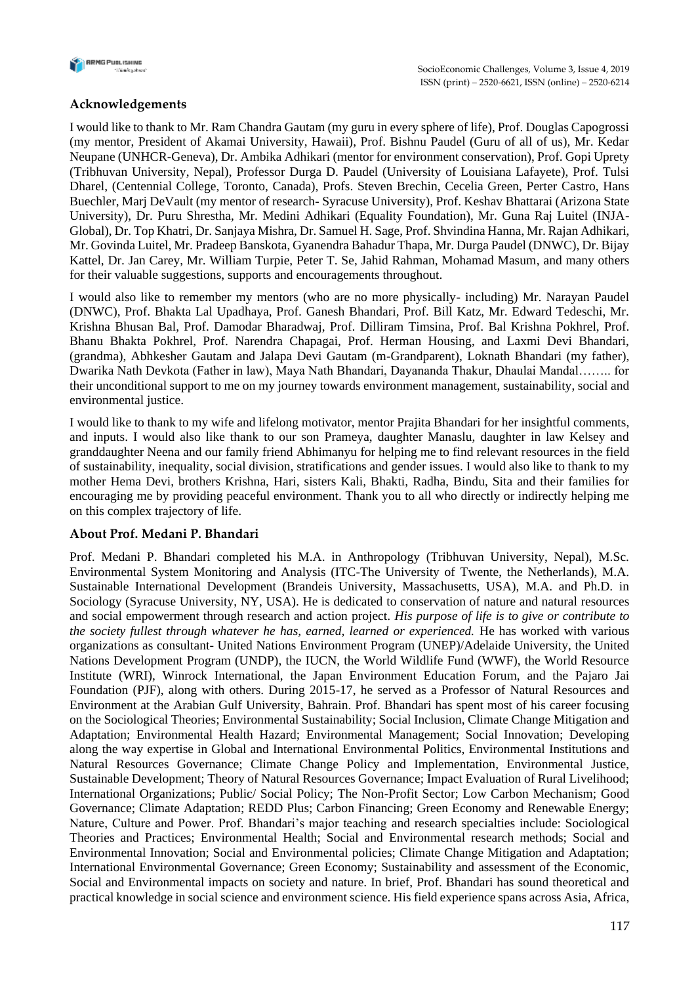

## **Acknowledgements**

I would like to thank to Mr. Ram Chandra Gautam (my guru in every sphere of life), Prof. Douglas Capogrossi (my mentor, President of Akamai University, Hawaii), Prof. Bishnu Paudel (Guru of all of us), Mr. Kedar Neupane (UNHCR-Geneva), Dr. Ambika Adhikari (mentor for environment conservation), Prof. Gopi Uprety (Tribhuvan University, Nepal), Professor Durga D. Paudel (University of Louisiana Lafayete), Prof. Tulsi Dharel, (Centennial College, Toronto, Canada), Profs. Steven Brechin, Cecelia Green, Perter Castro, Hans Buechler, Marj DeVault (my mentor of research- Syracuse University), Prof. Keshav Bhattarai (Arizona State University), Dr. Puru Shrestha, Mr. Medini Adhikari (Equality Foundation), Mr. Guna Raj Luitel (INJA-Global), Dr. Top Khatri, Dr. Sanjaya Mishra, Dr. Samuel H. Sage, Prof. Shvindina Hanna, Mr. Rajan Adhikari, Mr. Govinda Luitel, Mr. Pradeep Banskota, Gyanendra Bahadur Thapa, Mr. Durga Paudel (DNWC), Dr. Bijay Kattel, Dr. Jan Carey, Mr. William Turpie, Peter T. Se, Jahid Rahman, Mohamad Masum, and many others for their valuable suggestions, supports and encouragements throughout.

I would also like to remember my mentors (who are no more physically- including) Mr. Narayan Paudel (DNWC), Prof. Bhakta Lal Upadhaya, Prof. Ganesh Bhandari, Prof. Bill Katz, Mr. Edward Tedeschi, Mr. Krishna Bhusan Bal, Prof. Damodar Bharadwaj, Prof. Dilliram Timsina, Prof. Bal Krishna Pokhrel, Prof. Bhanu Bhakta Pokhrel, Prof. Narendra Chapagai, Prof. Herman Housing, and Laxmi Devi Bhandari, (grandma), Abhkesher Gautam and Jalapa Devi Gautam (m-Grandparent), Loknath Bhandari (my father), Dwarika Nath Devkota (Father in law), Maya Nath Bhandari, Dayananda Thakur, Dhaulai Mandal…….. for their unconditional support to me on my journey towards environment management, sustainability, social and environmental justice.

I would like to thank to my wife and lifelong motivator, mentor Prajita Bhandari for her insightful comments, and inputs. I would also like thank to our son Prameya, daughter Manaslu, daughter in law Kelsey and granddaughter Neena and our family friend Abhimanyu for helping me to find relevant resources in the field of sustainability, inequality, social division, stratifications and gender issues. I would also like to thank to my mother Hema Devi, brothers Krishna, Hari, sisters Kali, Bhakti, Radha, Bindu, Sita and their families for encouraging me by providing peaceful environment. Thank you to all who directly or indirectly helping me on this complex trajectory of life.

## **About Prof. Medani P. Bhandari**

Prof. Medani P. Bhandari completed his M.A. in Anthropology (Tribhuvan University, Nepal), M.Sc. Environmental System Monitoring and Analysis (ITC-The University of Twente, the Netherlands), M.A. Sustainable International Development (Brandeis University, Massachusetts, USA), M.A. and Ph.D. in Sociology (Syracuse University, NY, USA). He is dedicated to conservation of nature and natural resources and social empowerment through research and action project. *His purpose of life is to give or contribute to the society fullest through whatever he has, earned, learned or experienced.* He has worked with various organizations as consultant- United Nations Environment Program (UNEP)/Adelaide University, the United Nations Development Program (UNDP), the IUCN, the World Wildlife Fund (WWF), the World Resource Institute (WRI), Winrock International, the Japan Environment Education Forum, and the Pajaro Jai Foundation (PJF), along with others. During 2015-17, he served as a Professor of Natural Resources and Environment at the Arabian Gulf University, Bahrain. Prof. Bhandari has spent most of his career focusing on the Sociological Theories; Environmental Sustainability; Social Inclusion, Climate Change Mitigation and Adaptation; Environmental Health Hazard; Environmental Management; Social Innovation; Developing along the way expertise in Global and International Environmental Politics, Environmental Institutions and Natural Resources Governance; Climate Change Policy and Implementation, Environmental Justice, Sustainable Development; Theory of Natural Resources Governance; Impact Evaluation of Rural Livelihood; International Organizations; Public/ Social Policy; The Non-Profit Sector; Low Carbon Mechanism; Good Governance; Climate Adaptation; REDD Plus; Carbon Financing; Green Economy and Renewable Energy; Nature, Culture and Power. Prof. Bhandari's major teaching and research specialties include: Sociological Theories and Practices; Environmental Health; Social and Environmental research methods; Social and Environmental Innovation; Social and Environmental policies; Climate Change Mitigation and Adaptation; International Environmental Governance; Green Economy; Sustainability and assessment of the Economic, Social and Environmental impacts on society and nature. In brief, Prof. Bhandari has sound theoretical and practical knowledge in social science and environment science. His field experience spans across Asia, Africa,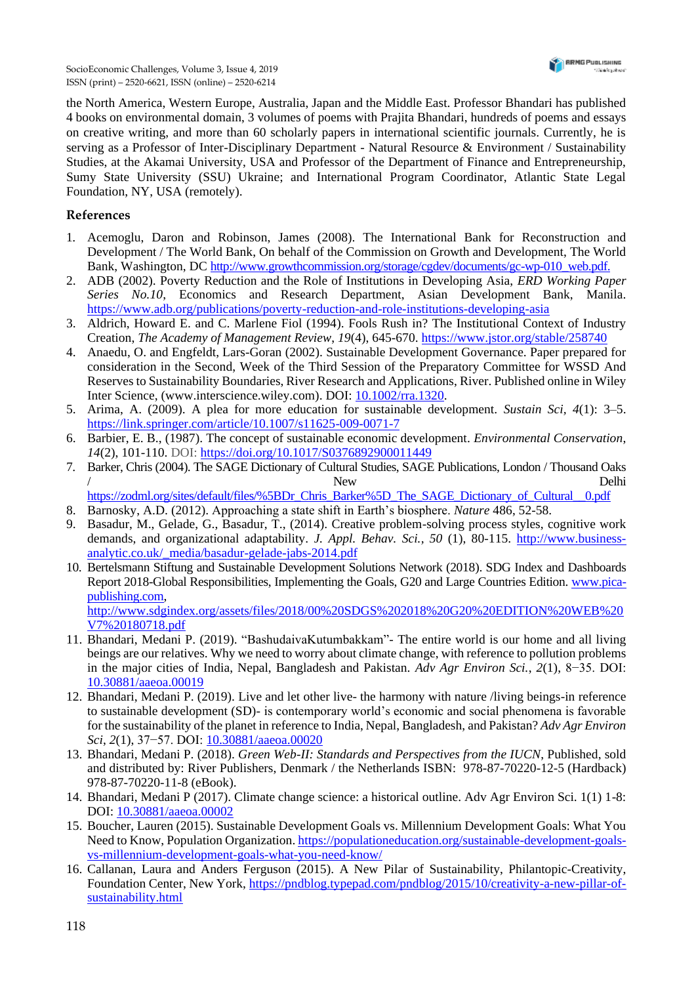the North America, Western Europe, Australia, Japan and the Middle East. Professor Bhandari has published 4 books on environmental domain, 3 volumes of poems with Prajita Bhandari, hundreds of poems and essays on creative writing, and more than 60 scholarly papers in international scientific journals. Currently, he is serving as a Professor of Inter-Disciplinary Department - Natural Resource & Environment / Sustainability Studies, at the Akamai University, USA and Professor of the Department of Finance and Entrepreneurship, Sumy State University (SSU) Ukraine; and International Program Coordinator, Atlantic State Legal Foundation, NY, USA (remotely).

## **References**

- 1. Acemoglu, Daron and Robinson, James (2008). The International Bank for Reconstruction and Development / The World Bank, On behalf of the Commission on Growth and Development, The World Bank, Washington, DC [http://www.growthcommission.org/storage/cgdev/documents/gc-wp-010\\_web.pdf.](http://www.growthcommission.org/storage/cgdev/documents/gc-wp-010_web.pdf)
- 2. ADB (2002). Poverty Reduction and the Role of Institutions in Developing Asia, *ERD Working Paper Series No.10*, Economics and Research Department, Asian Development Bank, Manila. <https://www.adb.org/publications/poverty-reduction-and-role-institutions-developing-asia>
- 3. Aldrich, Howard E. and C. Marlene Fiol (1994). Fools Rush in? The Institutional Context of Industry Creation, *The Academy of Management Review*, *19*(4), 645-670. <https://www.jstor.org/stable/258740>
- 4. Anaedu, O. and Engfeldt, Lars-Goran (2002). Sustainable Development Governance. Paper prepared for consideration in the Second, Week of the Third Session of the Preparatory Committee for WSSD And Reserves to Sustainability Boundaries, River Research and Applications, River. Published online in Wiley Inter Science, (www.interscience.wiley.com). DOI: [10.1002/rra.1320.](10.1002/rra.1320)
- 5. Arima, A. (2009). A plea for more education for sustainable development. *Sustain Sci, 4*(1): 3–5. <https://link.springer.com/article/10.1007/s11625-009-0071-7>
- 6. Barbier, E. B., (1987). The concept of sustainable economic development. *Environmental Conservation*, *14*(2), 101-110. DOI: <https://doi.org/10.1017/S0376892900011449>
- 7. Barker, Chris (2004). The SAGE Dictionary of Cultural Studies, SAGE Publications, London / Thousand Oaks / New Delhi [https://zodml.org/sites/default/files/%5BDr\\_Chris\\_Barker%5D\\_The\\_SAGE\\_Dictionary\\_of\\_Cultural\\_\\_0.pdf](https://zodml.org/sites/default/files/%5BDr_Chris_Barker%5D_The_SAGE_Dictionary_of_Cultural__0.pdf)
- 8. Barnosky, A.D. (2012). Approaching a state shift in Earth's biosphere. *Nature* 486, 52-58.
- 9. Basadur, M., Gelade, G., Basadur, T., (2014). Creative problem-solving process styles, cognitive work demands, and organizational adaptability. *J. Appl. Behav. Sci., 50* (1), 80-115. [http://www.business](http://www.business-analytic.co.uk/_media/basadur-gelade-jabs-2014.pdf)[analytic.co.uk/\\_media/basadur-gelade-jabs-2014.pdf](http://www.business-analytic.co.uk/_media/basadur-gelade-jabs-2014.pdf)
- 10. Bertelsmann Stiftung and Sustainable Development Solutions Network (2018). SDG Index and Dashboards Report 2018-Global Responsibilities, Implementing the Goals, G20 and Large Countries Edition. [www.pica](http://www.pica-publishing.com/)[publishing.com,](http://www.pica-publishing.com/) [http://www.sdgindex.org/assets/files/2018/00%20SDGS%202018%20G20%20EDITION%20WEB%20](http://www.sdgindex.org/assets/files/2018/00%20SDGS%202018%20G20%20EDITION%20WEB%20V7%20180718.pdf) [V7%20180718.pdf](http://www.sdgindex.org/assets/files/2018/00%20SDGS%202018%20G20%20EDITION%20WEB%20V7%20180718.pdf)
- 11. Bhandari, Medani P. (2019). "BashudaivaKutumbakkam"- The entire world is our home and all living beings are our relatives. Why we need to worry about climate change, with reference to pollution problems in the major cities of India, Nepal, Bangladesh and Pakistan. *Adv Agr Environ Sci.*, *2*(1), 8−35. DOI: 10.30881/aaeoa.00019
- 12. Bhandari, Medani P. (2019). Live and let other live- the harmony with nature /living beings-in reference to sustainable development (SD)- is contemporary world's economic and social phenomena is favorable for the sustainability of the planet in reference to India, Nepal, Bangladesh, and Pakistan? *Adv Agr Environ Sci*, *2*(1), 37−57. DOI: 10.30881/aaeoa.00020
- 13. Bhandari, Medani P. (2018). *Green Web-II: Standards and Perspectives from the IUCN*, Published, sold and distributed by: River Publishers, Denmark / the Netherlands ISBN: 978-87-70220-12-5 (Hardback) 978-87-70220-11-8 (eBook).
- 14. Bhandari, Medani P (2017). Climate change science: a historical outline. Adv Agr Environ Sci. 1(1) 1-8: DOI: 10.30881/aaeoa.00002
- 15. Boucher, Lauren (2015). Sustainable Development Goals vs. Millennium Development Goals: What You Need to Know, Population Organization. [https://populationeducation.org/sustainable-development-goals](https://populationeducation.org/sustainable-development-goals-vs-millennium-development-goals-what-you-need-know/)[vs-millennium-development-goals-what-you-need-know/](https://populationeducation.org/sustainable-development-goals-vs-millennium-development-goals-what-you-need-know/)
- 16. Callanan, Laura and Anders Ferguson (2015). A New Pilar of Sustainability, Philantopic-Creativity, Foundation Center, New York, [https://pndblog.typepad.com/pndblog/2015/10/creativity-a-new-pillar-of](https://pndblog.typepad.com/pndblog/2015/10/creativity-a-new-pillar-of-sustainability.html)[sustainability.html](https://pndblog.typepad.com/pndblog/2015/10/creativity-a-new-pillar-of-sustainability.html)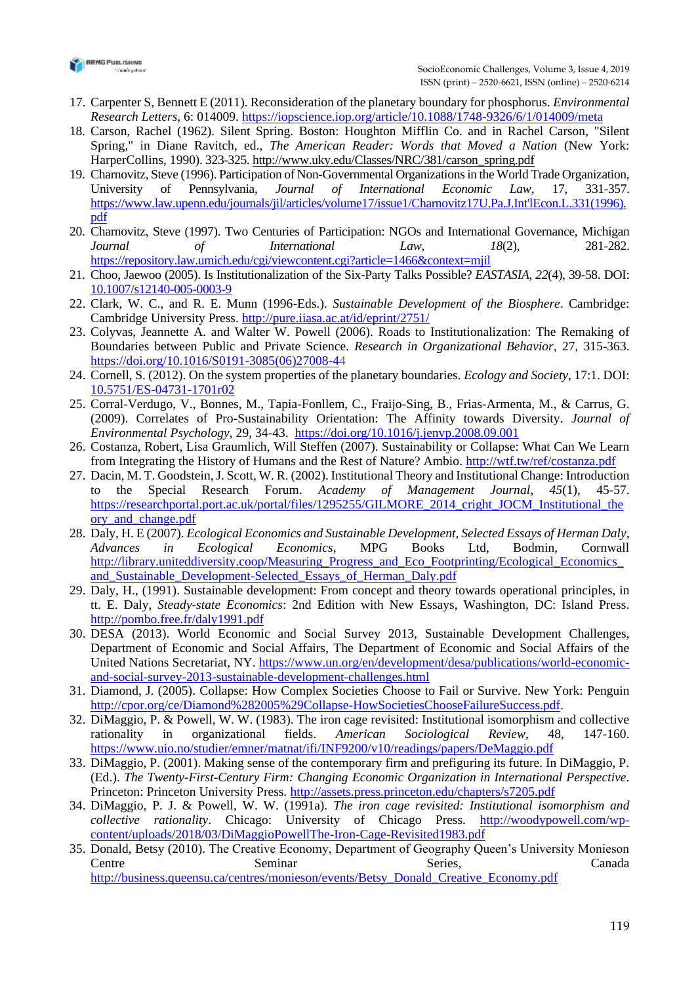

- 17. Carpenter S, Bennett E (2011). Reconsideration of the planetary boundary for phosphorus. *Environmental Research Letters*, 6: 014009. <https://iopscience.iop.org/article/10.1088/1748-9326/6/1/014009/meta>
- 18. Carson, Rachel (1962). Silent Spring. Boston: Houghton Mifflin Co. and in Rachel Carson, "Silent Spring," in Diane Ravitch, ed., *The American Reader: Words that Moved a Nation* (New York: HarperCollins, 1990). 323-325. [http://www.uky.edu/Classes/NRC/381/carson\\_spring.pdf](http://www.uky.edu/Classes/NRC/381/carson_spring.pdf)
- 19. Charnovitz, Steve (1996). Participation of Non-Governmental Organizations in the World Trade Organization, University of Pennsylvania, *Journal of International Economic Law*, 17, 331-357. [https://www.law.upenn.edu/journals/jil/articles/volume17/issue1/Charnovitz17U.Pa.J.Int'lEcon.L.331\(1996\).](https://www.law.upenn.edu/journals/jil/articles/volume17/issue1/Charnovitz17U.Pa.J.Int) [pdf](https://www.law.upenn.edu/journals/jil/articles/volume17/issue1/Charnovitz17U.Pa.J.Int)
- 20. Charnovitz, Steve (1997). Two Centuries of Participation: NGOs and International Governance, Michigan *Journal of International Law*, *18*(2), 281-282. <https://repository.law.umich.edu/cgi/viewcontent.cgi?article=1466&context=mjil>
- 21. Choo, Jaewoo (2005). Is Institutionalization of the Six-Party Talks Possible? *EASTASIA*, *22*(4), 39-58. DOI: <10.1007/s12140-005-0003-9>
- 22. Clark, W. C., and R. E. Munn (1996-Eds.). *Sustainable Development of the Biosphere*. Cambridge: Cambridge University Press.<http://pure.iiasa.ac.at/id/eprint/2751/>
- 23. Colyvas, Jeannette A. and Walter W. Powell (2006). Roads to Institutionalization: The Remaking of Boundaries between Public and Private Science. *Research in Organizational Behavior*, 27, 315-363[.](https://doi.org/10.1016/S0191-3085(06)27008-4) [https://doi.org/10.1016/S0191-3085\(06\)27008-44](https://doi.org/10.1016/S0191-3085(06)27008-4)
- 24. Cornell, S. (2012). On the system properties of the planetary boundaries*. Ecology and Society*, 17:1. DOI: [10.5751/ES-04731-1701r02](doi:%2010.5751/ES-04731-1701r02)
- 25. Corral-Verdugo, V., Bonnes, M., Tapia-Fonllem, C., Fraijo-Sing, B., Frias-Armenta, M., & Carrus, G. (2009). Correlates of Pro-Sustainability Orientation: The Affinity towards Diversity. *Journal of Environmental Psychology*, 29, 34-43. <https://doi.org/10.1016/j.jenvp.2008.09.001>
- 26. Costanza, Robert, Lisa Graumlich, Will Steffen (2007). Sustainability or Collapse: What Can We Learn from Integrating the History of Humans and the Rest of Nature? Ambio. <http://wtf.tw/ref/costanza.pdf>
- 27. Dacin, M. T. Goodstein, J. Scott, W. R. (2002). Institutional Theory and Institutional Change: Introduction to the Special Research Forum. *Academy of Management Journal*, *45*(1), 45-57. [https://researchportal.port.ac.uk/portal/files/1295255/GILMORE\\_2014\\_cright\\_JOCM\\_Institutional\\_the](https://researchportal.port.ac.uk/portal/files/1295255/GILMORE_2014_cright_JOCM_Institutional_theory_and_change.pdf) [ory\\_and\\_change.pdf](https://researchportal.port.ac.uk/portal/files/1295255/GILMORE_2014_cright_JOCM_Institutional_theory_and_change.pdf)
- 28. Daly, H. E (2007). *Ecological Economics and Sustainable Development, Selected Essays of Herman Daly, Advances in Ecological Economics*, MPG Books Ltd, Bodmin, Cornwall [http://library.uniteddiversity.coop/Measuring\\_Progress\\_and\\_Eco\\_Footprinting/Ecological\\_Economics\\_](http://library.uniteddiversity.coop/Measuring_Progress_and_Eco_Footprinting/Ecological_Economics_and_Sustainable_Development-Selected_Essays_of_Herman_Daly.pdf) [and\\_Sustainable\\_Development-Selected\\_Essays\\_of\\_Herman\\_Daly.pdf](http://library.uniteddiversity.coop/Measuring_Progress_and_Eco_Footprinting/Ecological_Economics_and_Sustainable_Development-Selected_Essays_of_Herman_Daly.pdf)
- 29. Daly, H., (1991). Sustainable development: From concept and theory towards operational principles, in tt. E. Daly, *Steady-state Economics*: 2nd Edition with New Essays, Washington, DC: Island Press. <http://pombo.free.fr/daly1991.pdf>
- 30. DESA (2013). World Economic and Social Survey 2013, Sustainable Development Challenges, Department of Economic and Social Affairs, The Department of Economic and Social Affairs of the United Nations Secretariat, NY. [https://www.un.org/en/development/desa/publications/world-economic](https://www.un.org/en/development/desa/publications/world-economic-and-social-survey-2013-sustainable-development-challenges.html)[and-social-survey-2013-sustainable-development-challenges.html](https://www.un.org/en/development/desa/publications/world-economic-and-social-survey-2013-sustainable-development-challenges.html)
- 31. Diamond, J. (2005). Collapse: How Complex Societies Choose to Fail or Survive. New York: Penguin [http://cpor.org/ce/Diamond%282005%29Collapse-HowSocietiesChooseFailureSuccess.pdf.](http://cpor.org/ce/Diamond%282005%29Collapse-HowSocietiesChooseFailureSuccess.pdf)
- 32. DiMaggio, P. & Powell, W. W. (1983). The iron cage revisited: Institutional isomorphism and collective rationality in organizational fields. *American Sociological Review,* 48, 147-160. <https://www.uio.no/studier/emner/matnat/ifi/INF9200/v10/readings/papers/DeMaggio.pdf>
- 33. DiMaggio, P. (2001). Making sense of the contemporary firm and prefiguring its future. In DiMaggio, P. (Ed.). *The Twenty-First-Century Firm: Changing Economic Organization in International Perspective*. Princeton: Princeton University Press. <http://assets.press.princeton.edu/chapters/s7205.pdf>
- 34. DiMaggio, P. J. & Powell, W. W. (1991a). *The iron cage revisited: Institutional isomorphism and collective rationality*. Chicago: University of Chicago Press. [http://woodypowell.com/wp](http://woodypowell.com/wp-content/uploads/2018/03/DiMaggioPowellThe-Iron-Cage-Revisited1983.pdf)[content/uploads/2018/03/DiMaggioPowellThe-Iron-Cage-Revisited1983.pdf](http://woodypowell.com/wp-content/uploads/2018/03/DiMaggioPowellThe-Iron-Cage-Revisited1983.pdf)
- 35. Donald, Betsy (2010). The Creative Economy, Department of Geography Queen's University Monieson Centre Seminar Series, Canada [http://business.queensu.ca/centres/monieson/events/Betsy\\_Donald\\_Creative\\_Economy.pdf](http://business.queensu.ca/centres/monieson/events/Betsy_Donald_Creative_Economy.pdf)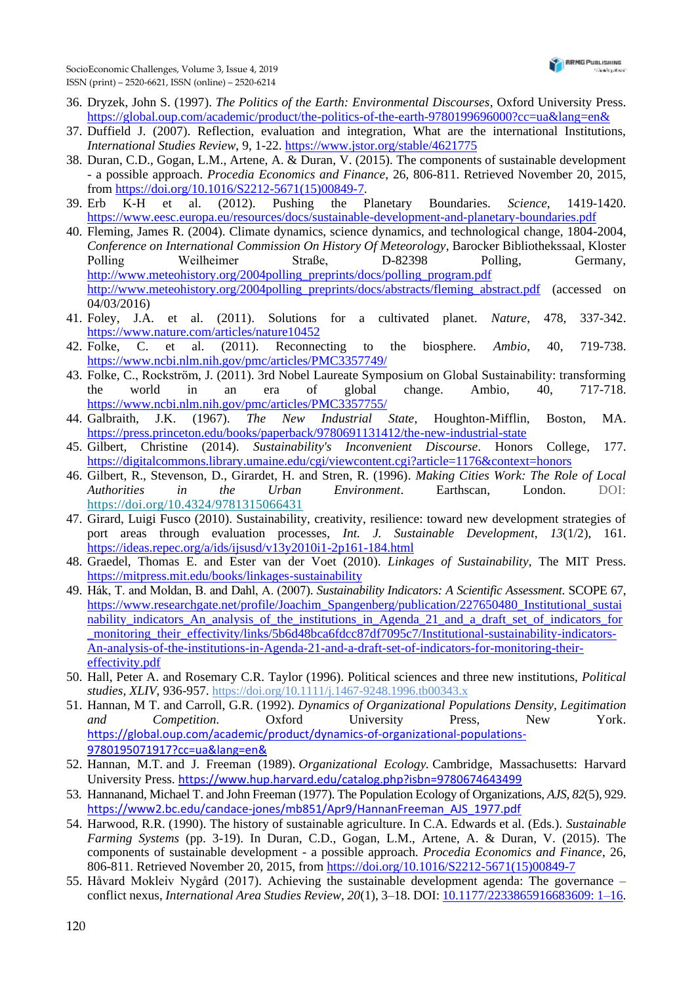- 36. Dryzek, John S. (1997). *The Politics of the Earth: Environmental Discourses*, Oxford University Press. <https://global.oup.com/academic/product/the-politics-of-the-earth-9780199696000?cc=ua&lang=en&>
- 37. Duffield J. (2007). Reflection, evaluation and integration, What are the international Institutions, *International Studies Review*, 9, 1-22. <https://www.jstor.org/stable/4621775>
- 38. Duran, C.D., Gogan, L.M., Artene, A. & Duran, V. (2015). The components of sustainable development - a possible approach. *Procedia Economics and Finance*, 26, 806-811. Retrieved November 20, 2015, from [https://doi.org/10.1016/S2212-5671\(15\)00849-7.](https://doi.org/10.1016/S2212-5671(15)00849-7)
- 39. Erb K-H et al. (2012). Pushing the Planetary Boundaries. *Science*, 1419-1420. <https://www.eesc.europa.eu/resources/docs/sustainable-development-and-planetary-boundaries.pdf>
- 40. Fleming, James R. (2004). Climate dynamics, science dynamics, and technological change, 1804-2004, *Conference on International Commission On History Of Meteorology*, Barocker Bibliothekssaal, Kloster Polling Weilheimer Straße, D-82398 Polling, Germany, [http://www.meteohistory.org/2004polling\\_preprints/docs/polling\\_program.pdf](http://www.meteohistory.org/2004polling_preprints/docs/polling_program.pdf) [http://www.meteohistory.org/2004polling\\_preprints/docs/abstracts/fleming\\_abstract.pdf](http://www.meteohistory.org/2004polling_preprints/docs/abstracts/fleming_abstract.pdf) (accessed on 04/03/2016)
- 41. Foley, J.A. et al. (2011). Solutions for a cultivated planet. *Nature*, 478, 337-342. <https://www.nature.com/articles/nature10452>
- 42. Folke, C. et al. (2011). Reconnecting to the biosphere. *Ambio*, 40, 719-738. <https://www.ncbi.nlm.nih.gov/pmc/articles/PMC3357749/>
- 43. Folke, C., Rockström, J. (2011). 3rd Nobel Laureate Symposium on Global Sustainability: transforming the world in an era of global change. Ambio, 40, 717-718. <https://www.ncbi.nlm.nih.gov/pmc/articles/PMC3357755/>
- 44. Galbraith, J.K. (1967). *The New Industrial State*, Houghton-Mifflin, Boston, MA. <https://press.princeton.edu/books/paperback/9780691131412/the-new-industrial-state>
- 45. Gilbert, Christine (2014). *Sustainability's Inconvenient Discourse*. Honors College, 177. <https://digitalcommons.library.umaine.edu/cgi/viewcontent.cgi?article=1176&context=honors>
- 46. Gilbert, R., Stevenson, D., Girardet, H. and Stren, R. (1996). *Making Cities Work: The Role of Local Authorities in the Urban Environment*. Earthscan, London. DOI: <https://doi.org/10.4324/9781315066431>
- 47. Girard, Luigi Fusco (2010). Sustainability, creativity, resilience: toward new development strategies of port areas through evaluation processes, *Int. J. Sustainable Development*, *13*(1/2), 161. <https://ideas.repec.org/a/ids/ijsusd/v13y2010i1-2p161-184.html>
- 48. Graedel, Thomas E. and Ester van der Voet (2010). *Linkages of Sustainability*, The MIT Press. <https://mitpress.mit.edu/books/linkages-sustainability>
- 49. Hák, T. and Moldan, B. and Dahl, A. (2007). *Sustainability Indicators: A Scientific Assessment*. SCOPE 67, [https://www.researchgate.net/profile/Joachim\\_Spangenberg/publication/227650480\\_Institutional\\_sustai](https://www.researchgate.net/profile/Joachim_Spangenberg/publication/227650480_Institutional_sustainability_indicators_An_analysis_of_the_institutions_in_Agenda_21_and_a_draft_set_of_indicators_for_monitoring_their_effectivity/links/5b6d48bca6fdcc87df7095c7/Institutional-sustainability-indicators-An-analysis-of-the-institutions-in-Agenda-21-and-a-draft-set-of-indicators-for-monitoring-their-effectivity.pdf) [nability\\_indicators\\_An\\_analysis\\_of\\_the\\_institutions\\_in\\_Agenda\\_21\\_and\\_a\\_draft\\_set\\_of\\_indicators\\_for](https://www.researchgate.net/profile/Joachim_Spangenberg/publication/227650480_Institutional_sustainability_indicators_An_analysis_of_the_institutions_in_Agenda_21_and_a_draft_set_of_indicators_for_monitoring_their_effectivity/links/5b6d48bca6fdcc87df7095c7/Institutional-sustainability-indicators-An-analysis-of-the-institutions-in-Agenda-21-and-a-draft-set-of-indicators-for-monitoring-their-effectivity.pdf) monitoring their effectivity/links/5b6d48bca6fdcc87df7095c7/Institutional-sustainability-indicators-[An-analysis-of-the-institutions-in-Agenda-21-and-a-draft-set-of-indicators-for-monitoring-their](https://www.researchgate.net/profile/Joachim_Spangenberg/publication/227650480_Institutional_sustainability_indicators_An_analysis_of_the_institutions_in_Agenda_21_and_a_draft_set_of_indicators_for_monitoring_their_effectivity/links/5b6d48bca6fdcc87df7095c7/Institutional-sustainability-indicators-An-analysis-of-the-institutions-in-Agenda-21-and-a-draft-set-of-indicators-for-monitoring-their-effectivity.pdf)[effectivity.pdf](https://www.researchgate.net/profile/Joachim_Spangenberg/publication/227650480_Institutional_sustainability_indicators_An_analysis_of_the_institutions_in_Agenda_21_and_a_draft_set_of_indicators_for_monitoring_their_effectivity/links/5b6d48bca6fdcc87df7095c7/Institutional-sustainability-indicators-An-analysis-of-the-institutions-in-Agenda-21-and-a-draft-set-of-indicators-for-monitoring-their-effectivity.pdf)
- 50. Hall, Peter A. and Rosemary C.R. Taylor (1996). Political sciences and three new institutions, *Political studies, XLIV*, 936-957. <https://doi.org/10.1111/j.1467-9248.1996.tb00343.x>
- 51. Hannan, M T. and Carroll, G.R. (1992). *Dynamics of Organizational Populations Density, Legitimation and Competition.* Oxford University Press, New York. [https://global.oup.com/academic/product/dynamics-of-organizational-populations-](https://global.oup.com/academic/product/dynamics-of-organizational-populations-9780195071917?cc=ua&lang=en&)[9780195071917?cc=ua&lang=en&](https://global.oup.com/academic/product/dynamics-of-organizational-populations-9780195071917?cc=ua&lang=en&)
- 52. [Hannan, M.T.](https://en.wikipedia.org/wiki/Hannan,_M.T.) and J. Freeman (1989). *Organizational Ecology.* Cambridge, Massachusetts: Harvard University Press. <https://www.hup.harvard.edu/catalog.php?isbn=9780674643499>
- 53. Hannanand, Michael T. and John Freeman (1977). The Population Ecology of Organizations, *AJS, 82*(5), 929. [https://www2.bc.edu/candace-jones/mb851/Apr9/HannanFreeman\\_AJS\\_1977.pdf](https://www2.bc.edu/candace-jones/mb851/Apr9/HannanFreeman_AJS_1977.pdf)
- 54. Harwood, R.R. (1990). The history of sustainable agriculture. In C.A. Edwards et al. (Eds.). *Sustainable Farming Systems* (pp. 3-19). In Duran, C.D., Gogan, L.M., Artene, A. & Duran, V. (2015). The components of sustainable development - a possible approach*. Procedia Economics and Finance*, 26, 806-811. Retrieved November 20, 2015, from [https://doi.org/10.1016/S2212-5671\(15\)00849-7](https://doi.org/10.1016/S2212-5671(15)00849-7)
- 55. Håvard Mokleiv Nygård (2017). Achieving the sustainable development agenda: The governance conflict nexus, *International Area Studies Review*, *20*(1), 3–18. DOI[: 10.1177/2233865916683609: 1–16.](10.1177/2233865916683609:%201–16)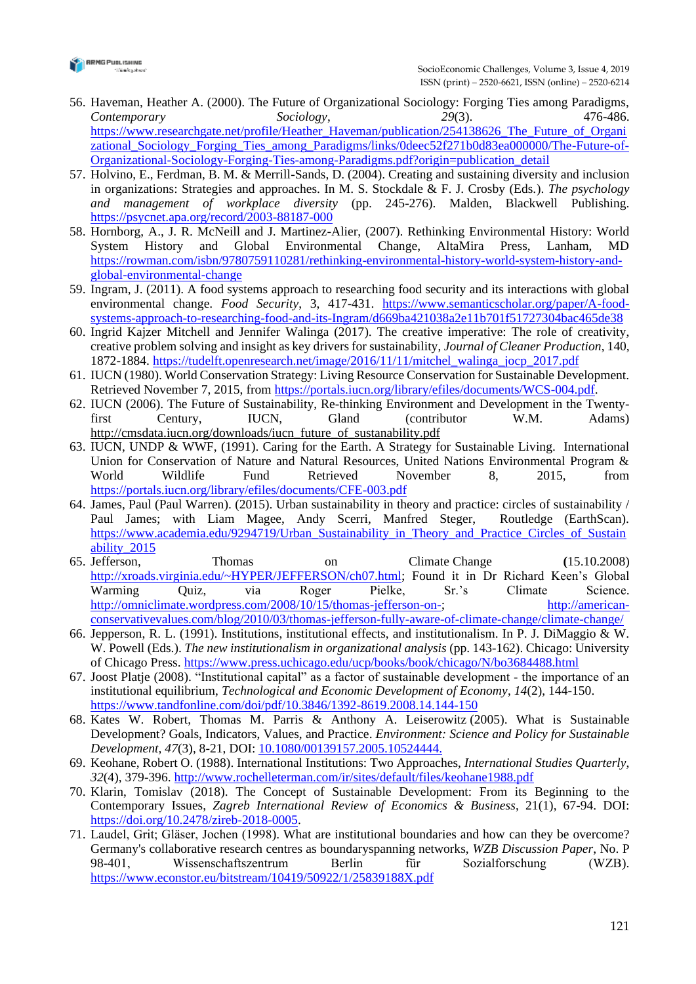

- 56. Haveman, Heather A. (2000). The Future of Organizational Sociology: Forging Ties among Paradigms, *Contemporary Sociology*, *29*(3). 476-486. [https://www.researchgate.net/profile/Heather\\_Haveman/publication/254138626\\_The\\_Future\\_of\\_Organi](https://www.researchgate.net/profile/Heather_Haveman/publication/254138626_The_Future_of_Organizational_Sociology_Forging_Ties_among_Paradigms/links/0deec52f271b0d83ea000000/The-Future-of-Organizational-Sociology-Forging-Ties-among-Paradigms.pdf?origin=publication_detail) [zational\\_Sociology\\_Forging\\_Ties\\_among\\_Paradigms/links/0deec52f271b0d83ea000000/The-Future-of-](https://www.researchgate.net/profile/Heather_Haveman/publication/254138626_The_Future_of_Organizational_Sociology_Forging_Ties_among_Paradigms/links/0deec52f271b0d83ea000000/The-Future-of-Organizational-Sociology-Forging-Ties-among-Paradigms.pdf?origin=publication_detail)[Organizational-Sociology-Forging-Ties-among-Paradigms.pdf?origin=publication\\_detail](https://www.researchgate.net/profile/Heather_Haveman/publication/254138626_The_Future_of_Organizational_Sociology_Forging_Ties_among_Paradigms/links/0deec52f271b0d83ea000000/The-Future-of-Organizational-Sociology-Forging-Ties-among-Paradigms.pdf?origin=publication_detail)
- 57. Holvino, E., Ferdman, B. M. & Merrill-Sands, D. (2004). Creating and sustaining diversity and inclusion in organizations: Strategies and approaches. In M. S. Stockdale & F. J. Crosby (Eds.). *The psychology and management of workplace diversity* (pp. 245-276). Malden, Blackwell Publishing. <https://psycnet.apa.org/record/2003-88187-000>
- 58. Hornborg, A., J. R. McNeill and J. Martinez-Alier, (2007). Rethinking Environmental History: World System History and Global Environmental Change, AltaMira Press, Lanham, MD [https://rowman.com/isbn/9780759110281/rethinking-environmental-history-world-system-history-and](https://rowman.com/isbn/9780759110281/rethinking-environmental-history-world-system-history-and-global-environmental-change)[global-environmental-change](https://rowman.com/isbn/9780759110281/rethinking-environmental-history-world-system-history-and-global-environmental-change)
- 59. Ingram, J. (2011). A food systems approach to researching food security and its interactions with global environmental change. *Food Security*, 3, 417-431. [https://www.semanticscholar.org/paper/A-food](https://www.semanticscholar.org/paper/A-food-systems-approach-to-researching-food-and-its-Ingram/d669ba421038a2e11b701f51727304bac465de38)[systems-approach-to-researching-food-and-its-Ingram/d669ba421038a2e11b701f51727304bac465de38](https://www.semanticscholar.org/paper/A-food-systems-approach-to-researching-food-and-its-Ingram/d669ba421038a2e11b701f51727304bac465de38)
- 60. Ingrid Kajzer Mitchell and Jennifer Walinga (2017). The creative imperative: The role of creativity, creative problem solving and insight as key drivers for sustainability, *Journal of Cleaner Production*, 140, 1872-1884. [https://tudelft.openresearch.net/image/2016/11/11/mitchel\\_walinga\\_jocp\\_2017.pdf](https://tudelft.openresearch.net/image/2016/11/11/mitchel_walinga_jocp_2017.pdf)
- 61. IUCN (1980). World Conservation Strategy: Living Resource Conservation for Sustainable Development. Retrieved November 7, 2015, from [https://portals.iucn.org/library/efiles/documents/WCS-004.pdf.](https://portals.iucn.org/library/efiles/documents/WCS-004.pdf)
- 62. IUCN (2006). The Future of Sustainability, Re-thinking Environment and Development in the Twentyfirst Century, IUCN, Gland (contributor W.M. Adams) [http://cmsdata.iucn.org/downloads/iucn\\_future\\_of\\_sustanability.pdf](http://cmsdata.iucn.org/downloads/iucn_future_of_sustanability.pdf)
- 63. IUCN, UNDP & WWF, (1991). Caring for the Earth. A Strategy for Sustainable Living. International Union for Conservation of Nature and Natural Resources, United Nations Environmental Program & World Wildlife Fund Retrieved November 8, 2015, from <https://portals.iucn.org/library/efiles/documents/CFE-003.pdf>
- 64. James, Paul (Paul Warren). (2015). Urban sustainability in theory and practice: circles of sustainability / Paul James; with Liam Magee, Andy Scerri, Manfred Steger, Routledge (EarthScan). [https://www.academia.edu/9294719/Urban\\_Sustainability\\_in\\_Theory\\_and\\_Practice\\_Circles\\_of\\_Sustain](https://www.academia.edu/9294719/Urban_Sustainability_in_Theory_and_Practice_Circles_of_Sustainability_2015) [ability\\_2015](https://www.academia.edu/9294719/Urban_Sustainability_in_Theory_and_Practice_Circles_of_Sustainability_2015)
- 65. Jefferson, Thomas on Climate Change **(**15.10.2008) [http://xroads.virginia.edu/~HYPER/JEFFERSON/ch07.html;](http://xroads.virginia.edu/~HYPER/JEFFERSON/ch07.html) Found it in [Dr Richard Keen's Global](http://atoc.colorado.edu/wxlab/atoc1050/1050%20ppt/Global%20warming%20quiz.ppt)  [Warming Quiz,](http://atoc.colorado.edu/wxlab/atoc1050/1050%20ppt/Global%20warming%20quiz.ppt) via [Roger Pielke, Sr.'s Climate Science.](http://climatesci.org/2008/10/14/dr-richard-keens-global-warming-quiz/) [http://omniclimate.wordpress.com/2008/10/15/thomas-jefferson-on-;](http://omniclimate.wordpress.com/2008/10/15/thomas-jefferson-on-) [http://american](http://american-conservativevalues.com/blog/2010/03/thomas-jefferson-fully-aware-of-climate-change/climate-change/)[conservativevalues.com/blog/2010/03/thomas-jefferson-fully-aware-of-climate-change/climate-change/](http://american-conservativevalues.com/blog/2010/03/thomas-jefferson-fully-aware-of-climate-change/climate-change/)
- 66. Jepperson, R. L. (1991). Institutions, institutional effects, and institutionalism. In P. J. DiMaggio & W. W. Powell (Eds.). *The new institutionalism in organizational analysis* (pp. 143-162). Chicago: University of Chicago Press. <https://www.press.uchicago.edu/ucp/books/book/chicago/N/bo3684488.html>
- 67. Joost Platje (2008). "Institutional capital" as a factor of sustainable development ‐ the importance of an institutional equilibrium, *Technological and Economic Development of Economy*, *14*(2), 144-150. <https://www.tandfonline.com/doi/pdf/10.3846/1392-8619.2008.14.144-150>
- 68. Kates W. Robert, Thomas M. Parris & Anthony A. Leiserowitz (2005). What is Sustainable Development? Goals, Indicators, Values, and Practice. *Environment: Science and Policy for Sustainable Development, 47*(3), 8-21, DOI: [10.1080/00139157.2005.10524444.](https://doi.org/10.1080/00139157.2005.10524444)
- 69. Keohane, Robert O. (1988). International Institutions: Two Approaches, *International Studies Quarterly*, *32*(4), 379-396. <http://www.rochelleterman.com/ir/sites/default/files/keohane1988.pdf>
- 70. Klarin, Tomislav (2018). The Concept of Sustainable Development: From its Beginning to the Contemporary Issues, *Zagreb International Review of Economics & Business*, 21(1), 67-94. DOI: [https://doi.org/10.2478/zireb-2018-0005.](https://doi.org/10.2478/zireb-2018-0005)
- 71. Laudel, Grit; Gläser, Jochen (1998). What are institutional boundaries and how can they be overcome? Germany's collaborative research centres as boundaryspanning networks, *WZB Discussion Paper*, No. P 98-401, Wissenschaftszentrum Berlin für Sozialforschung (WZB). <https://www.econstor.eu/bitstream/10419/50922/1/25839188X.pdf>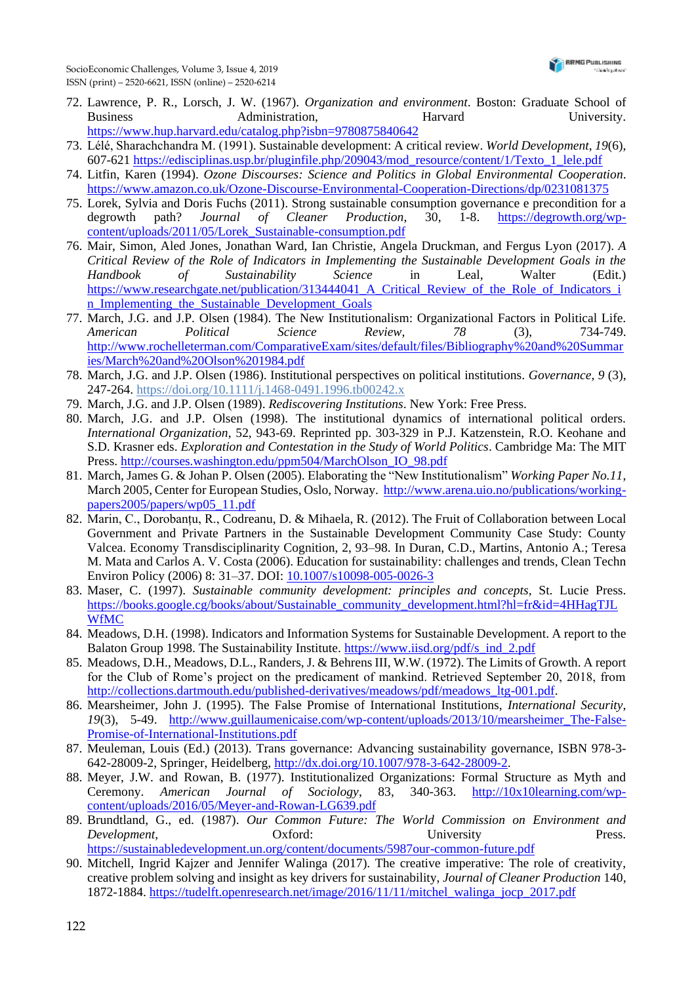

- 72. Lawrence, P. R., Lorsch, J. W. (1967). *Organization and environment*. Boston: Graduate School of Business **Administration**, **Harvard** University. <https://www.hup.harvard.edu/catalog.php?isbn=9780875840642>
- 73. Lélé, Sharachchandra M. (1991). Sustainable development: A critical review. *World Development*, *19*(6), 607-621 [https://edisciplinas.usp.br/pluginfile.php/209043/mod\\_resource/content/1/Texto\\_1\\_lele.pdf](https://edisciplinas.usp.br/pluginfile.php/209043/mod_resource/content/1/Texto_1_lele.pdf)
- 74. Litfin, Karen (1994). *Ozone Discourses: Science and Politics in Global Environmental Cooperation*. <https://www.amazon.co.uk/Ozone-Discourse-Environmental-Cooperation-Directions/dp/0231081375>
- 75. Lorek, Sylvia and Doris Fuchs (2011). Strong sustainable consumption governance e precondition for a degrowth path? *Journal of Cleaner Production*, 30, 1-8. [https://degrowth.org/wp](https://degrowth.org/wp-content/uploads/2011/05/Lorek_Sustainable-consumption.pdf)[content/uploads/2011/05/Lorek\\_Sustainable-consumption.pdf](https://degrowth.org/wp-content/uploads/2011/05/Lorek_Sustainable-consumption.pdf)
- 76. Mair, Simon, Aled Jones, Jonathan Ward, Ian Christie, Angela Druckman, and Fergus Lyon (2017). *A Critical Review of the Role of Indicators in Implementing the Sustainable Development Goals in the Handbook of Sustainability Science* in Leal, Walter (Edit.) [https://www.researchgate.net/publication/313444041\\_A\\_Critical\\_Review\\_of\\_the\\_Role\\_of\\_Indicators\\_i](https://www.researchgate.net/publication/313444041_A_Critical_Review_of_the_Role_of_Indicators_in_Implementing_the_Sustainable_Development_Goals) n Implementing the Sustainable Development Goals
- 77. March, J.G. and J.P. Olsen (1984). The New Institutionalism: Organizational Factors in Political Life. *American Political Science Review, 78* (3), 734-749. [http://www.rochelleterman.com/ComparativeExam/sites/default/files/Bibliography%20and%20Summar](http://www.rochelleterman.com/ComparativeExam/sites/default/files/Bibliography%20and%20Summaries/March%20and%20Olson%201984.pdf) [ies/March%20and%20Olson%201984.pdf](http://www.rochelleterman.com/ComparativeExam/sites/default/files/Bibliography%20and%20Summaries/March%20and%20Olson%201984.pdf)
- 78. March, J.G. and J.P. Olsen (1986). Institutional perspectives on political institutions. *Governance*, *9* (3), 247-264.<https://doi.org/10.1111/j.1468-0491.1996.tb00242.x>
- 79. March, J.G. and J.P. Olsen (1989). *Rediscovering Institutions*. New York: Free Press.
- 80. March, J.G. and J.P. Olsen (1998). The institutional dynamics of international political orders. *International Organization*, 52, 943-69. Reprinted pp. 303-329 in P.J. Katzenstein, R.O. Keohane and S.D. Krasner eds. *Exploration and Contestation in the Study of World Politics*. Cambridge Ma: The MIT Press. [http://courses.washington.edu/ppm504/MarchOlson\\_IO\\_98.pdf](http://courses.washington.edu/ppm504/MarchOlson_IO_98.pdf)
- 81. March, James G. & Johan P. Olsen (2005). Elaborating the "New Institutionalism" *Working Paper No.11*, March 2005, Center for European Studies, Oslo, Norway. [http://www.arena.uio.no/publications/working](http://www.arena.uio.no/publications/working-papers2005/papers/wp05_11.pdf)[papers2005/papers/wp05\\_11.pdf](http://www.arena.uio.no/publications/working-papers2005/papers/wp05_11.pdf)
- 82. Marin, C., Dorobanțu, R., Codreanu, D. & Mihaela, R. (2012). The Fruit of Collaboration between Local Government and Private Partners in the Sustainable Development Community Case Study: County Valcea. Economy Transdisciplinarity Cognition, 2, 93–98. In Duran, C.D., Martins, Antonio A.; Teresa M. Mata and Carlos A. V. Costa (2006). Education for sustainability: challenges and trends, Clean Techn Environ Policy (2006) 8: 31–37. DOI: <10.1007/s10098-005-0026-3>
- 83. Maser, C. (1997). *Sustainable community development: principles and concepts*, St. Lucie Press. [https://books.google.cg/books/about/Sustainable\\_community\\_development.html?hl=fr&id=4HHagTJL](https://books.google.cg/books/about/Sustainable_community_development.html?hl=fr&id=4HHagTJLWfMC) [WfMC](https://books.google.cg/books/about/Sustainable_community_development.html?hl=fr&id=4HHagTJLWfMC)
- 84. Meadows, D.H. (1998). Indicators and Information Systems for Sustainable Development. A report to the Balaton Group 1998. The Sustainability Institute. [https://www.iisd.org/pdf/s\\_ind\\_2.pdf](https://www.iisd.org/pdf/s_ind_2.pdf)
- 85. Meadows, D.H., Meadows, D.L., Randers, J. & Behrens III, W.W. (1972). The Limits of Growth. A report for the Club of Rome's project on the predicament of mankind. Retrieved September 20, 2018, from [http://collections.dartmouth.edu/published-derivatives/meadows/pdf/meadows\\_ltg-001.pdf.](http://collections.dartmouth.edu/published-derivatives/meadows/pdf/meadows_ltg-001.pdf)
- 86. Mearsheimer, John J. (1995). The False Promise of International Institutions, *International Security*, *19*(3), 5-49. [http://www.guillaumenicaise.com/wp-content/uploads/2013/10/mearsheimer\\_The-False-](http://www.guillaumenicaise.com/wp-content/uploads/2013/10/mearsheimer_The-False-Promise-of-International-Institutions.pdf)[Promise-of-International-Institutions.pdf](http://www.guillaumenicaise.com/wp-content/uploads/2013/10/mearsheimer_The-False-Promise-of-International-Institutions.pdf)
- 87. Meuleman, Louis (Ed.) (2013). Trans governance: Advancing sustainability governance, ISBN 978-3- 642-28009-2, Springer, Heidelberg, [http://dx.doi.org/10.1007/978-3-642-28009-2.](http://dx.doi.org/10.1007/978-3-642-28009-2)
- 88. Meyer, J.W. and Rowan, B. (1977). Institutionalized Organizations: Formal Structure as Myth and Ceremony. *American Journal of Sociology*, 83, 340-363. [http://10x10learning.com/wp](http://10x10learning.com/wp-content/uploads/2016/05/Meyer-and-Rowan-LG639.pdf)[content/uploads/2016/05/Meyer-and-Rowan-LG639.pdf](http://10x10learning.com/wp-content/uploads/2016/05/Meyer-and-Rowan-LG639.pdf)
- 89. Brundtland, G., ed. (1987). *Our Common Future: The World Commission on Environment and Development,* Oxford: University Press. <https://sustainabledevelopment.un.org/content/documents/5987our-common-future.pdf>
- 90. Mitchell, Ingrid Kajzer and Jennifer Walinga (2017). The creative imperative: The role of creativity, creative problem solving and insight as key drivers for sustainability, *Journal of Cleaner Production* 140, 1872-1884. [https://tudelft.openresearch.net/image/2016/11/11/mitchel\\_walinga\\_jocp\\_2017.pdf](https://tudelft.openresearch.net/image/2016/11/11/mitchel_walinga_jocp_2017.pdf)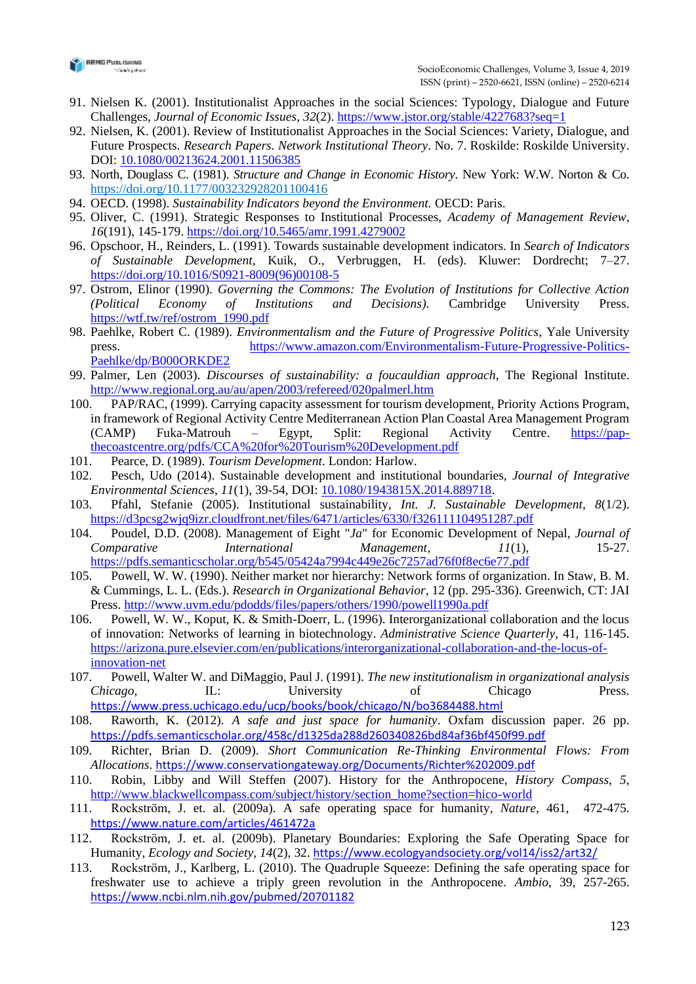

- 91. Nielsen K. (2001). Institutionalist Approaches in the social Sciences: Typology, Dialogue and Future Challenges, *Journal of Economic Issues*, *32*(2). <https://www.jstor.org/stable/4227683?seq=1>
- 92. Nielsen, K. (2001). Review of Institutionalist Approaches in the Social Sciences: Variety, Dialogue, and Future Prospects. *Research Papers. Network Institutional Theory*. No. 7. Roskilde: Roskilde University. DOI: [10.1080/00213624.2001.11506385](https://www.researchgate.net/deref/http%3A%2F%2Fdx.doi.org%2F10.1080%2F00213624.2001.11506385)
- 93. North, Douglass C. (1981). *Structure and Change in Economic History*. New York: W.W. Norton & Co. [https://doi.org/10.1177/003232928201100416](https://doi.org/10.1177%2F003232928201100416)
- 94. OECD. (1998). *Sustainability Indicators beyond the Environment.* OECD: Paris.
- 95. Oliver, C. (1991). Strategic Responses to Institutional Processes, *Academy of Management Review*, *16*(191), 145-179. <https://doi.org/10.5465/amr.1991.4279002>
- 96. Opschoor, H., Reinders, L. (1991). Towards sustainable development indicators. In *Search of Indicators of Sustainable Development*, Kuik, O., Verbruggen, H. (eds). Kluwer: Dordrecht; 7–27. [https://doi.org/10.1016/S0921-8009\(96\)00108-5](https://doi.org/10.1016/S0921-8009(96)00108-5)
- 97. Ostrom, Elinor (1990). *Governing the Commons: The Evolution of Institutions for Collective Action (Political Economy of Institutions and Decisions).* Cambridge University Press. [https://wtf.tw/ref/ostrom\\_1990.pdf](https://wtf.tw/ref/ostrom_1990.pdf)
- 98. Paehlke, Robert C. (1989). *Environmentalism and the Future of Progressive Politics*, Yale University press. [https://www.amazon.com/Environmentalism-Future-Progressive-Politics-](https://www.amazon.com/Environmentalism-Future-Progressive-Politics-Paehlke/dp/B000ORKDE2)[Paehlke/dp/B000ORKDE2](https://www.amazon.com/Environmentalism-Future-Progressive-Politics-Paehlke/dp/B000ORKDE2)
- 99. Palmer, Len (2003). *Discourses of sustainability: a foucauldian approach*, The Regional Institute. <http://www.regional.org.au/au/apen/2003/refereed/020palmerl.htm>
- 100. PAP/RAC, (1999). Carrying capacity assessment for tourism development, Priority Actions Program, in framework of Regional Activity Centre Mediterranean Action Plan Coastal Area Management Program (CAMP) Fuka-Matrouh – Egypt, Split: Regional Activity Centre. [https://pap](https://pap-thecoastcentre.org/pdfs/CCA%20for%20Tourism%20Development.pdf)[thecoastcentre.org/pdfs/CCA%20for%20Tourism%20Development.pdf](https://pap-thecoastcentre.org/pdfs/CCA%20for%20Tourism%20Development.pdf)
- 101. Pearce, D. (1989). *Tourism Development*. London: Harlow.
- 102. Pesch, Udo (2014). Sustainable development and institutional boundaries, *Journal of Integrative Environmental Sciences*, *11*(1), 39-54, DOI: [10.1080/1943815X.2014.889718.](10.1080/1943815X.2014.889718)
- 103. Pfahl, Stefanie (2005). Institutional sustainability, *Int. J. Sustainable Development*, *8*(1/2). <https://d3pcsg2wjq9izr.cloudfront.net/files/6471/articles/6330/f326111104951287.pdf>
- 104. Poudel, D.D. (2008). Management of Eight "*Ja*" for Economic Development of Nepal, *Journal of Comparative International Management*, *11*(1), 15-27. <https://pdfs.semanticscholar.org/b545/05424a7994c449e26c7257ad76f0f8ec6e77.pdf>
- 105. Powell, W. W. (1990). Neither market nor hierarchy: Network forms of organization. In Staw, B. M. & Cummings, L. L. (Eds.). *Research in Organizational Behavior*, 12 (pp. 295-336). Greenwich, CT: JAI Press.<http://www.uvm.edu/pdodds/files/papers/others/1990/powell1990a.pdf>
- 106. Powell, W. W., Koput, K. & Smith-Doerr, L. (1996). Interorganizational collaboration and the locus of innovation: Networks of learning in biotechnology. *Administrative Science Quarterly*, 41, 116-145. [https://arizona.pure.elsevier.com/en/publications/interorganizational-collaboration-and-the-locus-of](https://arizona.pure.elsevier.com/en/publications/interorganizational-collaboration-and-the-locus-of-innovation-net)[innovation-net](https://arizona.pure.elsevier.com/en/publications/interorganizational-collaboration-and-the-locus-of-innovation-net)
- 107. Powell, Walter W. and DiMaggio, Paul J. (1991). *The new institutionalism in organizational analysis Chicago*, IL: University of Chicago Press. <https://www.press.uchicago.edu/ucp/books/book/chicago/N/bo3684488.html>
- 108. Raworth, K. (2012). *A safe and just space for humanity*. Oxfam discussion paper. 26 pp. <https://pdfs.semanticscholar.org/458c/d1325da288d260340826bd84af36bf450f99.pdf>
- 109. Richter, Brian D. (2009). *Short Communication Re-Thinking Environmental Flows: From Allocations*. <https://www.conservationgateway.org/Documents/Richter%202009.pdf>
- 110. Robin, Libby and Will Steffen (2007). History for the Anthropocene, *History Compass*, *5*, [http://www.blackwellcompass.com/subject/history/section\\_home?section=hico-world](http://www.blackwellcompass.com/subject/history/section_home?section=hico-world)
- 111. Rockström, J. et. al. (2009a). A safe operating space for humanity*, Nature*, 461, 472-475. <https://www.nature.com/articles/461472a>
- 112. Rockström, J. et. al. (2009b). Planetary Boundaries: Exploring the Safe Operating Space for Humanity, *Ecology and Society*, *14*(2), 32. <https://www.ecologyandsociety.org/vol14/iss2/art32/>
- 113. Rockström, J., Karlberg, L. (2010). The Quadruple Squeeze: Defining the safe operating space for freshwater use to achieve a triply green revolution in the Anthropocene. *Ambio*, 39, 257-265. <https://www.ncbi.nlm.nih.gov/pubmed/20701182>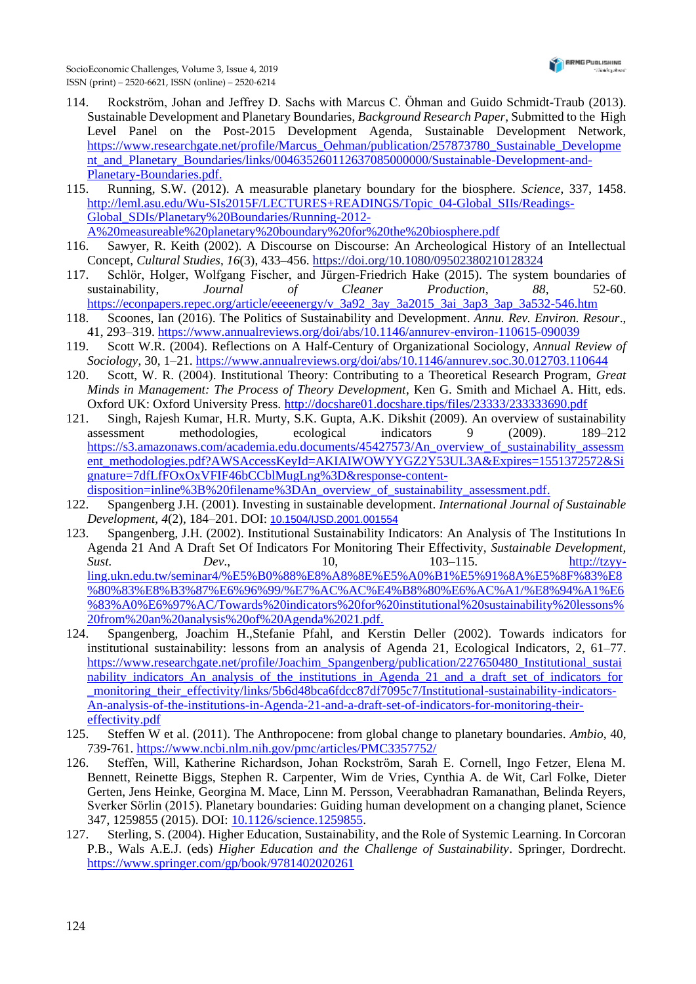- 114. Rockström, Johan and Jeffrey D. Sachs with Marcus C. Öhman and Guido Schmidt-Traub (2013). Sustainable Development and Planetary Boundaries, *Background Research Paper*, Submitted to the High Level Panel on the Post-2015 Development Agenda, Sustainable Development Network, [https://www.researchgate.net/profile/Marcus\\_Oehman/publication/257873780\\_Sustainable\\_Developme](https://www.researchgate.net/profile/Marcus_Oehman/publication/257873780_Sustainable_Development_and_Planetary_Boundaries/links/004635260112637085000000/Sustainable-Development-and-Planetary-Boundaries.pdf) [nt\\_and\\_Planetary\\_Boundaries/links/004635260112637085000000/Sustainable-Development-and-](https://www.researchgate.net/profile/Marcus_Oehman/publication/257873780_Sustainable_Development_and_Planetary_Boundaries/links/004635260112637085000000/Sustainable-Development-and-Planetary-Boundaries.pdf)[Planetary-Boundaries.pdf.](https://www.researchgate.net/profile/Marcus_Oehman/publication/257873780_Sustainable_Development_and_Planetary_Boundaries/links/004635260112637085000000/Sustainable-Development-and-Planetary-Boundaries.pdf)
- 115. Running, S.W. (2012). A measurable planetary boundary for the biosphere. *Science*, 337, 1458. [http://leml.asu.edu/Wu-SIs2015F/LECTURES+READINGS/Topic\\_04-Global\\_SIIs/Readings-](http://leml.asu.edu/Wu-SIs2015F/LECTURES+READINGS/Topic_04-Global_SIIs/Readings-Global_SDIs/Planetary%20Boundaries/Running-2012-A%20measureable%20planetary%20boundary%20for%20the%20biosphere.pdf)[Global\\_SDIs/Planetary%20Boundaries/Running-2012-](http://leml.asu.edu/Wu-SIs2015F/LECTURES+READINGS/Topic_04-Global_SIIs/Readings-Global_SDIs/Planetary%20Boundaries/Running-2012-A%20measureable%20planetary%20boundary%20for%20the%20biosphere.pdf) [A%20measureable%20planetary%20boundary%20for%20the%20biosphere.pdf](http://leml.asu.edu/Wu-SIs2015F/LECTURES+READINGS/Topic_04-Global_SIIs/Readings-Global_SDIs/Planetary%20Boundaries/Running-2012-A%20measureable%20planetary%20boundary%20for%20the%20biosphere.pdf)
- 116. Sawyer, R. Keith (2002). A Discourse on Discourse: An Archeological History of an Intellectual Concept, *Cultural Studies*, *16*(3), 433–456. <https://doi.org/10.1080/09502380210128324>
- 117. Schlör, Holger, Wolfgang Fischer, and Jürgen-Friedrich Hake (2015). The system boundaries of sustainability, *Journal of Cleaner Production*, *88*, 52-60. [https://econpapers.repec.org/article/eeeenergy/v\\_3a92\\_3ay\\_3a2015\\_3ai\\_3ap3\\_3ap\\_3a532-546.htm](https://econpapers.repec.org/article/eeeenergy/v_3a92_3ay_3a2015_3ai_3ap3_3ap_3a532-546.htm)
- 118. Scoones, Ian (2016). The Politics of Sustainability and Development. *Annu. Rev. Environ. Resour*., 41, 293–319. <https://www.annualreviews.org/doi/abs/10.1146/annurev-environ-110615-090039>
- 119. Scott W.R. (2004). Reflections on A Half-Century of Organizational Sociology, *Annual Review of Sociology*, 30, 1–21. <https://www.annualreviews.org/doi/abs/10.1146/annurev.soc.30.012703.110644>
- 120. Scott, W. R. (2004). Institutional Theory: Contributing to a Theoretical Research Program, *Great Minds in Management: The Process of Theory Development*, Ken G. Smith and Michael A. Hitt, eds. Oxford UK: Oxford University Press. <http://docshare01.docshare.tips/files/23333/233333690.pdf>
- 121. Singh, Rajesh Kumar, H.R. Murty, S.K. Gupta, A.K. Dikshit (2009). An overview of sustainability assessment methodologies, ecological indicators 9 (2009). 189–212 [https://s3.amazonaws.com/academia.edu.documents/45427573/An\\_overview\\_of\\_sustainability\\_assessm](https://s3.amazonaws.com/academia.edu.documents/45427573/An_overview_of_sustainability_assessment_methodologies.pdf?AWSAccessKeyId=AKIAIWOWYYGZ2Y53UL3A&Expires=1551372572&Signature=7dfLfFOxOxVFIF46bCCblMugLng%3D&response-content-disposition=inline%3B%20filename%3DAn_overview_of_sustainability_assessment.pdf) [ent\\_methodologies.pdf?AWSAccessKeyId=AKIAIWOWYYGZ2Y53UL3A&Expires=1551372572&Si](https://s3.amazonaws.com/academia.edu.documents/45427573/An_overview_of_sustainability_assessment_methodologies.pdf?AWSAccessKeyId=AKIAIWOWYYGZ2Y53UL3A&Expires=1551372572&Signature=7dfLfFOxOxVFIF46bCCblMugLng%3D&response-content-disposition=inline%3B%20filename%3DAn_overview_of_sustainability_assessment.pdf) [gnature=7dfLfFOxOxVFIF46bCCblMugLng%3D&response-content](https://s3.amazonaws.com/academia.edu.documents/45427573/An_overview_of_sustainability_assessment_methodologies.pdf?AWSAccessKeyId=AKIAIWOWYYGZ2Y53UL3A&Expires=1551372572&Signature=7dfLfFOxOxVFIF46bCCblMugLng%3D&response-content-disposition=inline%3B%20filename%3DAn_overview_of_sustainability_assessment.pdf)[disposition=inline%3B%20filename%3DAn\\_overview\\_of\\_sustainability\\_assessment.pdf.](https://s3.amazonaws.com/academia.edu.documents/45427573/An_overview_of_sustainability_assessment_methodologies.pdf?AWSAccessKeyId=AKIAIWOWYYGZ2Y53UL3A&Expires=1551372572&Signature=7dfLfFOxOxVFIF46bCCblMugLng%3D&response-content-disposition=inline%3B%20filename%3DAn_overview_of_sustainability_assessment.pdf)
- 122. Spangenberg J.H. (2001). Investing in sustainable development. *International Journal of Sustainable Development*, *4*(2), 184–201. DOI: <10.1504/IJSD.2001.001554>
- 123. Spangenberg, J.H. (2002). Institutional Sustainability Indicators: An Analysis of The Institutions In Agenda 21 And A Draft Set Of Indicators For Monitoring Their Effectivity, *Sustainable Development, Sust. Dev.*, 10, 103–115. <u>http://tzyy-</u> [ling.ukn.edu.tw/seminar4/%E5%B0%88%E8%A8%8E%E5%A0%B1%E5%91%8A%E5%8F%83%E8](http://tzyy-ling.ukn.edu.tw/seminar4/%E5%B0%88%E8%A8%8E%E5%A0%B1%E5%91%8A%E5%8F%83%E8%80%83%E8%B3%87%E6%96%99/%E7%AC%AC%E4%B8%80%E6%AC%A1/%E8%94%A1%E6%83%A0%E6%97%AC/Towards%20indicators%20for%20institutional%20sustainability%20lessons%20from%20an%20analysis%20of%20Agenda%2021.pdf) [%80%83%E8%B3%87%E6%96%99/%E7%AC%AC%E4%B8%80%E6%AC%A1/%E8%94%A1%E6](http://tzyy-ling.ukn.edu.tw/seminar4/%E5%B0%88%E8%A8%8E%E5%A0%B1%E5%91%8A%E5%8F%83%E8%80%83%E8%B3%87%E6%96%99/%E7%AC%AC%E4%B8%80%E6%AC%A1/%E8%94%A1%E6%83%A0%E6%97%AC/Towards%20indicators%20for%20institutional%20sustainability%20lessons%20from%20an%20analysis%20of%20Agenda%2021.pdf) [%83%A0%E6%97%AC/Towards%20indicators%20for%20institutional%20sustainability%20lessons%](http://tzyy-ling.ukn.edu.tw/seminar4/%E5%B0%88%E8%A8%8E%E5%A0%B1%E5%91%8A%E5%8F%83%E8%80%83%E8%B3%87%E6%96%99/%E7%AC%AC%E4%B8%80%E6%AC%A1/%E8%94%A1%E6%83%A0%E6%97%AC/Towards%20indicators%20for%20institutional%20sustainability%20lessons%20from%20an%20analysis%20of%20Agenda%2021.pdf) [20from%20an%20analysis%20of%20Agenda%2021.pdf.](http://tzyy-ling.ukn.edu.tw/seminar4/%E5%B0%88%E8%A8%8E%E5%A0%B1%E5%91%8A%E5%8F%83%E8%80%83%E8%B3%87%E6%96%99/%E7%AC%AC%E4%B8%80%E6%AC%A1/%E8%94%A1%E6%83%A0%E6%97%AC/Towards%20indicators%20for%20institutional%20sustainability%20lessons%20from%20an%20analysis%20of%20Agenda%2021.pdf)
- 124. Spangenberg, Joachim H.,Stefanie Pfahl, and Kerstin Deller (2002). Towards indicators for institutional sustainability: lessons from an analysis of Agenda 21, Ecological Indicators, 2, 61–77. [https://www.researchgate.net/profile/Joachim\\_Spangenberg/publication/227650480\\_Institutional\\_sustai](https://www.researchgate.net/profile/Joachim_Spangenberg/publication/227650480_Institutional_sustainability_indicators_An_analysis_of_the_institutions_in_Agenda_21_and_a_draft_set_of_indicators_for_monitoring_their_effectivity/links/5b6d48bca6fdcc87df7095c7/Institutional-sustainability-indicators-An-analysis-of-the-institutions-in-Agenda-21-and-a-draft-set-of-indicators-for-monitoring-their-effectivity.pdf) [nability\\_indicators\\_An\\_analysis\\_of\\_the\\_institutions\\_in\\_Agenda\\_21\\_and\\_a\\_draft\\_set\\_of\\_indicators\\_for](https://www.researchgate.net/profile/Joachim_Spangenberg/publication/227650480_Institutional_sustainability_indicators_An_analysis_of_the_institutions_in_Agenda_21_and_a_draft_set_of_indicators_for_monitoring_their_effectivity/links/5b6d48bca6fdcc87df7095c7/Institutional-sustainability-indicators-An-analysis-of-the-institutions-in-Agenda-21-and-a-draft-set-of-indicators-for-monitoring-their-effectivity.pdf) monitoring their effectivity/links/5b6d48bca6fdcc87df7095c7/Institutional-sustainability-indicators-[An-analysis-of-the-institutions-in-Agenda-21-and-a-draft-set-of-indicators-for-monitoring-their](https://www.researchgate.net/profile/Joachim_Spangenberg/publication/227650480_Institutional_sustainability_indicators_An_analysis_of_the_institutions_in_Agenda_21_and_a_draft_set_of_indicators_for_monitoring_their_effectivity/links/5b6d48bca6fdcc87df7095c7/Institutional-sustainability-indicators-An-analysis-of-the-institutions-in-Agenda-21-and-a-draft-set-of-indicators-for-monitoring-their-effectivity.pdf)[effectivity.pdf](https://www.researchgate.net/profile/Joachim_Spangenberg/publication/227650480_Institutional_sustainability_indicators_An_analysis_of_the_institutions_in_Agenda_21_and_a_draft_set_of_indicators_for_monitoring_their_effectivity/links/5b6d48bca6fdcc87df7095c7/Institutional-sustainability-indicators-An-analysis-of-the-institutions-in-Agenda-21-and-a-draft-set-of-indicators-for-monitoring-their-effectivity.pdf)
- 125. Steffen W et al. (2011). The Anthropocene: from global change to planetary boundaries. *Ambio*, 40, 739-761. <https://www.ncbi.nlm.nih.gov/pmc/articles/PMC3357752/>
- 126. Steffen, Will, Katherine Richardson, Johan Rockström, Sarah E. Cornell, Ingo Fetzer, Elena M. Bennett, Reinette Biggs, Stephen R. Carpenter, Wim de Vries, Cynthia A. de Wit, Carl Folke, Dieter Gerten, Jens Heinke, Georgina M. Mace, Linn M. Persson, Veerabhadran Ramanathan, Belinda Reyers, Sverker Sörlin (2015). Planetary boundaries: Guiding human development on a changing planet, Science 347, 1259855 (2015). DOI: [10.1126/science.1259855.](https://openresearch-repository.anu.edu.au/bitstream/1885/13126/3/1259855.full.pdf)
- 127. Sterling, S. (2004). Higher Education, Sustainability, and the Role of Systemic Learning. In Corcoran P.B., Wals A.E.J. (eds) *Higher Education and the Challenge of Sustainability*. Springer, Dordrecht. <https://www.springer.com/gp/book/9781402020261>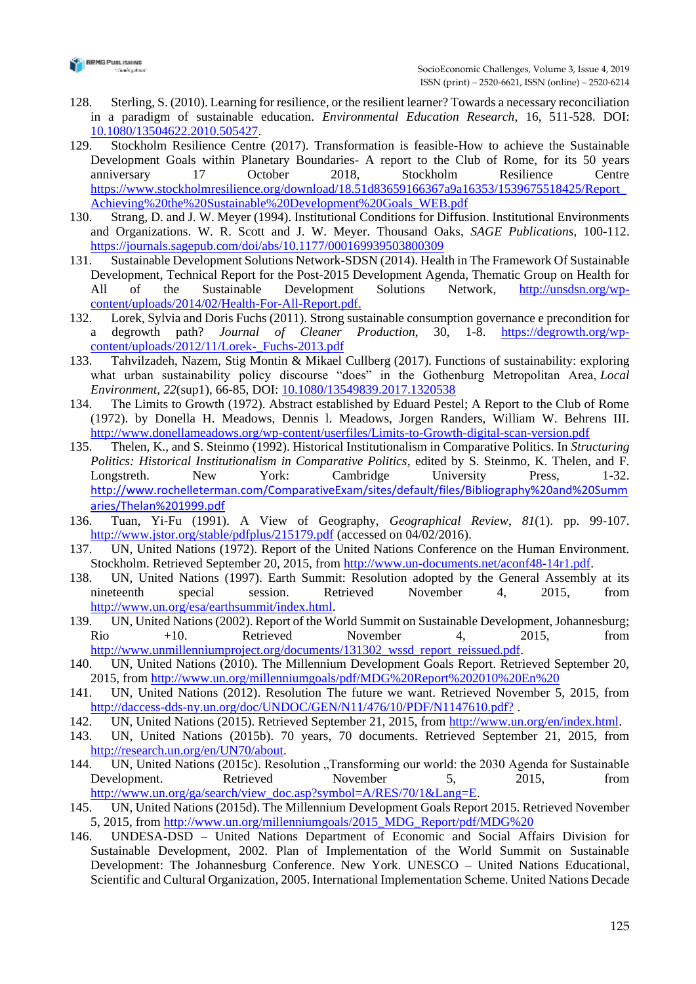

- 128. Sterling, S. (2010). Learning for resilience, or the resilient learner? Towards a necessary reconciliation in a paradigm of sustainable education. *Environmental Education Research*, 16, 511-528. DOI: [10.1080/13504622.2010.505427.](https://books.google.com.ua/books?id=KdMnDwAAQBAJ&pg=PA453&lpg=PA453&dq=10.1080/13504622.2010.505427&source=bl&ots=eMp9TX6_KV&sig=ACfU3U0VH6lvYaAPeGfKH3UtDMuMef6yCg&hl=uk&sa=X&ved=2ahUKEwiUrNu4rsfmAhXSvosKHSmGDGkQ6AEwAnoECAkQAQ#v=onepage&q=10.1080%2F13504622.2010.505427&f=false)
- 129. Stockholm Resilience Centre (2017). Transformation is feasible-How to achieve the Sustainable Development Goals within Planetary Boundaries- A report to the Club of Rome, for its 50 years anniversary 17 October 2018, Stockholm Resilience Centre [https://www.stockholmresilience.org/download/18.51d83659166367a9a16353/1539675518425/Report\\_](https://www.stockholmresilience.org/download/18.51d83659166367a9a16353/1539675518425/Report_Achieving%20the%20Sustainable%20Development%20Goals_WEB.pdf) [Achieving%20the%20Sustainable%20Development%20Goals\\_WEB.pdf](https://www.stockholmresilience.org/download/18.51d83659166367a9a16353/1539675518425/Report_Achieving%20the%20Sustainable%20Development%20Goals_WEB.pdf)
- 130. Strang, D. and J. W. Meyer (1994). Institutional Conditions for Diffusion. Institutional Environments and Organizations. W. R. Scott and J. W. Meyer. Thousand Oaks, *SAGE Publications*, 100-112. <https://journals.sagepub.com/doi/abs/10.1177/000169939503800309>
- 131. Sustainable Development Solutions Network-SDSN (2014). Health in The Framework Of Sustainable Development, Technical Report for the Post-2015 Development Agenda, Thematic Group on Health for All of the Sustainable Development Solutions Network, [http://unsdsn.org/wp](http://unsdsn.org/wp-content/uploads/2014/02/Health-For-All-Report.pdf)[content/uploads/2014/02/Health-For-All-Report.pdf.](http://unsdsn.org/wp-content/uploads/2014/02/Health-For-All-Report.pdf)
- 132. Lorek, Sylvia and Doris Fuchs (2011). Strong sustainable consumption governance e precondition for a degrowth path? *Journal of Cleaner Production*, 30, 1-8. [https://degrowth.org/wp](https://degrowth.org/wp-content/uploads/2012/11/Lorek-_Fuchs-2013.pdf)[content/uploads/2012/11/Lorek-\\_Fuchs-2013.pdf](https://degrowth.org/wp-content/uploads/2012/11/Lorek-_Fuchs-2013.pdf)
- 133. Tahvilzadeh, Nazem, Stig Montin & Mikael Cullberg (2017). Functions of sustainability: exploring what urban sustainability policy discourse "does" in the Gothenburg Metropolitan Area, *Local Environment*, *22*(sup1), 66-85, DOI: [10.1080/13549839.2017.1320538](https://doi.org/10.1080/13549839.2017.1320538)
- 134. The Limits to Growth (1972). Abstract established by Eduard Pestel; A Report to the Club of Rome (1972). by Donella H. Meadows, Dennis l. Meadows, Jorgen Randers, William W. Behrens III. <http://www.donellameadows.org/wp-content/userfiles/Limits-to-Growth-digital-scan-version.pdf>
- 135. Thelen, K., and S. Steinmo (1992). Historical Institutionalism in Comparative Politics. In *Structuring Politics: Historical Institutionalism in Comparative Politics*, edited by S. Steinmo, K. Thelen, and F. Longstreth. New York: Cambridge University Press, 1-32. [http://www.rochelleterman.com/ComparativeExam/sites/default/files/Bibliography%20and%20Summ](http://www.rochelleterman.com/ComparativeExam/sites/default/files/Bibliography%20and%20Summaries/Thelan%201999.pdf) [aries/Thelan%201999.pdf](http://www.rochelleterman.com/ComparativeExam/sites/default/files/Bibliography%20and%20Summaries/Thelan%201999.pdf)
- 136. Tuan, Yi-Fu (1991). A View of Geography, *Geographical Review*, *81*(1). pp. 99-107. <http://www.jstor.org/stable/pdfplus/215179.pdf> (accessed on 04/02/2016).
- 137. UN, United Nations (1972). Report of the United Nations Conference on the Human Environment. Stockholm. Retrieved September 20, 2015, from [http://www.un-documents.net/aconf48-14r1.pdf.](http://www.un-documents.net/aconf48-14r1.pdf)
- 138. UN, United Nations (1997). Earth Summit: Resolution adopted by the General Assembly at its nineteenth special session. Retrieved November 4, 2015, from [http://www.un.org/esa/earthsummit/index.html.](http://www.un.org/esa/earthsummit/index.html)
- 139. UN, United Nations (2002). Report of the World Summit on Sustainable Development, Johannesburg; Rio +10. Retrieved November 4, 2015, from [http://www.unmillenniumproject.org/documents/131302\\_wssd\\_report\\_reissued.pdf.](http://www.unmillenniumproject.org/documents/131302_wssd_report_reissued.pdf)
- 140. UN, United Nations (2010). The Millennium Development Goals Report. Retrieved September 20, 2015, from [http://www.un.org/millenniumgoals/pdf/MDG%20Report%202010%20En%20](http://www.un.org/millenniumgoals/pdf/MDG%20Report%202010%20En)
- 141. UN, United Nations (2012). Resolution The future we want. Retrieved November 5, 2015, from [http://daccess-dds-ny.un.org/doc/UNDOC/GEN/N11/476/10/PDF/N1147610.pdf?](http://daccess-dds-ny.un.org/doc/UNDOC/GEN/N11/476/10/PDF/N1147610.pdf?OpenElement).
- 142. UN, United Nations (2015). Retrieved September 21, 2015, from [http://www.un.org/en/index.html.](http://www.un.org/en/index.html)
- 143. UN, United Nations (2015b). 70 years, 70 documents. Retrieved September 21, 2015, from [http://research.un.org/en/UN70/about.](http://research.un.org/en/UN70/about)
- 144. UN, United Nations (2015c). Resolution "Transforming our world: the 2030 Agenda for Sustainable Development. Retrieved November 5, 2015, from [http://www.un.org/ga/search/view\\_doc.asp?symbol=A/RES/70/1&Lang=E.](http://www.un.org/ga/search/view_doc.asp?symbol=A/RES/70/1&Lang=E)
- 145. UN, United Nations (2015d). The Millennium Development Goals Report 2015. Retrieved November 5, 2015, from [http://www.un.org/millenniumgoals/2015\\_MDG\\_Report/pdf/MDG%20](http://www.un.org/millenniumgoals/2015_MDG_Report/pdf/MDG)
- 146. UNDESA-DSD United Nations Department of Economic and Social Affairs Division for Sustainable Development, 2002. Plan of Implementation of the World Summit on Sustainable Development: The Johannesburg Conference. New York. UNESCO – United Nations Educational, Scientific and Cultural Organization, 2005. International Implementation Scheme. United Nations Decade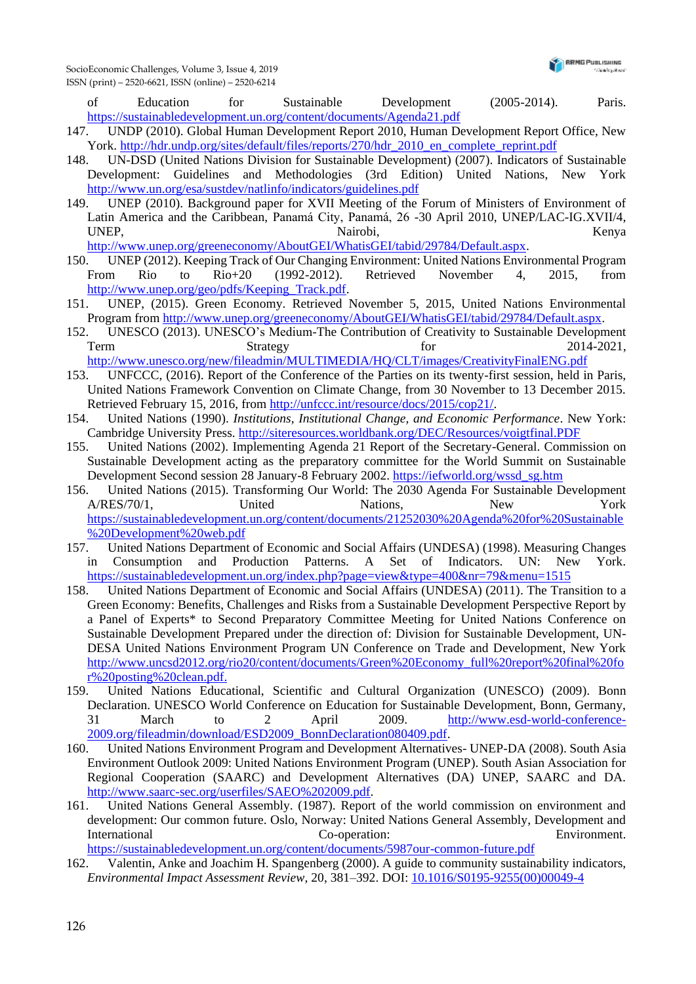of Education for Sustainable Development (2005-2014). Paris. <https://sustainabledevelopment.un.org/content/documents/Agenda21.pdf>

- 147. UNDP (2010). Global Human Development Report 2010, Human Development Report Office, New York. [http://hdr.undp.org/sites/default/files/reports/270/hdr\\_2010\\_en\\_complete\\_reprint.pdf](http://hdr.undp.org/sites/default/files/reports/270/hdr_2010_en_complete_reprint.pdf)
- 148. UN-DSD (United Nations Division for Sustainable Development) (2007). Indicators of Sustainable Development: Guidelines and Methodologies (3rd Edition) United Nations, New York <http://www.un.org/esa/sustdev/natlinfo/indicators/guidelines.pdf>
- 149. UNEP (2010). Background paper for XVII Meeting of the Forum of Ministers of Environment of Latin America and the Caribbean, Panamá City, Panamá, 26 -30 April 2010, UNEP/LAC-IG.XVII/4, UNEP, Nairobi, Kenya
- [http://www.unep.org/greeneconomy/AboutGEI/WhatisGEI/tabid/29784/Default.aspx.](http://www.unep.org/greeneconomy/AboutGEI/WhatisGEI/tabid/29784/Default.aspx)
- 150. UNEP (2012). Keeping Track of Our Changing Environment: United Nations Environmental Program From Rio to Rio+20 (1992-2012). Retrieved November 4, 2015, from [http://www.unep.org/geo/pdfs/Keeping\\_Track.pdf.](http://www.unep.org/geo/pdfs/Keeping_Track.pdf)
- 151. UNEP, (2015). Green Economy. Retrieved November 5, 2015, United Nations Environmental Program from [http://www.unep.org/greeneconomy/AboutGEI/WhatisGEI/tabid/29784/Default.aspx.](http://www.unep.org/greeneconomy/AboutGEI/WhatisGEI/tabid/29784/Default.aspx)
- 152. UNESCO (2013). UNESCO's Medium-The Contribution of Creativity to Sustainable Development Term Strategy Strategy for 2014-2021, <http://www.unesco.org/new/fileadmin/MULTIMEDIA/HQ/CLT/images/CreativityFinalENG.pdf>
- 153. UNFCCC, (2016). Report of the Conference of the Parties on its twenty-first session, held in Paris, United Nations Framework Convention on Climate Change, from 30 November to 13 December 2015. Retrieved February 15, 2016, from [http://unfccc.int/resource/docs/2015/cop21/.](http://unfccc.int/resource/docs/2015/cop21/)
- 154. United Nations (1990). *Institutions, Institutional Change, and Economic Performance*. New York: Cambridge University Press. <http://siteresources.worldbank.org/DEC/Resources/voigtfinal.PDF>
- 155. United Nations (2002). Implementing Agenda 21 Report of the Secretary-General. Commission on Sustainable Development acting as the preparatory committee for the World Summit on Sustainable Development Second session 28 January-8 February 2002. [https://iefworld.org/wssd\\_sg.htm](https://iefworld.org/wssd_sg.htm)
- 156. United Nations (2015). Transforming Our World: The 2030 Agenda For Sustainable Development A/RES/70/1, United Nations, New York [https://sustainabledevelopment.un.org/content/documents/21252030%20Agenda%20for%20Sustainable](https://sustainabledevelopment.un.org/content/documents/21252030%20Agenda%20for%20Sustainable%20Development%20web.pdf) [%20Development%20web.pdf](https://sustainabledevelopment.un.org/content/documents/21252030%20Agenda%20for%20Sustainable%20Development%20web.pdf)
- 157. United Nations Department of Economic and Social Affairs (UNDESA) (1998). Measuring Changes in Consumption and Production Patterns. A Set of Indicators. UN: New York. <https://sustainabledevelopment.un.org/index.php?page=view&type=400&nr=79&menu=1515>
- 158. United Nations Department of Economic and Social Affairs (UNDESA) (2011). The Transition to a Green Economy: Benefits, Challenges and Risks from a Sustainable Development Perspective Report by a Panel of Experts\* to Second Preparatory Committee Meeting for United Nations Conference on Sustainable Development Prepared under the direction of: Division for Sustainable Development, UN-DESA United Nations Environment Program UN Conference on Trade and Development, New York [http://www.uncsd2012.org/rio20/content/documents/Green%20Economy\\_full%20report%20final%20fo](http://www.uncsd2012.org/rio20/content/documents/Green%20Economy_full%20report%20final%20for%20posting%20clean.pdf) [r%20posting%20clean.pdf.](http://www.uncsd2012.org/rio20/content/documents/Green%20Economy_full%20report%20final%20for%20posting%20clean.pdf)
- 159. United Nations Educational, Scientific and Cultural Organization (UNESCO) (2009). Bonn Declaration. UNESCO World Conference on Education for Sustainable Development, Bonn, Germany, 31 March to 2 April 2009. [http://www.esd-world-conference-](http://www.esd-world-conference-2009.org/fileadmin/download/ESD2009_BonnDeclaration080409.pdf)[2009.org/fileadmin/download/ESD2009\\_BonnDeclaration080409.pdf.](http://www.esd-world-conference-2009.org/fileadmin/download/ESD2009_BonnDeclaration080409.pdf)
- 160. United Nations Environment Program and Development Alternatives- UNEP-DA (2008). South Asia Environment Outlook 2009: United Nations Environment Program (UNEP). South Asian Association for Regional Cooperation (SAARC) and Development Alternatives (DA) UNEP, SAARC and DA. [http://www.saarc-sec.org/userfiles/SAEO%202009.pdf.](http://www.saarc-sec.org/userfiles/SAEO%202009.pdf)
- 161. United Nations General Assembly. (1987). Report of the world commission on environment and development: Our common future. Oslo, Norway: United Nations General Assembly, Development and International Co-operation: Environment.

<https://sustainabledevelopment.un.org/content/documents/5987our-common-future.pdf>

162. Valentin, Anke and Joachim H. Spangenberg (2000). A guide to community sustainability indicators, *Environmental Impact Assessment Review*, 20, 381–392. DOI: [10.1016/S0195-9255\(00\)00049-4](doi:%2010.1016/S0195-9255(00)00049-4)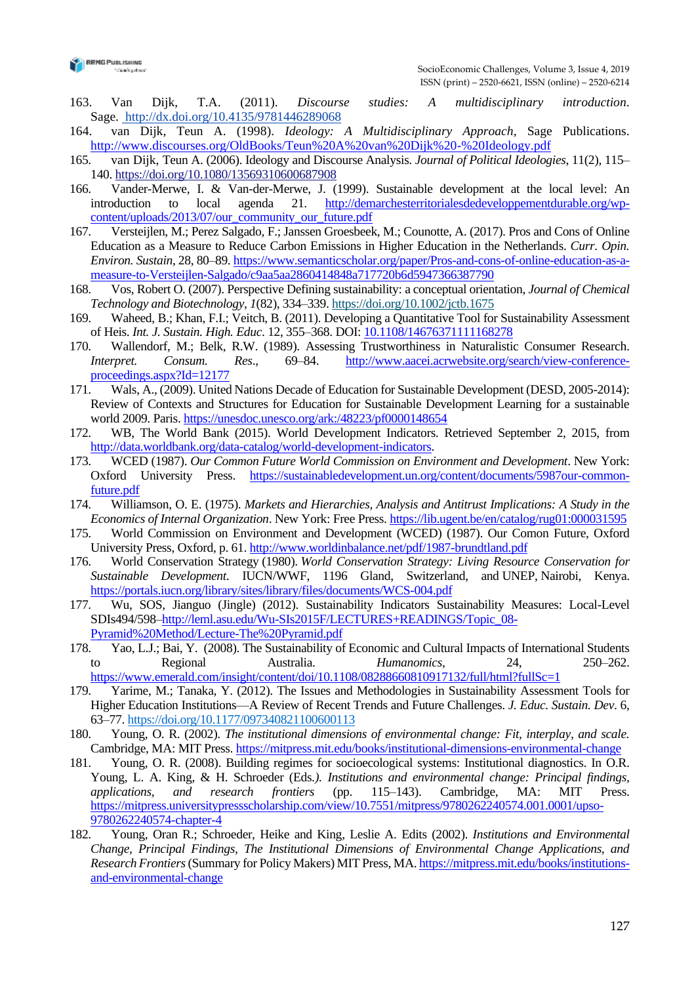

- 163. Van Dijk, T.A. (2011). *Discourse studies: A multidisciplinary introduction*. Sage. <http://dx.doi.org/10.4135/9781446289068>
- 164. van Dijk, Teun A. (1998). *Ideology: A Multidisciplinary Approach*, Sage Publications. <http://www.discourses.org/OldBooks/Teun%20A%20van%20Dijk%20-%20Ideology.pdf>
- 165. van Dijk, Teun A. (2006). Ideology and Discourse Analysis. *Journal of Political Ideologies*, 11(2), 115– 140. <https://doi.org/10.1080/13569310600687908>
- 166. Vander-Merwe, I. & Van-der-Merwe, J. (1999). Sustainable development at the local level: An introduction to local agenda 21. [http://demarchesterritorialesdedeveloppementdurable.org/wp](http://demarchesterritorialesdedeveloppementdurable.org/wp-content/uploads/2013/07/our_community_our_future.pdf)[content/uploads/2013/07/our\\_community\\_our\\_future.pdf](http://demarchesterritorialesdedeveloppementdurable.org/wp-content/uploads/2013/07/our_community_our_future.pdf)
- 167. Versteijlen, M.; Perez Salgado, F.; Janssen Groesbeek, M.; Counotte, A. (2017). Pros and Cons of Online Education as a Measure to Reduce Carbon Emissions in Higher Education in the Netherlands. *Curr. Opin. Environ. Sustain*, 28, 80–89[. https://www.semanticscholar.org/paper/Pros-and-cons-of-online-education-as-a](https://www.semanticscholar.org/paper/Pros-and-cons-of-online-education-as-a-measure-to-Versteijlen-Salgado/c9aa5aa2860414848a717720b6d5947366387790)[measure-to-Versteijlen-Salgado/c9aa5aa2860414848a717720b6d5947366387790](https://www.semanticscholar.org/paper/Pros-and-cons-of-online-education-as-a-measure-to-Versteijlen-Salgado/c9aa5aa2860414848a717720b6d5947366387790)
- 168. Vos, Robert O. (2007). Perspective Defining sustainability: a conceptual orientation, *Journal of Chemical Technology and Biotechnology*, *1*(82), 334–339. <https://doi.org/10.1002/jctb.1675>
- 169. Waheed, B.; Khan, F.I.; Veitch, B. (2011). Developing a Quantitative Tool for Sustainability Assessment of Heis. *Int. J. Sustain. High. Educ*. 12, 355–368. DOI[: 10.1108/14676371111168278](10.1108/14676371111168278)
- 170. Wallendorf, M.; Belk, R.W. (1989). Assessing Trustworthiness in Naturalistic Consumer Research. *Interpret. Consum. Res*., 69–84. [http://www.aacei.acrwebsite.org/search/view-conference](http://www.aacei.acrwebsite.org/search/view-conference-proceedings.aspx?Id=12177)[proceedings.aspx?Id=12177](http://www.aacei.acrwebsite.org/search/view-conference-proceedings.aspx?Id=12177)
- 171. Wals, A., (2009). United Nations Decade of Education for Sustainable Development (DESD, 2005-2014): Review of Contexts and Structures for Education for Sustainable Development Learning for a sustainable world 2009. Paris. <https://unesdoc.unesco.org/ark:/48223/pf0000148654>
- 172. WB, The World Bank (2015). World Development Indicators. Retrieved September 2, 2015, from [http://data.worldbank.org/data-catalog/world-development-indicators.](http://data.worldbank.org/data-catalog/world-development-indicators)
- 173. WCED (1987). *Our Common Future World Commission on Environment and Development*. New York: Oxford University Press. [https://sustainabledevelopment.un.org/content/documents/5987our-common](https://sustainabledevelopment.un.org/content/documents/5987our-common-future.pdf)[future.pdf](https://sustainabledevelopment.un.org/content/documents/5987our-common-future.pdf)
- 174. Williamson, O. E. (1975). *Markets and Hierarchies, Analysis and Antitrust Implications: A Study in the Economics of Internal Organization*. New York: Free Press. <https://lib.ugent.be/en/catalog/rug01:000031595>
- 175. World Commission on Environment and Development (WCED) (1987). Our Comon Future, Oxford University Press, Oxford, p. 61[. http://www.worldinbalance.net/pdf/1987-brundtland.pdf](http://www.worldinbalance.net/pdf/1987-brundtland.pdf)
- 176. World Conservation Strategy (1980). *World Conservation Strategy: Living Resource Conservation for Sustainable Development*. IUCN/WWF, 1196 Gland, Switzerland, and UNEP, Nairobi, Kenya. <https://portals.iucn.org/library/sites/library/files/documents/WCS-004.pdf>
- 177. Wu, SOS, Jianguo (Jingle) (2012). Sustainability Indicators Sustainability Measures: Local-Level SDIs494/598[–http://leml.asu.edu/Wu-SIs2015F/LECTURES+READINGS/Topic\\_08-](http://leml.asu.edu/Wu-SIs2015F/LECTURES+READINGS/Topic_08-Pyramid%20Method/Lecture-The%20Pyramid.pdf) [Pyramid%20Method/Lecture-The%20Pyramid.pdf](http://leml.asu.edu/Wu-SIs2015F/LECTURES+READINGS/Topic_08-Pyramid%20Method/Lecture-The%20Pyramid.pdf)
- 178. Yao, L.J.; Bai, Y. (2008). The Sustainability of Economic and Cultural Impacts of International Students to Regional Australia. *Humanomics*, 24, 250–262. <https://www.emerald.com/insight/content/doi/10.1108/08288660810917132/full/html?fullSc=1>
- 179. Yarime, M.; Tanaka, Y. (2012). The Issues and Methodologies in Sustainability Assessment Tools for Higher Education Institutions—A Review of Recent Trends and Future Challenges. *J. Educ. Sustain. Dev*. 6, 63–77. [https://doi.org/10.1177/097340821100600113](https://doi.org/10.1177%2F097340821100600113)
- 180. Young, O. R. (2002). *The institutional dimensions of environmental change: Fit, interplay, and scale.* Cambridge, MA: MIT Press. <https://mitpress.mit.edu/books/institutional-dimensions-environmental-change>
- 181. Young, O. R. (2008). Building regimes for socioecological systems: Institutional diagnostics. In O.R. Young, L. A. King, & H. Schroeder (Eds*.). Institutions and environmental change: Principal findings, applications, and research frontiers* (pp. 115–143). Cambridge, MA: MIT Press. [https://mitpress.universitypressscholarship.com/view/10.7551/mitpress/9780262240574.001.0001/upso-](https://mitpress.universitypressscholarship.com/view/10.7551/mitpress/9780262240574.001.0001/upso-9780262240574-chapter-4)[9780262240574-chapter-4](https://mitpress.universitypressscholarship.com/view/10.7551/mitpress/9780262240574.001.0001/upso-9780262240574-chapter-4)
- 182. Young, Oran R.; Schroeder, Heike and King, Leslie A. Edits (2002). *Institutions and Environmental Change, Principal Findings, The Institutional Dimensions of Environmental Change Applications, and Research Frontiers*(Summary for Policy Makers) MIT Press, MA. [https://mitpress.mit.edu/books/institutions](https://mitpress.mit.edu/books/institutions-and-environmental-change)[and-environmental-change](https://mitpress.mit.edu/books/institutions-and-environmental-change)